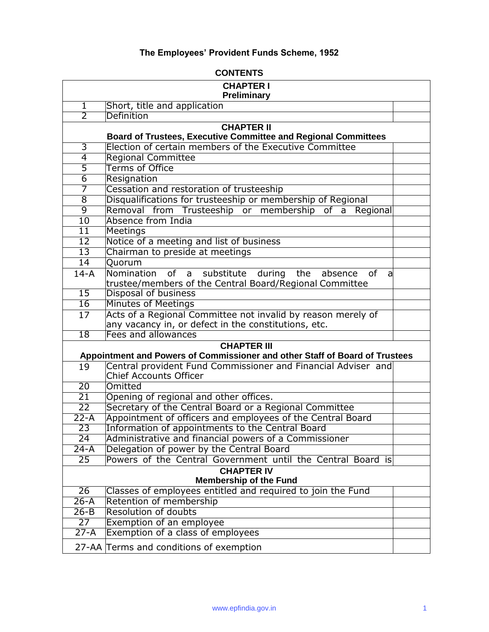# **The Employees' Provident Funds Scheme, 1952**

| <b>CONTENTS</b>                                    |                                                                                                |  |
|----------------------------------------------------|------------------------------------------------------------------------------------------------|--|
| <b>CHAPTER I</b>                                   |                                                                                                |  |
|                                                    | Preliminary                                                                                    |  |
| 1                                                  | Short, title and application                                                                   |  |
| 2                                                  | Definition                                                                                     |  |
|                                                    | <b>CHAPTER II</b><br><b>Board of Trustees, Executive Committee and Regional Committees</b>     |  |
| 3                                                  | Election of certain members of the Executive Committee                                         |  |
| $\overline{4}$                                     | <b>Regional Committee</b>                                                                      |  |
| 5                                                  | <b>Terms of Office</b>                                                                         |  |
| 6                                                  | Resignation                                                                                    |  |
| 7                                                  | Cessation and restoration of trusteeship                                                       |  |
| $\overline{8}$                                     | Disqualifications for trusteeship or membership of Regional                                    |  |
| $\overline{9}$                                     | Removal from Trusteeship or membership<br>of<br>Regional<br>a                                  |  |
| 10                                                 | Absence from India                                                                             |  |
| $\overline{11}$                                    | Meetings                                                                                       |  |
| $\overline{12}$                                    | Notice of a meeting and list of business                                                       |  |
| $\overline{13}$                                    | Chairman to preside at meetings                                                                |  |
| 14                                                 | Quorum                                                                                         |  |
| $14-A$                                             | Nomination of<br>substitute during the absence<br>a<br>0f<br>a                                 |  |
|                                                    | trustee/members of the Central Board/Regional Committee                                        |  |
| $\overline{15}$                                    | Disposal of business                                                                           |  |
| $\overline{16}$                                    | Minutes of Meetings                                                                            |  |
| 17                                                 | Acts of a Regional Committee not invalid by reason merely of                                   |  |
|                                                    | any vacancy in, or defect in the constitutions, etc.                                           |  |
| $\overline{18}$                                    | Fees and allowances                                                                            |  |
|                                                    | <b>CHAPTER III</b>                                                                             |  |
|                                                    | Appointment and Powers of Commissioner and other Staff of Board of Trustees                    |  |
| 19                                                 | Central provident Fund Commissioner and Financial Adviser and<br><b>Chief Accounts Officer</b> |  |
| $\overline{20}$                                    | Omitted                                                                                        |  |
| $\overline{21}$                                    | Opening of regional and other offices.                                                         |  |
| $\overline{22}$                                    | Secretary of the Central Board or a Regional Committee                                         |  |
| $22-A$                                             | Appointment of officers and employees of the Central Board                                     |  |
| 23                                                 | Information of appointments to the Central Board                                               |  |
| 24                                                 | Administrative and financial powers of a Commissioner                                          |  |
| $24 - A$                                           | Delegation of power by the Central Board                                                       |  |
| $\overline{25}$                                    | Powers of the Central Government until the Central Board is                                    |  |
| <b>CHAPTER IV</b><br><b>Membership of the Fund</b> |                                                                                                |  |
| $\overline{26}$                                    | Classes of employees entitled and required to join the Fund                                    |  |
| $26 - A$                                           | Retention of membership                                                                        |  |
| $26 - B$                                           | <b>Resolution of doubts</b>                                                                    |  |
| $\overline{27}$                                    | Exemption of an employee                                                                       |  |
| $27-A$                                             | Exemption of a class of employees                                                              |  |
|                                                    | 27-AA Terms and conditions of exemption                                                        |  |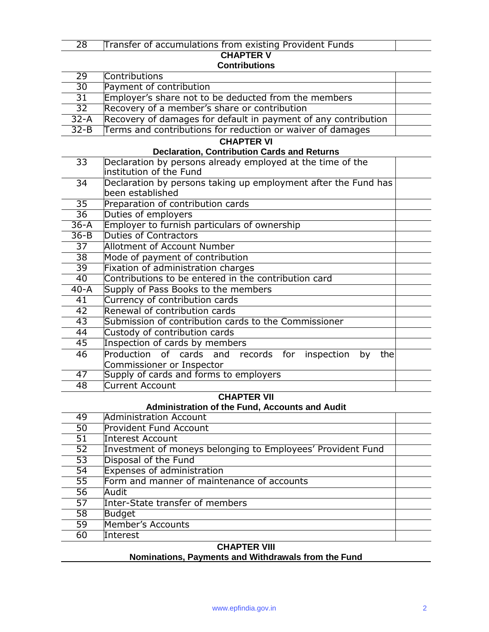# Transfer of accumulations from existing Provident Funds

# **CHAPTER V**

# **Contributions**

| 29              | Contributions                                                     |  |
|-----------------|-------------------------------------------------------------------|--|
| $30\,$          | Payment of contribution                                           |  |
| 31              | Employer's share not to be deducted from the members              |  |
| $\overline{32}$ | Recovery of a member's share or contribution                      |  |
| $32-A$          | Recovery of damages for default in payment of any contribution    |  |
| $32 - B$        | Terms and contributions for reduction or waiver of damages        |  |
|                 | <b>CHAPTER VI</b>                                                 |  |
|                 | <b>Declaration, Contribution Cards and Returns</b>                |  |
| 33              | Declaration by persons already employed at the time of the        |  |
|                 | linstitution of the Fund                                          |  |
| $\overline{3}4$ | Declaration by persons taking up employment after the Fund has    |  |
|                 | been established                                                  |  |
| $\overline{35}$ | Preparation of contribution cards                                 |  |
| $\overline{36}$ | Duties of employers                                               |  |
| $36-A$          | Employer to furnish particulars of ownership                      |  |
| $36 - B$        | Duties of Contractors                                             |  |
| $\overline{37}$ | <b>Allotment of Account Number</b>                                |  |
| $\overline{38}$ | Mode of payment of contribution                                   |  |
| 39              | Fixation of administration charges                                |  |
| $\overline{40}$ | Contributions to be entered in the contribution card              |  |
| $40 - A$        | Supply of Pass Books to the members                               |  |
| 41              | Currency of contribution cards                                    |  |
| $\overline{42}$ | Renewal of contribution cards                                     |  |
| 43              | Submission of contribution cards to the Commissioner              |  |
| 44              | Custody of contribution cards                                     |  |
| 45              | Inspection of cards by members                                    |  |
| 46              | Production of<br>cards and<br>records for inspection<br>by<br>the |  |
| $\overline{47}$ | Commissioner or Inspector                                         |  |
| 48              | Supply of cards and forms to employers<br><b>Current Account</b>  |  |
|                 | <b>CHAPTER VII</b>                                                |  |
|                 | <b>Administration of the Fund, Accounts and Audit</b>             |  |
| 49              | <b>Administration Account</b>                                     |  |
| $\overline{50}$ | <b>Provident Fund Account</b>                                     |  |
| $\overline{51}$ | <b>Interest Account</b>                                           |  |
| 52              | Investment of moneys belonging to Employees' Provident Fund       |  |
| 53              | Disposal of the Fund                                              |  |
| 54              | <b>Expenses of administration</b>                                 |  |
| 55              | Form and manner of maintenance of accounts                        |  |
| 56              | Audit                                                             |  |
| 57              | <b>Inter-State transfer of members</b>                            |  |
| $\overline{58}$ | Budget                                                            |  |
| $\overline{59}$ | <b>Member's Accounts</b>                                          |  |
| 60              | Interest                                                          |  |
|                 | <b>CHAPTER VIII</b>                                               |  |

## **Nominations, Payments and Withdrawals from the Fund**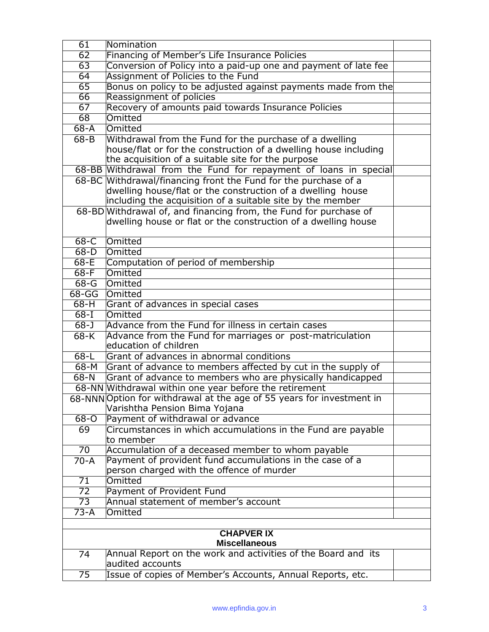| 61                | Nomination                                                            |  |
|-------------------|-----------------------------------------------------------------------|--|
| 62                | Financing of Member's Life Insurance Policies                         |  |
| 63                | Conversion of Policy into a paid-up one and payment of late fee       |  |
| 64                | Assignment of Policies to the Fund                                    |  |
| 65                | Bonus on policy to be adjusted against payments made from the         |  |
| 66                | Reassignment of policies                                              |  |
| 67                | Recovery of amounts paid towards Insurance Policies                   |  |
| 68                | Omitted                                                               |  |
| $68 - A$          | Omitted                                                               |  |
| $68 - B$          | Withdrawal from the Fund for the purchase of a dwelling               |  |
|                   | house/flat or for the construction of a dwelling house including      |  |
|                   | the acquisition of a suitable site for the purpose                    |  |
|                   | 68-BB Withdrawal from the Fund for repayment of loans in special      |  |
|                   | 68-BC Withdrawal/financing front the Fund for the purchase of a       |  |
|                   | dwelling house/flat or the construction of a dwelling house           |  |
|                   | including the acquisition of a suitable site by the member            |  |
|                   | 68-BD Withdrawal of, and financing from, the Fund for purchase of     |  |
|                   | dwelling house or flat or the construction of a dwelling house        |  |
|                   |                                                                       |  |
| $68-C$            | Omitted                                                               |  |
| $68-D$            | Omitted                                                               |  |
| $68-E$            | Computation of period of membership                                   |  |
| $68-F$            | Omitted                                                               |  |
| $68-G$            | Omitted                                                               |  |
| $68 - GG$         | Omitted                                                               |  |
| $68-H$            | Grant of advances in special cases                                    |  |
| $68 - 1$          | Omitted                                                               |  |
| $68 - J$          | Advance from the Fund for illness in certain cases                    |  |
| $68-K$            | Advance from the Fund for marriages or post-matriculation             |  |
|                   | education of children                                                 |  |
| $68 - L$          | Grant of advances in abnormal conditions                              |  |
| $68 - M$          | Grant of advance to members affected by cut in the supply of          |  |
| $68-N$            | Grant of advance to members who are physically handicapped            |  |
|                   | 68-NN Withdrawal within one year before the retirement                |  |
|                   | 68-NNN Option for withdrawal at the age of 55 years for investment in |  |
|                   | Varishtha Pension Bima Yojana                                         |  |
| $68 - 0$          | Payment of withdrawal or advance                                      |  |
| 69                | Circumstances in which accumulations in the Fund are payable          |  |
|                   | to member                                                             |  |
| $\overline{70}$   | Accumulation of a deceased member to whom payable                     |  |
| $70-A$            | Payment of provident fund accumulations in the case of a              |  |
|                   | person charged with the offence of murder                             |  |
| 71                | Omitted                                                               |  |
| 72                | Payment of Provident Fund                                             |  |
| $\overline{73}$   | Annual statement of member's account                                  |  |
| 73-A              | Omitted                                                               |  |
|                   |                                                                       |  |
| <b>CHAPVER IX</b> |                                                                       |  |
|                   | <b>Miscellaneous</b>                                                  |  |
| 74                | Annual Report on the work and activities of the Board and its         |  |
|                   | audited accounts                                                      |  |
| $\overline{75}$   | Issue of copies of Member's Accounts, Annual Reports, etc.            |  |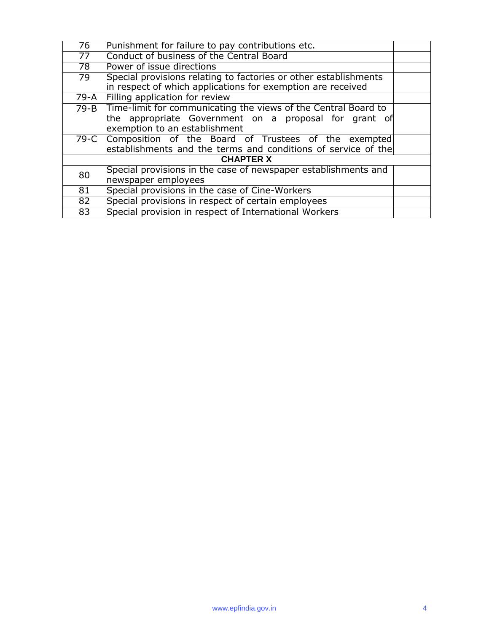| 76               | Punishment for failure to pay contributions etc.                 |  |
|------------------|------------------------------------------------------------------|--|
| 77               | Conduct of business of the Central Board                         |  |
| 78               | Power of issue directions                                        |  |
| 79               | Special provisions relating to factories or other establishments |  |
|                  | in respect of which applications for exemption are received      |  |
| 79-A             | Filling application for review                                   |  |
| 79-B             | Time-limit for communicating the views of the Central Board to   |  |
|                  | the appropriate Government on a proposal for grant of            |  |
|                  | exemption to an establishment                                    |  |
|                  | 79-C Composition of the Board of Trustees of the exempted        |  |
|                  | establishments and the terms and conditions of service of the    |  |
| <b>CHAPTER X</b> |                                                                  |  |
| 80               | Special provisions in the case of newspaper establishments and   |  |
|                  | newspaper employees                                              |  |
| 81               | Special provisions in the case of Cine-Workers                   |  |
| 82               | Special provisions in respect of certain employees               |  |
| $\overline{83}$  | Special provision in respect of International Workers            |  |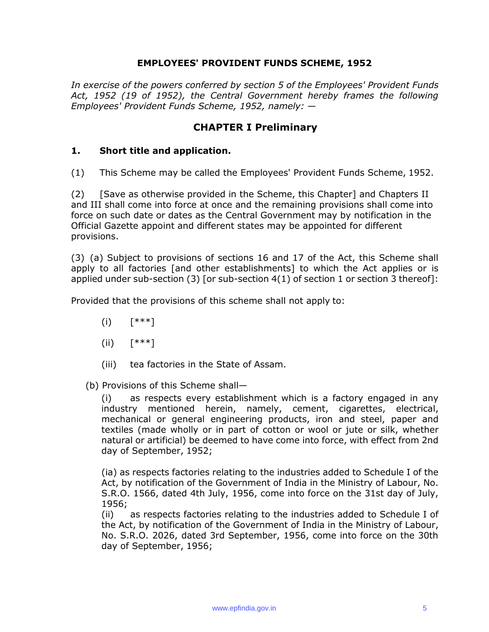#### **EMPLOYEES' PROVIDENT FUNDS SCHEME, 1952**

*In exercise of the powers conferred by section 5 of the Employees' Provident Funds Act, 1952 (19 of 1952), the Central Government hereby frames the following Employees' Provident Funds Scheme, 1952, namely: —*

### **CHAPTER I Preliminary**

#### **1. Short title and application.**

(1) This Scheme may be called the Employees' Provident Funds Scheme, 1952.

(2) [Save as otherwise provided in the Scheme, this Chapter] and Chapters II and III shall come into force at once and the remaining provisions shall come into force on such date or dates as the Central Government may by notification in the Official Gazette appoint and different states may be appointed for different provisions.

(3) (a) Subject to provisions of sections 16 and 17 of the Act, this Scheme shall apply to all factories [and other establishments] to which the Act applies or is applied under sub-section (3) [or sub-section 4(1) of section 1 or section 3 thereof]:

Provided that the provisions of this scheme shall not apply to:

- (i) [\*\*\*]
- $(iii)$   $[***!]$
- (iii) tea factories in the State of Assam.

(b) Provisions of this Scheme shall—

(i) as respects every establishment which is a factory engaged in any industry mentioned herein, namely, cement, cigarettes, electrical, mechanical or general engineering products, iron and steel, paper and textiles (made wholly or in part of cotton or wool or jute or silk, whether natural or artificial) be deemed to have come into force, with effect from 2nd day of September, 1952;

(ia) as respects factories relating to the industries added to Schedule I of the Act, by notification of the Government of India in the Ministry of Labour, No. S.R.O. 1566, dated 4th July, 1956, come into force on the 31st day of July, 1956;

(ii) as respects factories relating to the industries added to Schedule I of the Act, by notification of the Government of India in the Ministry of Labour, No. S.R.O. 2026, dated 3rd September, 1956, come into force on the 30th day of September, 1956;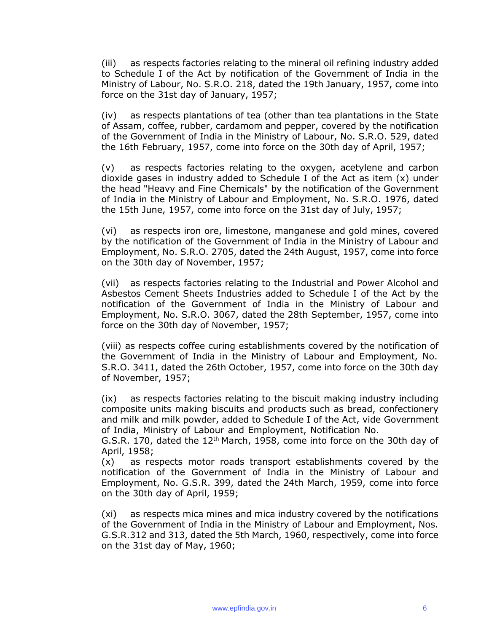(iii) as respects factories relating to the mineral oil refining industry added to Schedule I of the Act by notification of the Government of India in the Ministry of Labour, No. S.R.O. 218, dated the 19th January, 1957, come into force on the 31st day of January, 1957;

(iv) as respects plantations of tea (other than tea plantations in the State of Assam, coffee, rubber, cardamom and pepper, covered by the notification of the Government of India in the Ministry of Labour, No. S.R.O. 529, dated the 16th February, 1957, come into force on the 30th day of April, 1957;

(v) as respects factories relating to the oxygen, acetylene and carbon dioxide gases in industry added to Schedule I of the Act as item (x) under the head "Heavy and Fine Chemicals" by the notification of the Government of India in the Ministry of Labour and Employment, No. S.R.O. 1976, dated the 15th June, 1957, come into force on the 31st day of July, 1957;

(vi) as respects iron ore, limestone, manganese and gold mines, covered by the notification of the Government of India in the Ministry of Labour and Employment, No. S.R.O. 2705, dated the 24th August, 1957, come into force on the 30th day of November, 1957;

(vii) as respects factories relating to the Industrial and Power Alcohol and Asbestos Cement Sheets Industries added to Schedule I of the Act by the notification of the Government of India in the Ministry of Labour and Employment, No. S.R.O. 3067, dated the 28th September, 1957, come into force on the 30th day of November, 1957;

(viii) as respects coffee curing establishments covered by the notification of the Government of India in the Ministry of Labour and Employment, No. S.R.O. 3411, dated the 26th October, 1957, come into force on the 30th day of November, 1957;

(ix) as respects factories relating to the biscuit making industry including composite units making biscuits and products such as bread, confectionery and milk and milk powder, added to Schedule I of the Act, vide Government of India, Ministry of Labour and Employment, Notification No.

G.S.R. 170, dated the 12<sup>th</sup> March, 1958, come into force on the 30th day of April, 1958;

(x) as respects motor roads transport establishments covered by the notification of the Government of India in the Ministry of Labour and Employment, No. G.S.R. 399, dated the 24th March, 1959, come into force on the 30th day of April, 1959;

(xi) as respects mica mines and mica industry covered by the notifications of the Government of India in the Ministry of Labour and Employment, Nos. G.S.R.312 and 313, dated the 5th March, 1960, respectively, come into force on the 31st day of May, 1960;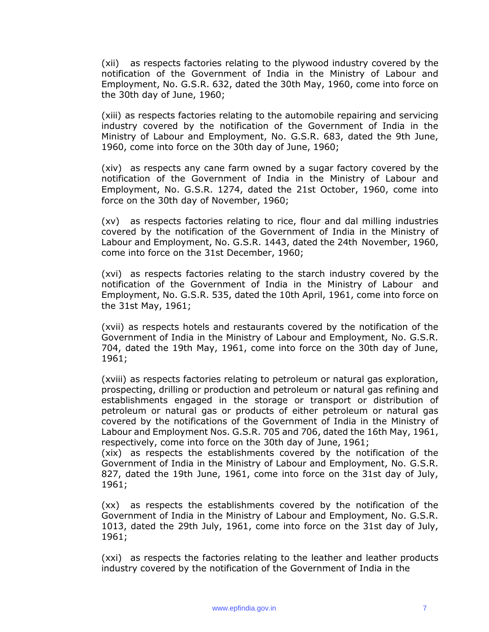(xii) as respects factories relating to the plywood industry covered by the notification of the Government of India in the Ministry of Labour and Employment, No. G.S.R. 632, dated the 30th May, 1960, come into force on the 30th day of June, 1960;

(xiii) as respects factories relating to the automobile repairing and servicing industry covered by the notification of the Government of India in the Ministry of Labour and Employment, No. G.S.R. 683, dated the 9th June, 1960, come into force on the 30th day of June, 1960;

(xiv) as respects any cane farm owned by a sugar factory covered by the notification of the Government of India in the Ministry of Labour and Employment, No. G.S.R. 1274, dated the 21st October, 1960, come into force on the 30th day of November, 1960;

(xv) as respects factories relating to rice, flour and dal milling industries covered by the notification of the Government of India in the Ministry of Labour and Employment, No. G.S.R. 1443, dated the 24th November, 1960, come into force on the 31st December, 1960;

(xvi) as respects factories relating to the starch industry covered by the notification of the Government of India in the Ministry of Labour and Employment, No. G.S.R. 535, dated the 10th April, 1961, come into force on the 31st May, 1961;

(xvii) as respects hotels and restaurants covered by the notification of the Government of India in the Ministry of Labour and Employment, No. G.S.R. 704, dated the 19th May, 1961, come into force on the 30th day of June, 1961;

(xviii) as respects factories relating to petroleum or natural gas exploration, prospecting, drilling or production and petroleum or natural gas refining and establishments engaged in the storage or transport or distribution of petroleum or natural gas or products of either petroleum or natural gas covered by the notifications of the Government of India in the Ministry of Labour and Employment Nos. G.S.R. 705 and 706, dated the 16th May, 1961, respectively, come into force on the 30th day of June, 1961;

(xix) as respects the establishments covered by the notification of the Government of India in the Ministry of Labour and Employment, No. G.S.R. 827, dated the 19th June, 1961, come into force on the 31st day of July, 1961;

(xx) as respects the establishments covered by the notification of the Government of India in the Ministry of Labour and Employment, No. G.S.R. 1013, dated the 29th July, 1961, come into force on the 31st day of July, 1961;

(xxi) as respects the factories relating to the leather and leather products industry covered by the notification of the Government of India in the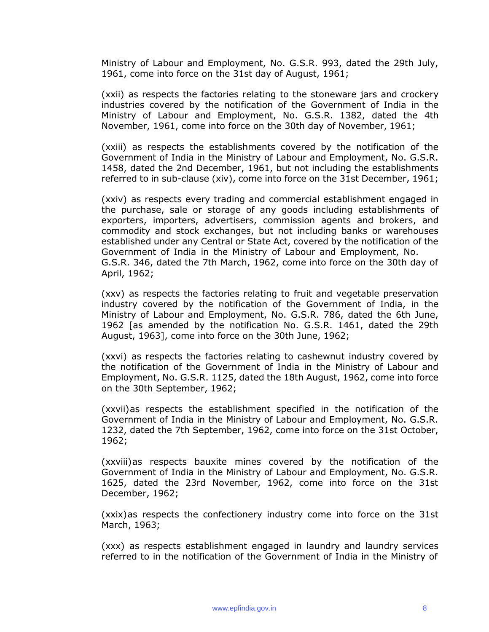Ministry of Labour and Employment, No. G.S.R. 993, dated the 29th July, 1961, come into force on the 31st day of August, 1961;

(xxii) as respects the factories relating to the stoneware jars and crockery industries covered by the notification of the Government of India in the Ministry of Labour and Employment, No. G.S.R. 1382, dated the 4th November, 1961, come into force on the 30th day of November, 1961;

(xxiii) as respects the establishments covered by the notification of the Government of India in the Ministry of Labour and Employment, No. G.S.R. 1458, dated the 2nd December, 1961, but not including the establishments referred to in sub-clause (xiv), come into force on the 31st December, 1961;

(xxiv) as respects every trading and commercial establishment engaged in the purchase, sale or storage of any goods including establishments of exporters, importers, advertisers, commission agents and brokers, and commodity and stock exchanges, but not including banks or warehouses established under any Central or State Act, covered by the notification of the Government of India in the Ministry of Labour and Employment, No. G.S.R. 346, dated the 7th March, 1962, come into force on the 30th day of April, 1962;

(xxv) as respects the factories relating to fruit and vegetable preservation industry covered by the notification of the Government of India, in the Ministry of Labour and Employment, No. G.S.R. 786, dated the 6th June, 1962 [as amended by the notification No. G.S.R. 1461, dated the 29th August, 1963], come into force on the 30th June, 1962;

(xxvi) as respects the factories relating to cashewnut industry covered by the notification of the Government of India in the Ministry of Labour and Employment, No. G.S.R. 1125, dated the 18th August, 1962, come into force on the 30th September, 1962;

(xxvii)as respects the establishment specified in the notification of the Government of India in the Ministry of Labour and Employment, No. G.S.R. 1232, dated the 7th September, 1962, come into force on the 31st October, 1962;

(xxviii)as respects bauxite mines covered by the notification of the Government of India in the Ministry of Labour and Employment, No. G.S.R. 1625, dated the 23rd November, 1962, come into force on the 31st December, 1962;

(xxix)as respects the confectionery industry come into force on the 31st March, 1963;

(xxx) as respects establishment engaged in laundry and laundry services referred to in the notification of the Government of India in the Ministry of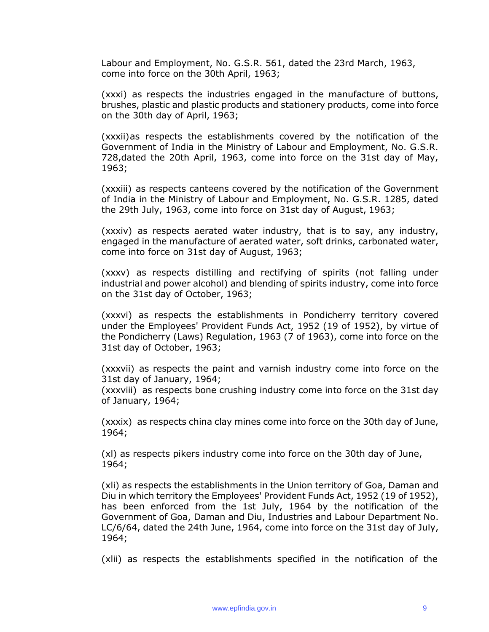Labour and Employment, No. G.S.R. 561, dated the 23rd March, 1963, come into force on the 30th April, 1963;

(xxxi) as respects the industries engaged in the manufacture of buttons, brushes, plastic and plastic products and stationery products, come into force on the 30th day of April, 1963;

(xxxii)as respects the establishments covered by the notification of the Government of India in the Ministry of Labour and Employment, No. G.S.R. 728,dated the 20th April, 1963, come into force on the 31st day of May, 1963;

(xxxiii) as respects canteens covered by the notification of the Government of India in the Ministry of Labour and Employment, No. G.S.R. 1285, dated the 29th July, 1963, come into force on 31st day of August, 1963;

(xxxiv) as respects aerated water industry, that is to say, any industry, engaged in the manufacture of aerated water, soft drinks, carbonated water, come into force on 31st day of August, 1963;

(xxxv) as respects distilling and rectifying of spirits (not falling under industrial and power alcohol) and blending of spirits industry, come into force on the 31st day of October, 1963;

(xxxvi) as respects the establishments in Pondicherry territory covered under the Employees' Provident Funds Act, 1952 (19 of 1952), by virtue of the Pondicherry (Laws) Regulation, 1963 (7 of 1963), come into force on the 31st day of October, 1963;

(xxxvii) as respects the paint and varnish industry come into force on the 31st day of January, 1964;

(xxxviii) as respects bone crushing industry come into force on the 31st day of January, 1964;

(xxxix) as respects china clay mines come into force on the 30th day of June, 1964;

(xl) as respects pikers industry come into force on the 30th day of June, 1964;

(xli) as respects the establishments in the Union territory of Goa, Daman and Diu in which territory the Employees' Provident Funds Act, 1952 (19 of 1952), has been enforced from the 1st July, 1964 by the notification of the Government of Goa, Daman and Diu, Industries and Labour Department No. LC/6/64, dated the 24th June, 1964, come into force on the 31st day of July, 1964;

(xlii) as respects the establishments specified in the notification of the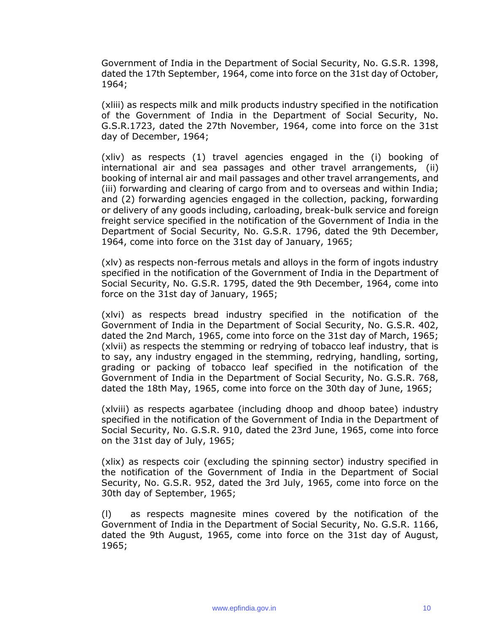Government of India in the Department of Social Security, No. G.S.R. 1398, dated the 17th September, 1964, come into force on the 31st day of October, 1964;

(xliii) as respects milk and milk products industry specified in the notification of the Government of India in the Department of Social Security, No. G.S.R.1723, dated the 27th November, 1964, come into force on the 31st day of December, 1964;

(xliv) as respects (1) travel agencies engaged in the (i) booking of international air and sea passages and other travel arrangements, (ii) booking of internal air and mail passages and other travel arrangements, and (iii) forwarding and clearing of cargo from and to overseas and within India; and (2) forwarding agencies engaged in the collection, packing, forwarding or delivery of any goods including, carloading, break-bulk service and foreign freight service specified in the notification of the Government of India in the Department of Social Security, No. G.S.R. 1796, dated the 9th December, 1964, come into force on the 31st day of January, 1965;

(xlv) as respects non-ferrous metals and alloys in the form of ingots industry specified in the notification of the Government of India in the Department of Social Security, No. G.S.R. 1795, dated the 9th December, 1964, come into force on the 31st day of January, 1965;

(xlvi) as respects bread industry specified in the notification of the Government of India in the Department of Social Security, No. G.S.R. 402, dated the 2nd March, 1965, come into force on the 31st day of March, 1965; (xlvii) as respects the stemming or redrying of tobacco leaf industry, that is to say, any industry engaged in the stemming, redrying, handling, sorting, grading or packing of tobacco leaf specified in the notification of the Government of India in the Department of Social Security, No. G.S.R. 768, dated the 18th May, 1965, come into force on the 30th day of June, 1965;

(xlviii) as respects agarbatee (including dhoop and dhoop batee) industry specified in the notification of the Government of India in the Department of Social Security, No. G.S.R. 910, dated the 23rd June, 1965, come into force on the 31st day of July, 1965;

(xlix) as respects coir (excluding the spinning sector) industry specified in the notification of the Government of India in the Department of Social Security, No. G.S.R. 952, dated the 3rd July, 1965, come into force on the 30th day of September, 1965;

(l) as respects magnesite mines covered by the notification of the Government of India in the Department of Social Security, No. G.S.R. 1166, dated the 9th August, 1965, come into force on the 31st day of August, 1965;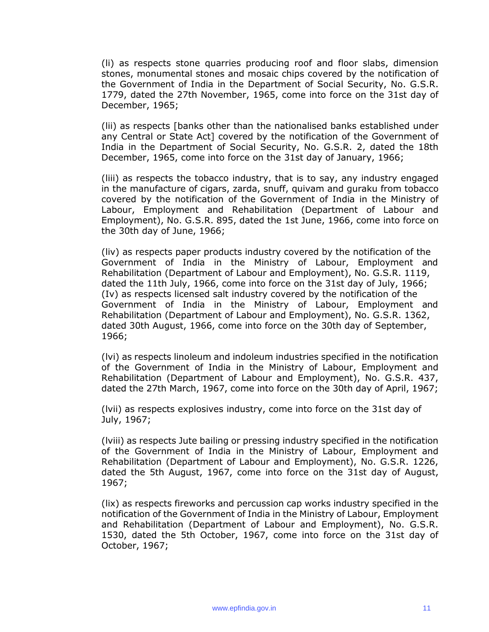(li) as respects stone quarries producing roof and floor slabs, dimension stones, monumental stones and mosaic chips covered by the notification of the Government of India in the Department of Social Security, No. G.S.R. 1779, dated the 27th November, 1965, come into force on the 31st day of December, 1965;

(lii) as respects [banks other than the nationalised banks established under any Central or State Act] covered by the notification of the Government of India in the Department of Social Security, No. G.S.R. 2, dated the 18th December, 1965, come into force on the 31st day of January, 1966;

(liii) as respects the tobacco industry, that is to say, any industry engaged in the manufacture of cigars, zarda, snuff, quivam and guraku from tobacco covered by the notification of the Government of India in the Ministry of Labour, Employment and Rehabilitation (Department of Labour and Employment), No. G.S.R. 895, dated the 1st June, 1966, come into force on the 30th day of June, 1966;

(liv) as respects paper products industry covered by the notification of the Government of India in the Ministry of Labour, Employment and Rehabilitation (Department of Labour and Employment), No. G.S.R. 1119, dated the 11th July, 1966, come into force on the 31st day of July, 1966; (Iv) as respects licensed salt industry covered by the notification of the Government of India in the Ministry of Labour, Employment and Rehabilitation (Department of Labour and Employment), No. G.S.R. 1362, dated 30th August, 1966, come into force on the 30th day of September, 1966;

(lvi) as respects linoleum and indoleum industries specified in the notification of the Government of India in the Ministry of Labour, Employment and Rehabilitation (Department of Labour and Employment), No. G.S.R. 437, dated the 27th March, 1967, come into force on the 30th day of April, 1967;

(lvii) as respects explosives industry, come into force on the 31st day of July, 1967;

(lviii) as respects Jute bailing or pressing industry specified in the notification of the Government of India in the Ministry of Labour, Employment and Rehabilitation (Department of Labour and Employment), No. G.S.R. 1226, dated the 5th August, 1967, come into force on the 31st day of August, 1967;

(lix) as respects fireworks and percussion cap works industry specified in the notification of the Government of India in the Ministry of Labour, Employment and Rehabilitation (Department of Labour and Employment), No. G.S.R. 1530, dated the 5th October, 1967, come into force on the 31st day of October, 1967;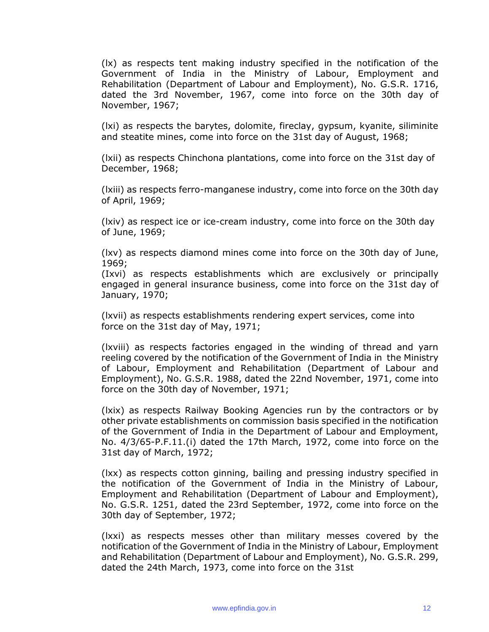(lx) as respects tent making industry specified in the notification of the Government of India in the Ministry of Labour, Employment and Rehabilitation (Department of Labour and Employment), No. G.S.R. 1716, dated the 3rd November, 1967, come into force on the 30th day of November, 1967;

(lxi) as respects the barytes, dolomite, fireclay, gypsum, kyanite, siliminite and steatite mines, come into force on the 31st day of August, 1968;

(lxii) as respects Chinchona plantations, come into force on the 31st day of December, 1968;

(lxiii) as respects ferro-manganese industry, come into force on the 30th day of April, 1969;

(lxiv) as respect ice or ice-cream industry, come into force on the 30th day of June, 1969;

(lxv) as respects diamond mines come into force on the 30th day of June, 1969;

(Ixvi) as respects establishments which are exclusively or principally engaged in general insurance business, come into force on the 31st day of January, 1970;

(lxvii) as respects establishments rendering expert services, come into force on the 31st day of May, 1971;

(lxviii) as respects factories engaged in the winding of thread and yarn reeling covered by the notification of the Government of India in the Ministry of Labour, Employment and Rehabilitation (Department of Labour and Employment), No. G.S.R. 1988, dated the 22nd November, 1971, come into force on the 30th day of November, 1971;

(lxix) as respects Railway Booking Agencies run by the contractors or by other private establishments on commission basis specified in the notification of the Government of India in the Department of Labour and Employment, No. 4/3/65-P.F.11.(i) dated the 17th March, 1972, come into force on the 31st day of March, 1972;

(lxx) as respects cotton ginning, bailing and pressing industry specified in the notification of the Government of India in the Ministry of Labour, Employment and Rehabilitation (Department of Labour and Employment), No. G.S.R. 1251, dated the 23rd September, 1972, come into force on the 30th day of September, 1972;

(lxxi) as respects messes other than military messes covered by the notification of the Government of India in the Ministry of Labour, Employment and Rehabilitation (Department of Labour and Employment), No. G.S.R. 299, dated the 24th March, 1973, come into force on the 31st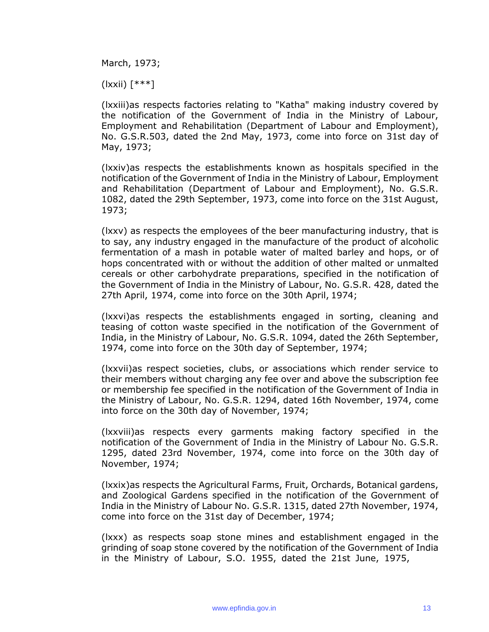March, 1973;

(lxxii) [\*\*\*]

(lxxiii)as respects factories relating to "Katha" making industry covered by the notification of the Government of India in the Ministry of Labour, Employment and Rehabilitation (Department of Labour and Employment), No. G.S.R.503, dated the 2nd May, 1973, come into force on 31st day of May, 1973;

(lxxiv)as respects the establishments known as hospitals specified in the notification of the Government of India in the Ministry of Labour, Employment and Rehabilitation (Department of Labour and Employment), No. G.S.R. 1082, dated the 29th September, 1973, come into force on the 31st August, 1973;

(lxxv) as respects the employees of the beer manufacturing industry, that is to say, any industry engaged in the manufacture of the product of alcoholic fermentation of a mash in potable water of malted barley and hops, or of hops concentrated with or without the addition of other malted or unmalted cereals or other carbohydrate preparations, specified in the notification of the Government of India in the Ministry of Labour, No. G.S.R. 428, dated the 27th April, 1974, come into force on the 30th April, 1974;

(lxxvi)as respects the establishments engaged in sorting, cleaning and teasing of cotton waste specified in the notification of the Government of India, in the Ministry of Labour, No. G.S.R. 1094, dated the 26th September, 1974, come into force on the 30th day of September, 1974;

(lxxvii)as respect societies, clubs, or associations which render service to their members without charging any fee over and above the subscription fee or membership fee specified in the notification of the Government of India in the Ministry of Labour, No. G.S.R. 1294, dated 16th November, 1974, come into force on the 30th day of November, 1974;

(lxxviii)as respects every garments making factory specified in the notification of the Government of India in the Ministry of Labour No. G.S.R. 1295, dated 23rd November, 1974, come into force on the 30th day of November, 1974;

(lxxix)as respects the Agricultural Farms, Fruit, Orchards, Botanical gardens, and Zoological Gardens specified in the notification of the Government of India in the Ministry of Labour No. G.S.R. 1315, dated 27th November, 1974, come into force on the 31st day of December, 1974;

(lxxx) as respects soap stone mines and establishment engaged in the grinding of soap stone covered by the notification of the Government of India in the Ministry of Labour, S.O. 1955, dated the 21st June, 1975,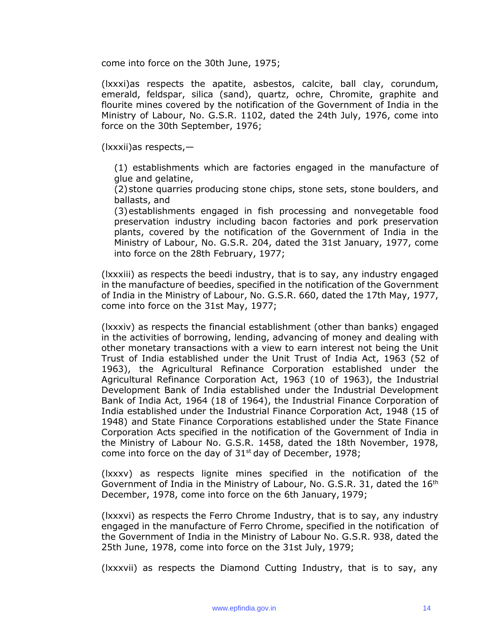come into force on the 30th June, 1975;

(lxxxi)as respects the apatite, asbestos, calcite, ball clay, corundum, emerald, feldspar, silica (sand), quartz, ochre, Chromite, graphite and flourite mines covered by the notification of the Government of India in the Ministry of Labour, No. G.S.R. 1102, dated the 24th July, 1976, come into force on the 30th September, 1976;

(lxxxii)as respects,—

(1) establishments which are factories engaged in the manufacture of glue and gelatine,

(2)stone quarries producing stone chips, stone sets, stone boulders, and ballasts, and

(3)establishments engaged in fish processing and nonvegetable food preservation industry including bacon factories and pork preservation plants, covered by the notification of the Government of India in the Ministry of Labour, No. G.S.R. 204, dated the 31st January, 1977, come into force on the 28th February, 1977;

(lxxxiii) as respects the beedi industry, that is to say, any industry engaged in the manufacture of beedies, specified in the notification of the Government of India in the Ministry of Labour, No. G.S.R. 660, dated the 17th May, 1977, come into force on the 31st May, 1977;

(lxxxiv) as respects the financial establishment (other than banks) engaged in the activities of borrowing, lending, advancing of money and dealing with other monetary transactions with a view to earn interest not being the Unit Trust of India established under the Unit Trust of India Act, 1963 (52 of 1963), the Agricultural Refinance Corporation established under the Agricultural Refinance Corporation Act, 1963 (10 of 1963), the Industrial Development Bank of India established under the Industrial Development Bank of India Act, 1964 (18 of 1964), the Industrial Finance Corporation of India established under the Industrial Finance Corporation Act, 1948 (15 of 1948) and State Finance Corporations established under the State Finance Corporation Acts specified in the notification of the Government of India in the Ministry of Labour No. G.S.R. 1458, dated the 18th November, 1978, come into force on the day of  $31<sup>st</sup>$  day of December, 1978;

(lxxxv) as respects lignite mines specified in the notification of the Government of India in the Ministry of Labour, No. G.S.R. 31, dated the 16<sup>th</sup> December, 1978, come into force on the 6th January, 1979;

(lxxxvi) as respects the Ferro Chrome Industry, that is to say, any industry engaged in the manufacture of Ferro Chrome, specified in the notification of the Government of India in the Ministry of Labour No. G.S.R. 938, dated the 25th June, 1978, come into force on the 31st July, 1979;

(lxxxvii) as respects the Diamond Cutting Industry, that is to say, any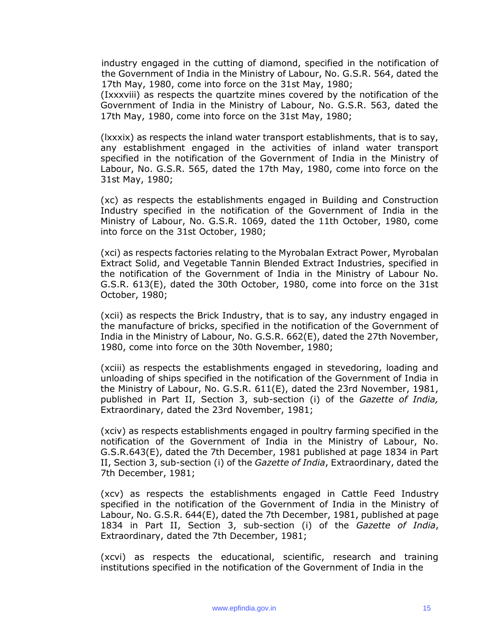industry engaged in the cutting of diamond, specified in the notification of the Government of India in the Ministry of Labour, No. G.S.R. 564, dated the 17th May, 1980, come into force on the 31st May, 1980;

(Ixxxviii) as respects the quartzite mines covered by the notification of the Government of India in the Ministry of Labour, No. G.S.R. 563, dated the 17th May, 1980, come into force on the 31st May, 1980;

(lxxxix) as respects the inland water transport establishments, that is to say, any establishment engaged in the activities of inland water transport specified in the notification of the Government of India in the Ministry of Labour, No. G.S.R. 565, dated the 17th May, 1980, come into force on the 31st May, 1980;

(xc) as respects the establishments engaged in Building and Construction Industry specified in the notification of the Government of India in the Ministry of Labour, No. G.S.R. 1069, dated the 11th October, 1980, come into force on the 31st October, 1980;

(xci) as respects factories relating to the Myrobalan Extract Power, Myrobalan Extract Solid, and Vegetable Tannin Blended Extract Industries, specified in the notification of the Government of India in the Ministry of Labour No. G.S.R. 613(E), dated the 30th October, 1980, come into force on the 31st October, 1980;

(xcii) as respects the Brick Industry, that is to say, any industry engaged in the manufacture of bricks, specified in the notification of the Government of India in the Ministry of Labour, No. G.S.R. 662(E), dated the 27th November, 1980, come into force on the 30th November, 1980;

(xciii) as respects the establishments engaged in stevedoring, loading and unloading of ships specified in the notification of the Government of India in the Ministry of Labour, No. G.S.R. 611(E), dated the 23rd November, 1981, published in Part II, Section 3, sub-section (i) of the *Gazette of India,*  Extraordinary, dated the 23rd November, 1981;

(xciv) as respects establishments engaged in poultry farming specified in the notification of the Government of India in the Ministry of Labour, No. G.S.R.643(E), dated the 7th December, 1981 published at page 1834 in Part II, Section 3, sub-section (i) of the *Gazette of India*, Extraordinary, dated the 7th December, 1981;

(xcv) as respects the establishments engaged in Cattle Feed Industry specified in the notification of the Government of India in the Ministry of Labour, No. G.S.R. 644(E), dated the 7th December, 1981, published at page 1834 in Part II, Section 3, sub-section (i) of the *Gazette of India*, Extraordinary, dated the 7th December, 1981;

(xcvi) as respects the educational, scientific, research and training institutions specified in the notification of the Government of India in the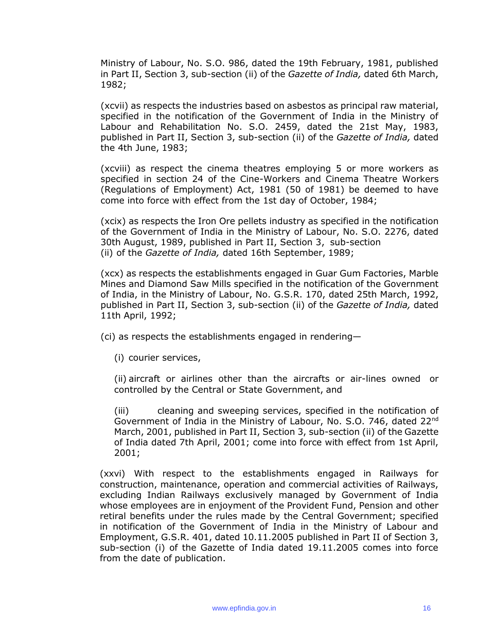Ministry of Labour, No. S.O. 986, dated the 19th February, 1981, published in Part II, Section 3, sub-section (ii) of the *Gazette of India,* dated 6th March, 1982;

(xcvii) as respects the industries based on asbestos as principal raw material, specified in the notification of the Government of India in the Ministry of Labour and Rehabilitation No. S.O. 2459, dated the 21st May, 1983, published in Part II, Section 3, sub-section (ii) of the *Gazette of India,* dated the 4th June, 1983;

(xcviii) as respect the cinema theatres employing 5 or more workers as specified in section 24 of the Cine-Workers and Cinema Theatre Workers (Regulations of Employment) Act, 1981 (50 of 1981) be deemed to have come into force with effect from the 1st day of October, 1984;

(xcix) as respects the Iron Ore pellets industry as specified in the notification of the Government of India in the Ministry of Labour, No. S.O. 2276, dated 30th August, 1989, published in Part II, Section 3, sub-section (ii) of the *Gazette of India,* dated 16th September, 1989;

(xcx) as respects the establishments engaged in Guar Gum Factories, Marble Mines and Diamond Saw Mills specified in the notification of the Government of India, in the Ministry of Labour, No. G.S.R. 170, dated 25th March, 1992, published in Part II, Section 3, sub-section (ii) of the *Gazette of India,* dated 11th April, 1992;

(ci) as respects the establishments engaged in rendering—

(i) courier services,

(ii) aircraft or airlines other than the aircrafts or air-lines owned or controlled by the Central or State Government, and

(iii) cleaning and sweeping services, specified in the notification of Government of India in the Ministry of Labour, No. S.O. 746, dated 22nd March, 2001, published in Part II, Section 3, sub-section (ii) of the Gazette of India dated 7th April, 2001; come into force with effect from 1st April, 2001;

(xxvi) With respect to the establishments engaged in Railways for construction, maintenance, operation and commercial activities of Railways, excluding Indian Railways exclusively managed by Government of India whose employees are in enjoyment of the Provident Fund, Pension and other retiral benefits under the rules made by the Central Government; specified in notification of the Government of India in the Ministry of Labour and Employment, G.S.R. 401, dated 10.11.2005 published in Part II of Section 3, sub-section (i) of the Gazette of India dated 19.11.2005 comes into force from the date of publication.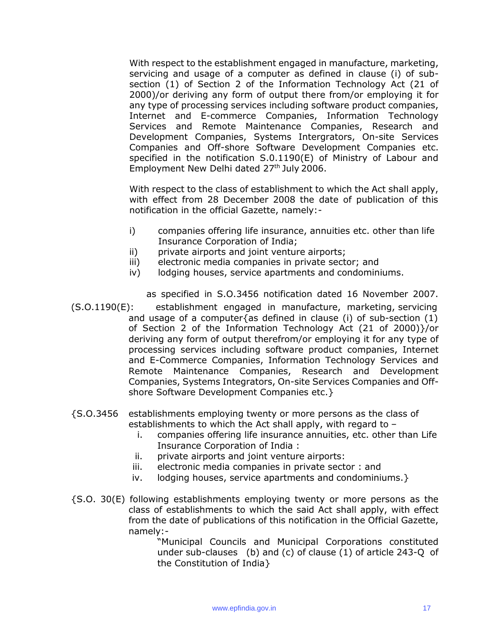With respect to the establishment engaged in manufacture, marketing, servicing and usage of a computer as defined in clause (i) of subsection (1) of Section 2 of the Information Technology Act (21 of 2000)/or deriving any form of output there from/or employing it for any type of processing services including software product companies, Internet and E-commerce Companies, Information Technology Services and Remote Maintenance Companies, Research and Development Companies, Systems Intergrators, On-site Services Companies and Off-shore Software Development Companies etc. specified in the notification S.0.1190(E) of Ministry of Labour and Employment New Delhi dated 27<sup>th</sup> July 2006.

With respect to the class of establishment to which the Act shall apply, with effect from 28 December 2008 the date of publication of this notification in the official Gazette, namely:-

- i) companies offering life insurance, annuities etc. other than life Insurance Corporation of India;
- ii) private airports and joint venture airports;
- iii) electronic media companies in private sector; and
- iv) lodging houses, service apartments and condominiums.

as specified in S.O.3456 notification dated 16 November 2007. (S.O.1190(E): establishment engaged in manufacture, marketing, servicing and usage of a computer{as defined in clause (i) of sub-section  $(1)$ of Section 2 of the Information Technology Act (21 of 2000)}/or deriving any form of output therefrom/or employing it for any type of processing services including software product companies, Internet and E-Commerce Companies, Information Technology Services and Remote Maintenance Companies, Research and Development Companies, Systems Integrators, On-site Services Companies and Offshore Software Development Companies etc.}

- {S.O.3456 establishments employing twenty or more persons as the class of establishments to which the Act shall apply, with regard to –
	- i. companies offering life insurance annuities, etc. other than Life Insurance Corporation of India :
	- ii. private airports and joint venture airports:
	- iii. electronic media companies in private sector : and
	- iv. lodging houses, service apartments and condominiums.}
- {S.O. 30(E) following establishments employing twenty or more persons as the class of establishments to which the said Act shall apply, with effect from the date of publications of this notification in the Official Gazette, namely:-

"Municipal Councils and Municipal Corporations constituted under sub-clauses (b) and (c) of clause (1) of article 243-Q of the Constitution of India}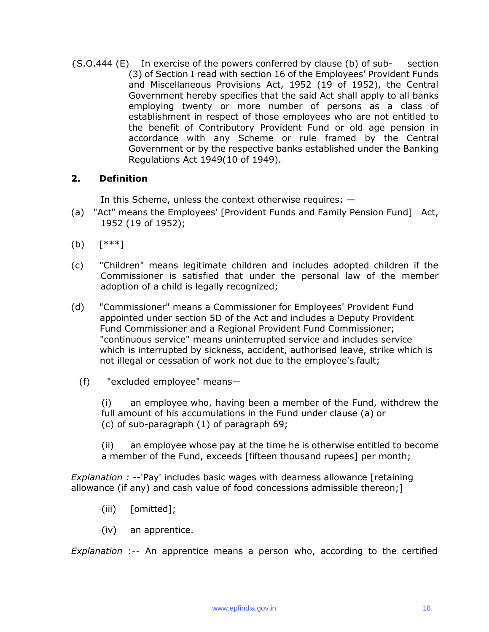{S.O.444 (E) In exercise of the powers conferred by clause (b) of sub- section (3) of Section I read with section 16 of the Employees' Provident Funds and Miscellaneous Provisions Act, 1952 (19 of 1952), the Central Government hereby specifies that the said Act shall apply to all banks employing twenty or more number of persons as a class of establishment in respect of those employees who are not entitled to the benefit of Contributory Provident Fund or old age pension in accordance with any Scheme or rule framed by the Central Government or by the respective banks established under the Banking Regulations Act 1949(10 of 1949).

#### **2. Definition**

In this Scheme, unless the context otherwise requires: —

- (a) "Act" means the Employees' [Provident Funds and Family Pension Fund] Act, 1952 (19 of 1952);
- (b) [\*\*\*]
- (c) "Children" means legitimate children and includes adopted children if the Commissioner is satisfied that under the personal law of the member adoption of a child is legally recognized;
- (d) "Commissioner" means a Commissioner for Employees' Provident Fund appointed under section 5D of the Act and includes a Deputy Provident Fund Commissioner and a Regional Provident Fund Commissioner; "continuous service" means uninterrupted service and includes service which is interrupted by sickness, accident, authorised leave, strike which is not illegal or cessation of work not due to the employee's fault;
	- (f) "excluded employee" means—

(i) an employee who, having been a member of the Fund, withdrew the full amount of his accumulations in the Fund under clause (a) or (c) of sub-paragraph (1) of paragraph 69;

(ii) an employee whose pay at the time he is otherwise entitled to become a member of the Fund, exceeds [fifteen thousand rupees] per month;

*Explanation :* --'Pay' includes basic wages with dearness allowance [retaining allowance (if any) and cash value of food concessions admissible thereon;]

- (iii) [omitted];
- (iv) an apprentice.

*Explanation* :-- An apprentice means a person who, according to the certified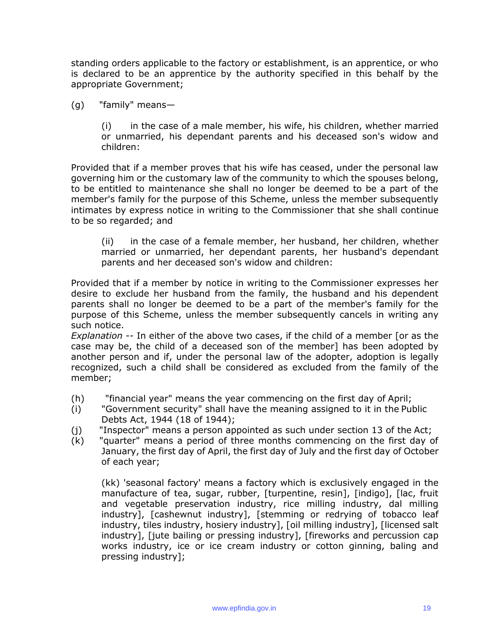standing orders applicable to the factory or establishment, is an apprentice, or who is declared to be an apprentice by the authority specified in this behalf by the appropriate Government;

(g) "family" means—

(i) in the case of a male member, his wife, his children, whether married or unmarried, his dependant parents and his deceased son's widow and children:

Provided that if a member proves that his wife has ceased, under the personal law governing him or the customary law of the community to which the spouses belong, to be entitled to maintenance she shall no longer be deemed to be a part of the member's family for the purpose of this Scheme, unless the member subsequently intimates by express notice in writing to the Commissioner that she shall continue to be so regarded; and

(ii) in the case of a female member, her husband, her children, whether married or unmarried, her dependant parents, her husband's dependant parents and her deceased son's widow and children:

Provided that if a member by notice in writing to the Commissioner expresses her desire to exclude her husband from the family, the husband and his dependent parents shall no longer be deemed to be a part of the member's family for the purpose of this Scheme, unless the member subsequently cancels in writing any such notice.

*Explanation --* In either of the above two cases, if the child of a member [or as the case may be, the child of a deceased son of the member] has been adopted by another person and if, under the personal law of the adopter, adoption is legally recognized, such a child shall be considered as excluded from the family of the member;

- (h) "financial year" means the year commencing on the first day of April;
- (i) "Government security" shall have the meaning assigned to it in the Public Debts Act, 1944 (18 of 1944);
- (j) "Inspector" means a person appointed as such under section 13 of the Act;
- (k) "quarter" means a period of three months commencing on the first day of January, the first day of April, the first day of July and the first day of October of each year;

(kk) 'seasonal factory' means a factory which is exclusively engaged in the manufacture of tea, sugar, rubber, [turpentine, resin], [indigo], [lac, fruit and vegetable preservation industry, rice milling industry, dal milling industry], [cashewnut industry], [stemming or redrying of tobacco leaf industry, tiles industry, hosiery industry], [oil milling industry], [licensed salt industry], [jute bailing or pressing industry], [fireworks and percussion cap works industry, ice or ice cream industry or cotton ginning, baling and pressing industry];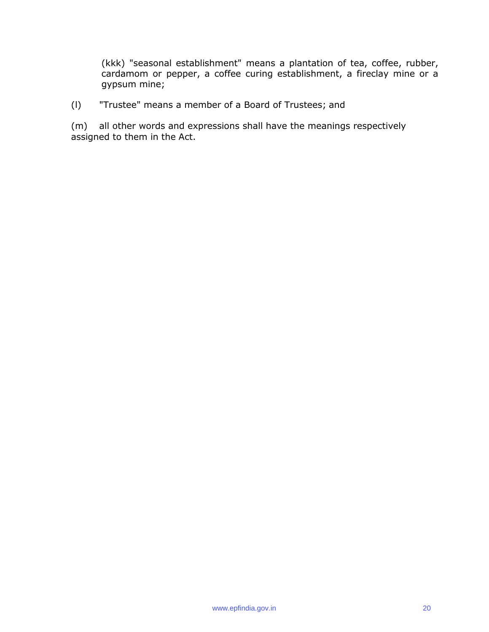(kkk) "seasonal establishment" means a plantation of tea, coffee, rubber, cardamom or pepper, a coffee curing establishment, a fireclay mine or a gypsum mine;

(l) "Trustee" means a member of a Board of Trustees; and

(m) all other words and expressions shall have the meanings respectively assigned to them in the Act.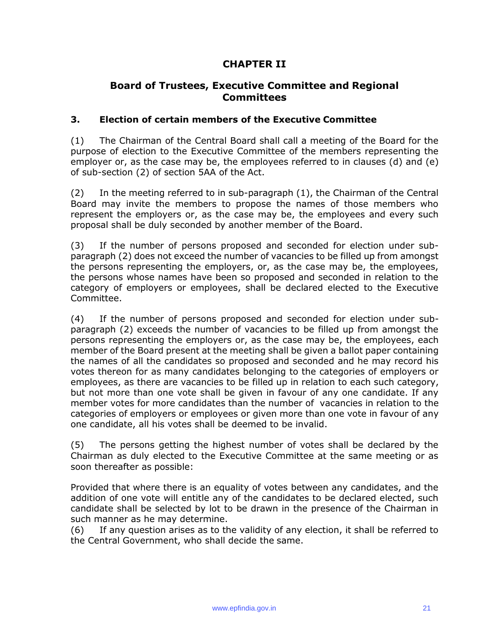# **CHAPTER II**

## **Board of Trustees, Executive Committee and Regional Committees**

#### **3. Election of certain members of the Executive Committee**

(1) The Chairman of the Central Board shall call a meeting of the Board for the purpose of election to the Executive Committee of the members representing the employer or, as the case may be, the employees referred to in clauses (d) and (e) of sub-section (2) of section 5AA of the Act.

(2) In the meeting referred to in sub-paragraph (1), the Chairman of the Central Board may invite the members to propose the names of those members who represent the employers or, as the case may be, the employees and every such proposal shall be duly seconded by another member of the Board.

(3) If the number of persons proposed and seconded for election under subparagraph (2) does not exceed the number of vacancies to be filled up from amongst the persons representing the employers, or, as the case may be, the employees, the persons whose names have been so proposed and seconded in relation to the category of employers or employees, shall be declared elected to the Executive Committee.

(4) If the number of persons proposed and seconded for election under subparagraph (2) exceeds the number of vacancies to be filled up from amongst the persons representing the employers or, as the case may be, the employees, each member of the Board present at the meeting shall be given a ballot paper containing the names of all the candidates so proposed and seconded and he may record his votes thereon for as many candidates belonging to the categories of employers or employees, as there are vacancies to be filled up in relation to each such category, but not more than one vote shall be given in favour of any one candidate. If any member votes for more candidates than the number of vacancies in relation to the categories of employers or employees or given more than one vote in favour of any one candidate, all his votes shall be deemed to be invalid.

(5) The persons getting the highest number of votes shall be declared by the Chairman as duly elected to the Executive Committee at the same meeting or as soon thereafter as possible:

Provided that where there is an equality of votes between any candidates, and the addition of one vote will entitle any of the candidates to be declared elected, such candidate shall be selected by lot to be drawn in the presence of the Chairman in such manner as he may determine.

(6) If any question arises as to the validity of any election, it shall be referred to the Central Government, who shall decide the same.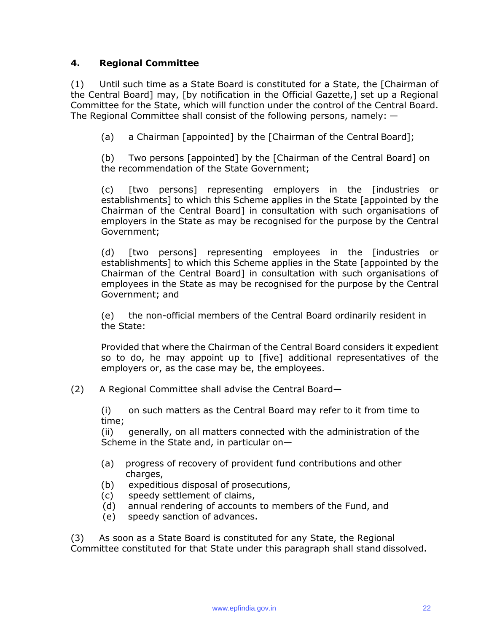### **4. Regional Committee**

(1) Until such time as a State Board is constituted for a State, the [Chairman of the Central Board] may, [by notification in the Official Gazette,] set up a Regional Committee for the State, which will function under the control of the Central Board. The Regional Committee shall consist of the following persons, namely: —

(a) a Chairman [appointed] by the [Chairman of the Central Board];

(b) Two persons [appointed] by the [Chairman of the Central Board] on the recommendation of the State Government;

(c) [two persons] representing employers in the [industries or establishments] to which this Scheme applies in the State [appointed by the Chairman of the Central Board] in consultation with such organisations of employers in the State as may be recognised for the purpose by the Central Government;

(d) [two persons] representing employees in the [industries or establishments] to which this Scheme applies in the State [appointed by the Chairman of the Central Board] in consultation with such organisations of employees in the State as may be recognised for the purpose by the Central Government; and

(e) the non-official members of the Central Board ordinarily resident in the State:

Provided that where the Chairman of the Central Board considers it expedient so to do, he may appoint up to [five] additional representatives of the employers or, as the case may be, the employees.

(2) A Regional Committee shall advise the Central Board—

(i) on such matters as the Central Board may refer to it from time to time;

(ii) generally, on all matters connected with the administration of the Scheme in the State and, in particular on—

- (a) progress of recovery of provident fund contributions and other charges,
- (b) expeditious disposal of prosecutions,
- (c) speedy settlement of claims,
- (d) annual rendering of accounts to members of the Fund, and
- (e) speedy sanction of advances.

(3) As soon as a State Board is constituted for any State, the Regional Committee constituted for that State under this paragraph shall stand dissolved.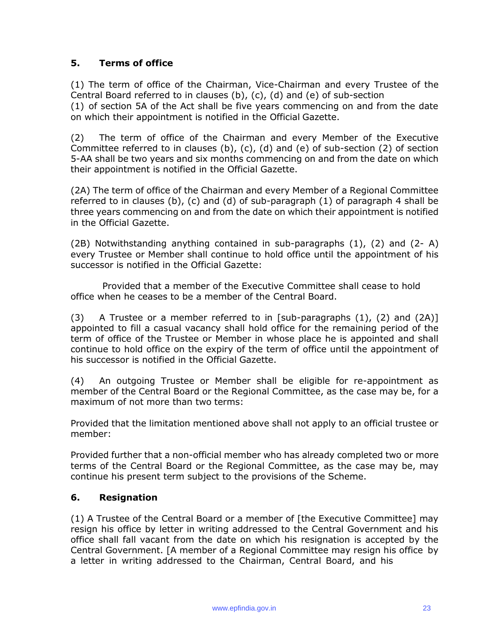### **5. Terms of office**

(1) The term of office of the Chairman, Vice-Chairman and every Trustee of the Central Board referred to in clauses (b), (c), (d) and (e) of sub-section (1) of section 5A of the Act shall be five years commencing on and from the date on which their appointment is notified in the Official Gazette.

(2) The term of office of the Chairman and every Member of the Executive Committee referred to in clauses (b), (c), (d) and (e) of sub-section (2) of section 5-AA shall be two years and six months commencing on and from the date on which their appointment is notified in the Official Gazette.

(2A) The term of office of the Chairman and every Member of a Regional Committee referred to in clauses (b), (c) and (d) of sub-paragraph (1) of paragraph 4 shall be three years commencing on and from the date on which their appointment is notified in the Official Gazette.

(2B) Notwithstanding anything contained in sub-paragraphs (1), (2) and (2- A) every Trustee or Member shall continue to hold office until the appointment of his successor is notified in the Official Gazette:

Provided that a member of the Executive Committee shall cease to hold office when he ceases to be a member of the Central Board.

(3) A Trustee or a member referred to in [sub-paragraphs  $(1)$ ,  $(2)$  and  $(2A)$ ] appointed to fill a casual vacancy shall hold office for the remaining period of the term of office of the Trustee or Member in whose place he is appointed and shall continue to hold office on the expiry of the term of office until the appointment of his successor is notified in the Official Gazette.

(4) An outgoing Trustee or Member shall be eligible for re-appointment as member of the Central Board or the Regional Committee, as the case may be, for a maximum of not more than two terms:

Provided that the limitation mentioned above shall not apply to an official trustee or member:

Provided further that a non-official member who has already completed two or more terms of the Central Board or the Regional Committee, as the case may be, may continue his present term subject to the provisions of the Scheme.

#### **6. Resignation**

(1) A Trustee of the Central Board or a member of [the Executive Committee] may resign his office by letter in writing addressed to the Central Government and his office shall fall vacant from the date on which his resignation is accepted by the Central Government. [A member of a Regional Committee may resign his office by a letter in writing addressed to the Chairman, Central Board, and his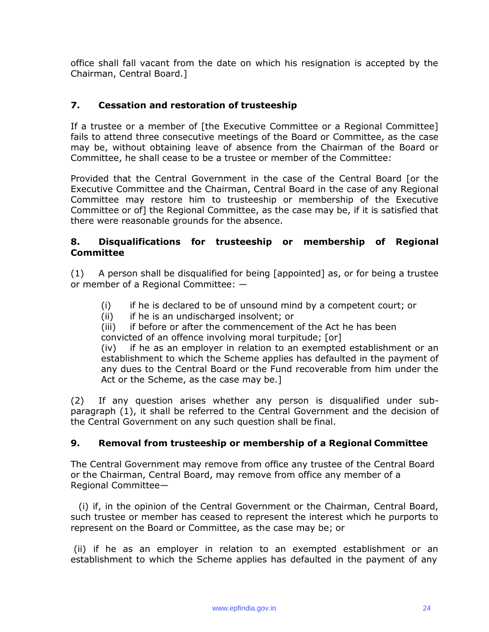office shall fall vacant from the date on which his resignation is accepted by the Chairman, Central Board.]

### **7. Cessation and restoration of trusteeship**

If a trustee or a member of [the Executive Committee or a Regional Committee] fails to attend three consecutive meetings of the Board or Committee, as the case may be, without obtaining leave of absence from the Chairman of the Board or Committee, he shall cease to be a trustee or member of the Committee:

Provided that the Central Government in the case of the Central Board [or the Executive Committee and the Chairman, Central Board in the case of any Regional Committee may restore him to trusteeship or membership of the Executive Committee or of] the Regional Committee, as the case may be, if it is satisfied that there were reasonable grounds for the absence.

#### **8. Disqualifications for trusteeship or membership of Regional Committee**

(1) A person shall be disqualified for being [appointed] as, or for being a trustee or member of a Regional Committee: —

- (i) if he is declared to be of unsound mind by a competent court; or
- (ii) if he is an undischarged insolvent; or

(iii) if before or after the commencement of the Act he has been convicted of an offence involving moral turpitude; [or]

(iv) if he as an employer in relation to an exempted establishment or an establishment to which the Scheme applies has defaulted in the payment of any dues to the Central Board or the Fund recoverable from him under the Act or the Scheme, as the case may be.]

(2) If any question arises whether any person is disqualified under subparagraph (1), it shall be referred to the Central Government and the decision of the Central Government on any such question shall be final.

#### **9. Removal from trusteeship or membership of a Regional Committee**

The Central Government may remove from office any trustee of the Central Board or the Chairman, Central Board, may remove from office any member of a Regional Committee—

(i) if, in the opinion of the Central Government or the Chairman, Central Board, such trustee or member has ceased to represent the interest which he purports to represent on the Board or Committee, as the case may be; or

(ii) if he as an employer in relation to an exempted establishment or an establishment to which the Scheme applies has defaulted in the payment of any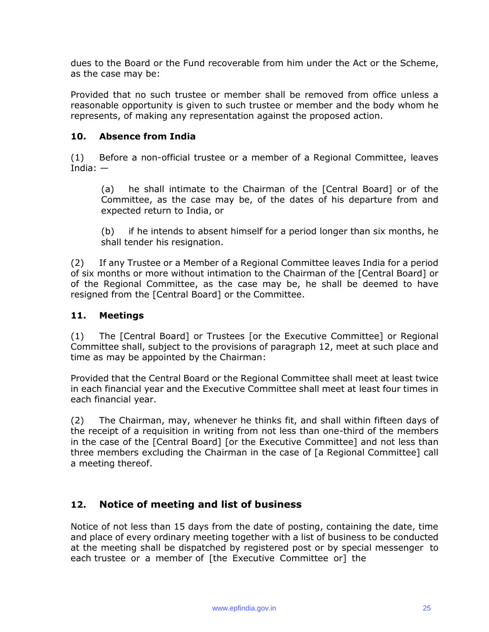dues to the Board or the Fund recoverable from him under the Act or the Scheme, as the case may be:

Provided that no such trustee or member shall be removed from office unless a reasonable opportunity is given to such trustee or member and the body whom he represents, of making any representation against the proposed action.

### **10. Absence from India**

(1) Before a non-official trustee or a member of a Regional Committee, leaves India: —

(a) he shall intimate to the Chairman of the [Central Board] or of the Committee, as the case may be, of the dates of his departure from and expected return to India, or

(b) if he intends to absent himself for a period longer than six months, he shall tender his resignation.

(2) If any Trustee or a Member of a Regional Committee leaves India for a period of six months or more without intimation to the Chairman of the [Central Board] or of the Regional Committee, as the case may be, he shall be deemed to have resigned from the [Central Board] or the Committee.

### **11. Meetings**

(1) The [Central Board] or Trustees [or the Executive Committee] or Regional Committee shall, subject to the provisions of paragraph 12, meet at such place and time as may be appointed by the Chairman:

Provided that the Central Board or the Regional Committee shall meet at least twice in each financial year and the Executive Committee shall meet at least four times in each financial year.

(2) The Chairman, may, whenever he thinks fit, and shall within fifteen days of the receipt of a requisition in writing from not less than one-third of the members in the case of the [Central Board] [or the Executive Committee] and not less than three members excluding the Chairman in the case of [a Regional Committee] call a meeting thereof.

# **12. Notice of meeting and list of business**

Notice of not less than 15 days from the date of posting, containing the date, time and place of every ordinary meeting together with a list of business to be conducted at the meeting shall be dispatched by registered post or by special messenger to each trustee or a member of [the Executive Committee or] the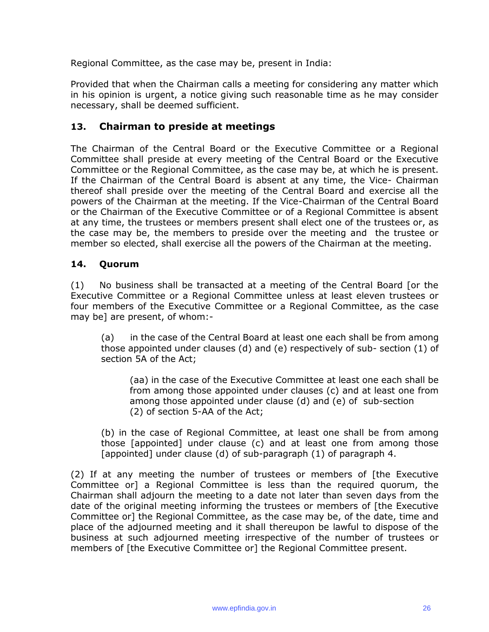Regional Committee, as the case may be, present in India:

Provided that when the Chairman calls a meeting for considering any matter which in his opinion is urgent, a notice giving such reasonable time as he may consider necessary, shall be deemed sufficient.

## **13. Chairman to preside at meetings**

The Chairman of the Central Board or the Executive Committee or a Regional Committee shall preside at every meeting of the Central Board or the Executive Committee or the Regional Committee, as the case may be, at which he is present. If the Chairman of the Central Board is absent at any time, the Vice- Chairman thereof shall preside over the meeting of the Central Board and exercise all the powers of the Chairman at the meeting. If the Vice-Chairman of the Central Board or the Chairman of the Executive Committee or of a Regional Committee is absent at any time, the trustees or members present shall elect one of the trustees or, as the case may be, the members to preside over the meeting and the trustee or member so elected, shall exercise all the powers of the Chairman at the meeting.

#### **14. Quorum**

(1) No business shall be transacted at a meeting of the Central Board [or the Executive Committee or a Regional Committee unless at least eleven trustees or four members of the Executive Committee or a Regional Committee, as the case may be] are present, of whom:-

(a) in the case of the Central Board at least one each shall be from among those appointed under clauses (d) and (e) respectively of sub- section (1) of section 5A of the Act;

(aa) in the case of the Executive Committee at least one each shall be from among those appointed under clauses (c) and at least one from among those appointed under clause (d) and (e) of sub-section (2) of section 5-AA of the Act;

(b) in the case of Regional Committee, at least one shall be from among those [appointed] under clause (c) and at least one from among those [appointed] under clause (d) of sub-paragraph (1) of paragraph 4.

(2) If at any meeting the number of trustees or members of [the Executive Committee or] a Regional Committee is less than the required quorum, the Chairman shall adjourn the meeting to a date not later than seven days from the date of the original meeting informing the trustees or members of [the Executive Committee or] the Regional Committee, as the case may be, of the date, time and place of the adjourned meeting and it shall thereupon be lawful to dispose of the business at such adjourned meeting irrespective of the number of trustees or members of [the Executive Committee or] the Regional Committee present.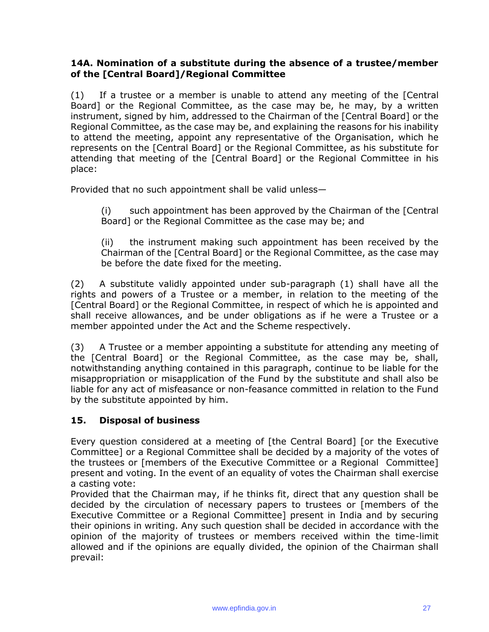#### **14A. Nomination of a substitute during the absence of a trustee/member of the [Central Board]/Regional Committee**

(1) If a trustee or a member is unable to attend any meeting of the [Central Board] or the Regional Committee, as the case may be, he may, by a written instrument, signed by him, addressed to the Chairman of the [Central Board] or the Regional Committee, as the case may be, and explaining the reasons for his inability to attend the meeting, appoint any representative of the Organisation, which he represents on the [Central Board] or the Regional Committee, as his substitute for attending that meeting of the [Central Board] or the Regional Committee in his place:

Provided that no such appointment shall be valid unless—

(i) such appointment has been approved by the Chairman of the [Central Board] or the Regional Committee as the case may be; and

(ii) the instrument making such appointment has been received by the Chairman of the [Central Board] or the Regional Committee, as the case may be before the date fixed for the meeting.

(2) A substitute validly appointed under sub-paragraph (1) shall have all the rights and powers of a Trustee or a member, in relation to the meeting of the [Central Board] or the Regional Committee, in respect of which he is appointed and shall receive allowances, and be under obligations as if he were a Trustee or a member appointed under the Act and the Scheme respectively.

(3) A Trustee or a member appointing a substitute for attending any meeting of the [Central Board] or the Regional Committee, as the case may be, shall, notwithstanding anything contained in this paragraph, continue to be liable for the misappropriation or misapplication of the Fund by the substitute and shall also be liable for any act of misfeasance or non-feasance committed in relation to the Fund by the substitute appointed by him.

#### **15. Disposal of business**

Every question considered at a meeting of [the Central Board] [or the Executive Committee] or a Regional Committee shall be decided by a majority of the votes of the trustees or [members of the Executive Committee or a Regional Committee] present and voting. In the event of an equality of votes the Chairman shall exercise a casting vote:

Provided that the Chairman may, if he thinks fit, direct that any question shall be decided by the circulation of necessary papers to trustees or [members of the Executive Committee or a Regional Committee] present in India and by securing their opinions in writing. Any such question shall be decided in accordance with the opinion of the majority of trustees or members received within the time-limit allowed and if the opinions are equally divided, the opinion of the Chairman shall prevail: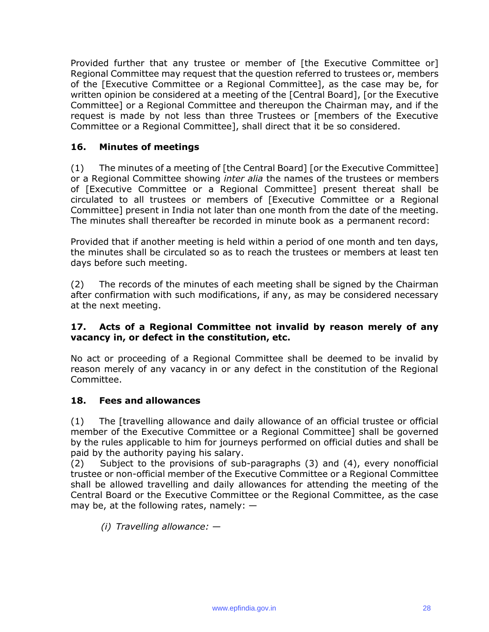Provided further that any trustee or member of [the Executive Committee or] Regional Committee may request that the question referred to trustees or, members of the [Executive Committee or a Regional Committee], as the case may be, for written opinion be considered at a meeting of the [Central Board], [or the Executive Committee] or a Regional Committee and thereupon the Chairman may, and if the request is made by not less than three Trustees or [members of the Executive Committee or a Regional Committee], shall direct that it be so considered.

### **16. Minutes of meetings**

(1) The minutes of a meeting of [the Central Board] [or the Executive Committee] or a Regional Committee showing *inter alia* the names of the trustees or members of [Executive Committee or a Regional Committee] present thereat shall be circulated to all trustees or members of [Executive Committee or a Regional Committee] present in India not later than one month from the date of the meeting. The minutes shall thereafter be recorded in minute book as a permanent record:

Provided that if another meeting is held within a period of one month and ten days, the minutes shall be circulated so as to reach the trustees or members at least ten days before such meeting.

(2) The records of the minutes of each meeting shall be signed by the Chairman after confirmation with such modifications, if any, as may be considered necessary at the next meeting.

#### **17. Acts of a Regional Committee not invalid by reason merely of any vacancy in, or defect in the constitution, etc.**

No act or proceeding of a Regional Committee shall be deemed to be invalid by reason merely of any vacancy in or any defect in the constitution of the Regional Committee.

#### **18. Fees and allowances**

(1) The [travelling allowance and daily allowance of an official trustee or official member of the Executive Committee or a Regional Committee] shall be governed by the rules applicable to him for journeys performed on official duties and shall be paid by the authority paying his salary.

(2) Subject to the provisions of sub-paragraphs (3) and (4), every nonofficial trustee or non-official member of the Executive Committee or a Regional Committee shall be allowed travelling and daily allowances for attending the meeting of the Central Board or the Executive Committee or the Regional Committee, as the case may be, at the following rates, namely:  $-$ 

*(i) Travelling allowance: —*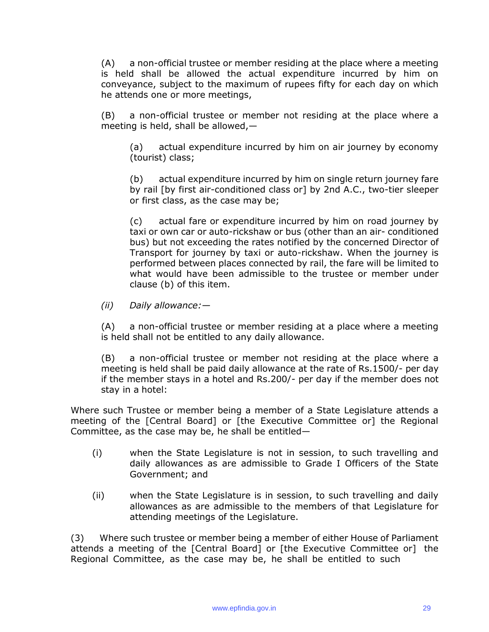(A) a non-official trustee or member residing at the place where a meeting is held shall be allowed the actual expenditure incurred by him on conveyance, subject to the maximum of rupees fifty for each day on which he attends one or more meetings,

(B) a non-official trustee or member not residing at the place where a meeting is held, shall be allowed,—

(a) actual expenditure incurred by him on air journey by economy (tourist) class;

(b) actual expenditure incurred by him on single return journey fare by rail [by first air-conditioned class or] by 2nd A.C., two-tier sleeper or first class, as the case may be;

(c) actual fare or expenditure incurred by him on road journey by taxi or own car or auto-rickshaw or bus (other than an air- conditioned bus) but not exceeding the rates notified by the concerned Director of Transport for journey by taxi or auto-rickshaw. When the journey is performed between places connected by rail, the fare will be limited to what would have been admissible to the trustee or member under clause (b) of this item.

*(ii) Daily allowance:—*

(A) a non-official trustee or member residing at a place where a meeting is held shall not be entitled to any daily allowance.

(B) a non-official trustee or member not residing at the place where a meeting is held shall be paid daily allowance at the rate of Rs.1500/- per day if the member stays in a hotel and Rs.200/- per day if the member does not stay in a hotel:

Where such Trustee or member being a member of a State Legislature attends a meeting of the [Central Board] or [the Executive Committee or] the Regional Committee, as the case may be, he shall be entitled—

- (i) when the State Legislature is not in session, to such travelling and daily allowances as are admissible to Grade I Officers of the State Government; and
- (ii) when the State Legislature is in session, to such travelling and daily allowances as are admissible to the members of that Legislature for attending meetings of the Legislature.

(3) Where such trustee or member being a member of either House of Parliament attends a meeting of the [Central Board] or [the Executive Committee or] the Regional Committee, as the case may be, he shall be entitled to such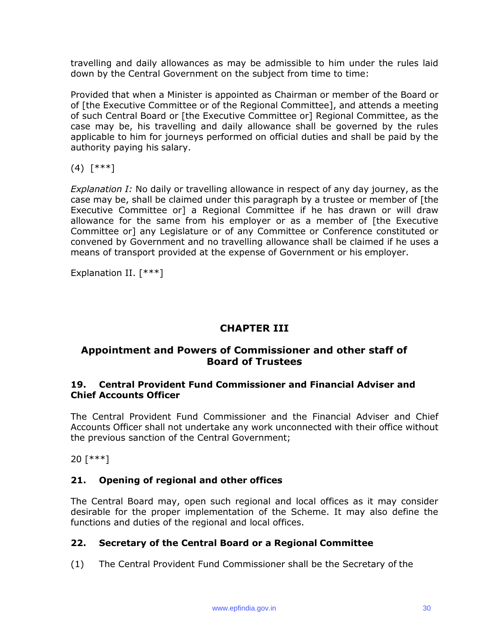travelling and daily allowances as may be admissible to him under the rules laid down by the Central Government on the subject from time to time:

Provided that when a Minister is appointed as Chairman or member of the Board or of [the Executive Committee or of the Regional Committee], and attends a meeting of such Central Board or [the Executive Committee or] Regional Committee, as the case may be, his travelling and daily allowance shall be governed by the rules applicable to him for journeys performed on official duties and shall be paid by the authority paying his salary.

(4) [\*\*\*]

*Explanation I:* No daily or travelling allowance in respect of any day journey, as the case may be, shall be claimed under this paragraph by a trustee or member of [the Executive Committee or] a Regional Committee if he has drawn or will draw allowance for the same from his employer or as a member of [the Executive Committee or] any Legislature or of any Committee or Conference constituted or convened by Government and no travelling allowance shall be claimed if he uses a means of transport provided at the expense of Government or his employer.

Explanation II. [\*\*\*]

# **CHAPTER III**

### **Appointment and Powers of Commissioner and other staff of Board of Trustees**

#### **19. Central Provident Fund Commissioner and Financial Adviser and Chief Accounts Officer**

The Central Provident Fund Commissioner and the Financial Adviser and Chief Accounts Officer shall not undertake any work unconnected with their office without the previous sanction of the Central Government;

20 [\*\*\*]

#### **21. Opening of regional and other offices**

The Central Board may, open such regional and local offices as it may consider desirable for the proper implementation of the Scheme. It may also define the functions and duties of the regional and local offices.

#### **22. Secretary of the Central Board or a Regional Committee**

(1) The Central Provident Fund Commissioner shall be the Secretary of the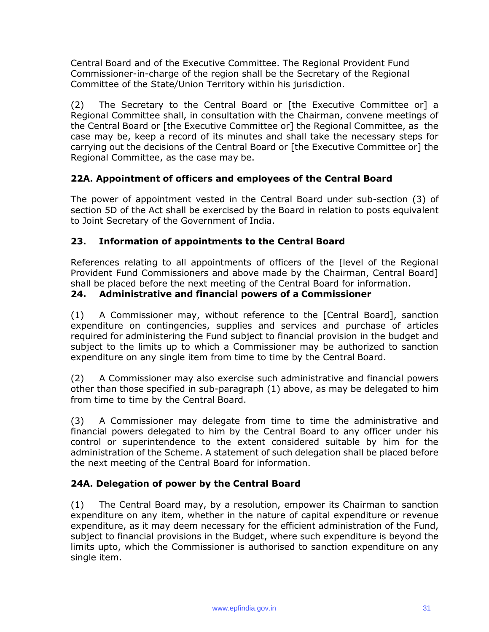Central Board and of the Executive Committee. The Regional Provident Fund Commissioner-in-charge of the region shall be the Secretary of the Regional Committee of the State/Union Territory within his jurisdiction.

(2) The Secretary to the Central Board or [the Executive Committee or] a Regional Committee shall, in consultation with the Chairman, convene meetings of the Central Board or [the Executive Committee or] the Regional Committee, as the case may be, keep a record of its minutes and shall take the necessary steps for carrying out the decisions of the Central Board or [the Executive Committee or] the Regional Committee, as the case may be.

## **22A. Appointment of officers and employees of the Central Board**

The power of appointment vested in the Central Board under sub-section (3) of section 5D of the Act shall be exercised by the Board in relation to posts equivalent to Joint Secretary of the Government of India.

### **23. Information of appointments to the Central Board**

References relating to all appointments of officers of the [level of the Regional Provident Fund Commissioners and above made by the Chairman, Central Board] shall be placed before the next meeting of the Central Board for information.

#### **24. Administrative and financial powers of a Commissioner**

(1) A Commissioner may, without reference to the [Central Board], sanction expenditure on contingencies, supplies and services and purchase of articles required for administering the Fund subject to financial provision in the budget and subject to the limits up to which a Commissioner may be authorized to sanction expenditure on any single item from time to time by the Central Board.

(2) A Commissioner may also exercise such administrative and financial powers other than those specified in sub-paragraph (1) above, as may be delegated to him from time to time by the Central Board.

(3) A Commissioner may delegate from time to time the administrative and financial powers delegated to him by the Central Board to any officer under his control or superintendence to the extent considered suitable by him for the administration of the Scheme. A statement of such delegation shall be placed before the next meeting of the Central Board for information.

#### **24A. Delegation of power by the Central Board**

(1) The Central Board may, by a resolution, empower its Chairman to sanction expenditure on any item, whether in the nature of capital expenditure or revenue expenditure, as it may deem necessary for the efficient administration of the Fund, subject to financial provisions in the Budget, where such expenditure is beyond the limits upto, which the Commissioner is authorised to sanction expenditure on any single item.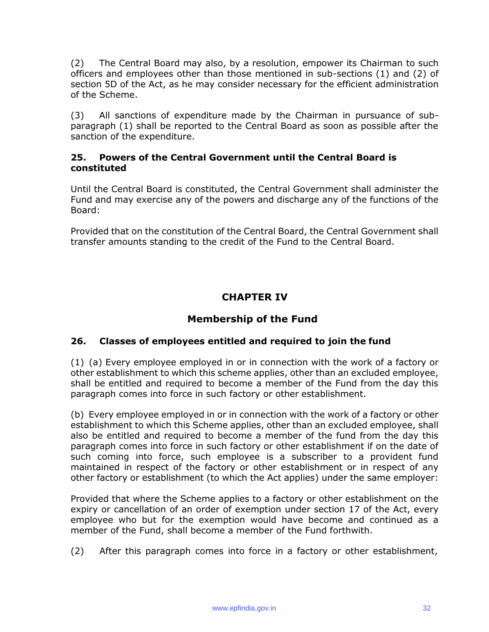(2) The Central Board may also, by a resolution, empower its Chairman to such officers and employees other than those mentioned in sub-sections (1) and (2) of section 5D of the Act, as he may consider necessary for the efficient administration of the Scheme.

(3) All sanctions of expenditure made by the Chairman in pursuance of subparagraph (1) shall be reported to the Central Board as soon as possible after the sanction of the expenditure.

#### **25. Powers of the Central Government until the Central Board is constituted**

Until the Central Board is constituted, the Central Government shall administer the Fund and may exercise any of the powers and discharge any of the functions of the Board:

Provided that on the constitution of the Central Board, the Central Government shall transfer amounts standing to the credit of the Fund to the Central Board.

# **CHAPTER IV**

# **Membership of the Fund**

## **26. Classes of employees entitled and required to join the fund**

(1) (a) Every employee employed in or in connection with the work of a factory or other establishment to which this scheme applies, other than an excluded employee, shall be entitled and required to become a member of the Fund from the day this paragraph comes into force in such factory or other establishment.

(b) Every employee employed in or in connection with the work of a factory or other establishment to which this Scheme applies, other than an excluded employee, shall also be entitled and required to become a member of the fund from the day this paragraph comes into force in such factory or other establishment if on the date of such coming into force, such employee is a subscriber to a provident fund maintained in respect of the factory or other establishment or in respect of any other factory or establishment (to which the Act applies) under the same employer:

Provided that where the Scheme applies to a factory or other establishment on the expiry or cancellation of an order of exemption under section 17 of the Act, every employee who but for the exemption would have become and continued as a member of the Fund, shall become a member of the Fund forthwith.

(2) After this paragraph comes into force in a factory or other establishment,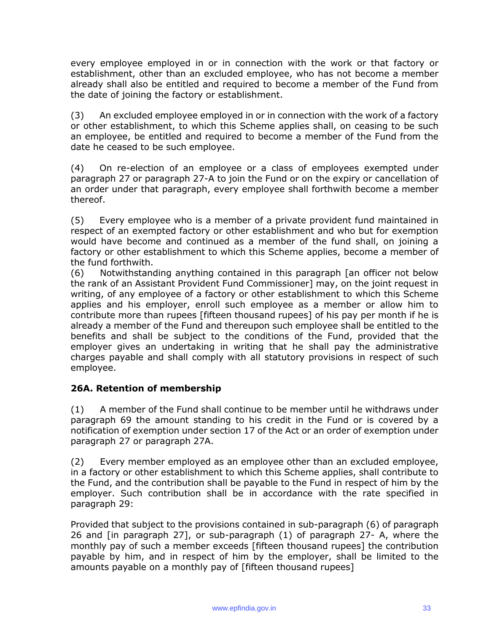every employee employed in or in connection with the work or that factory or establishment, other than an excluded employee, who has not become a member already shall also be entitled and required to become a member of the Fund from the date of joining the factory or establishment.

(3) An excluded employee employed in or in connection with the work of a factory or other establishment, to which this Scheme applies shall, on ceasing to be such an employee, be entitled and required to become a member of the Fund from the date he ceased to be such employee.

(4) On re-election of an employee or a class of employees exempted under paragraph 27 or paragraph 27-A to join the Fund or on the expiry or cancellation of an order under that paragraph, every employee shall forthwith become a member thereof.

(5) Every employee who is a member of a private provident fund maintained in respect of an exempted factory or other establishment and who but for exemption would have become and continued as a member of the fund shall, on joining a factory or other establishment to which this Scheme applies, become a member of the fund forthwith.

(6) Notwithstanding anything contained in this paragraph [an officer not below the rank of an Assistant Provident Fund Commissioner] may, on the joint request in writing, of any employee of a factory or other establishment to which this Scheme applies and his employer, enroll such employee as a member or allow him to contribute more than rupees [fifteen thousand rupees] of his pay per month if he is already a member of the Fund and thereupon such employee shall be entitled to the benefits and shall be subject to the conditions of the Fund, provided that the employer gives an undertaking in writing that he shall pay the administrative charges payable and shall comply with all statutory provisions in respect of such employee.

#### **26A. Retention of membership**

(1) A member of the Fund shall continue to be member until he withdraws under paragraph 69 the amount standing to his credit in the Fund or is covered by a notification of exemption under section 17 of the Act or an order of exemption under paragraph 27 or paragraph 27A.

(2) Every member employed as an employee other than an excluded employee, in a factory or other establishment to which this Scheme applies, shall contribute to the Fund, and the contribution shall be payable to the Fund in respect of him by the employer. Such contribution shall be in accordance with the rate specified in paragraph 29:

Provided that subject to the provisions contained in sub-paragraph (6) of paragraph 26 and [in paragraph 27], or sub-paragraph (1) of paragraph 27- A, where the monthly pay of such a member exceeds [fifteen thousand rupees] the contribution payable by him, and in respect of him by the employer, shall be limited to the amounts payable on a monthly pay of [fifteen thousand rupees]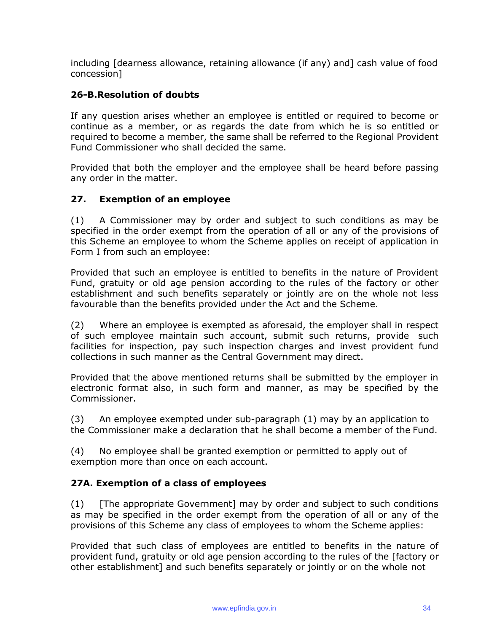including [dearness allowance, retaining allowance (if any) and] cash value of food concession]

### **26-B.Resolution of doubts**

If any question arises whether an employee is entitled or required to become or continue as a member, or as regards the date from which he is so entitled or required to become a member, the same shall be referred to the Regional Provident Fund Commissioner who shall decided the same.

Provided that both the employer and the employee shall be heard before passing any order in the matter.

#### **27. Exemption of an employee**

(1) A Commissioner may by order and subject to such conditions as may be specified in the order exempt from the operation of all or any of the provisions of this Scheme an employee to whom the Scheme applies on receipt of application in Form I from such an employee:

Provided that such an employee is entitled to benefits in the nature of Provident Fund, gratuity or old age pension according to the rules of the factory or other establishment and such benefits separately or jointly are on the whole not less favourable than the benefits provided under the Act and the Scheme.

(2) Where an employee is exempted as aforesaid, the employer shall in respect of such employee maintain such account, submit such returns, provide such facilities for inspection, pay such inspection charges and invest provident fund collections in such manner as the Central Government may direct.

Provided that the above mentioned returns shall be submitted by the employer in electronic format also, in such form and manner, as may be specified by the Commissioner.

(3) An employee exempted under sub-paragraph (1) may by an application to the Commissioner make a declaration that he shall become a member of the Fund.

(4) No employee shall be granted exemption or permitted to apply out of exemption more than once on each account.

#### **27A. Exemption of a class of employees**

(1) [The appropriate Government] may by order and subject to such conditions as may be specified in the order exempt from the operation of all or any of the provisions of this Scheme any class of employees to whom the Scheme applies:

Provided that such class of employees are entitled to benefits in the nature of provident fund, gratuity or old age pension according to the rules of the [factory or other establishment] and such benefits separately or jointly or on the whole not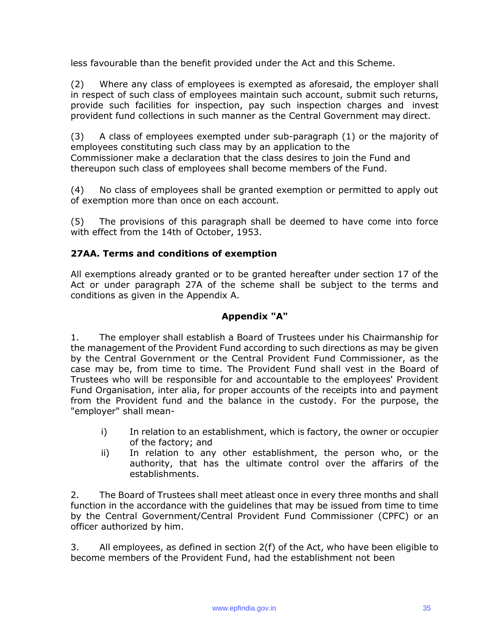less favourable than the benefit provided under the Act and this Scheme.

(2) Where any class of employees is exempted as aforesaid, the employer shall in respect of such class of employees maintain such account, submit such returns, provide such facilities for inspection, pay such inspection charges and invest provident fund collections in such manner as the Central Government may direct.

(3) A class of employees exempted under sub-paragraph (1) or the majority of employees constituting such class may by an application to the Commissioner make a declaration that the class desires to join the Fund and thereupon such class of employees shall become members of the Fund.

(4) No class of employees shall be granted exemption or permitted to apply out of exemption more than once on each account.

(5) The provisions of this paragraph shall be deemed to have come into force with effect from the 14th of October, 1953.

### **27AA. Terms and conditions of exemption**

All exemptions already granted or to be granted hereafter under section 17 of the Act or under paragraph 27A of the scheme shall be subject to the terms and conditions as given in the Appendix A.

#### **Appendix "A"**

1. The employer shall establish a Board of Trustees under his Chairmanship for the management of the Provident Fund according to such directions as may be given by the Central Government or the Central Provident Fund Commissioner, as the case may be, from time to time. The Provident Fund shall vest in the Board of Trustees who will be responsible for and accountable to the employees' Provident Fund Organisation, inter alia, for proper accounts of the receipts into and payment from the Provident fund and the balance in the custody. For the purpose, the "employer" shall mean-

- i) In relation to an establishment, which is factory, the owner or occupier of the factory; and
- ii) In relation to any other establishment, the person who, or the authority, that has the ultimate control over the affarirs of the establishments.

2. The Board of Trustees shall meet atleast once in every three months and shall function in the accordance with the guidelines that may be issued from time to time by the Central Government/Central Provident Fund Commissioner (CPFC) or an officer authorized by him.

3. All employees, as defined in section 2(f) of the Act, who have been eligible to become members of the Provident Fund, had the establishment not been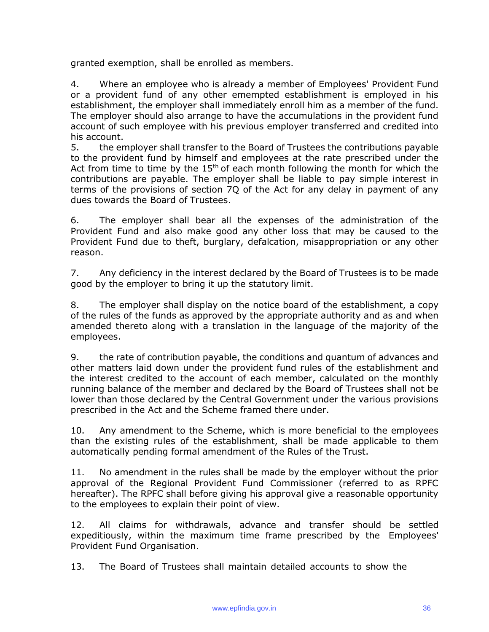granted exemption, shall be enrolled as members.

4. Where an employee who is already a member of Employees' Provident Fund or a provident fund of any other emempted establishment is employed in his establishment, the employer shall immediately enroll him as a member of the fund. The employer should also arrange to have the accumulations in the provident fund account of such employee with his previous employer transferred and credited into his account.

5. the employer shall transfer to the Board of Trustees the contributions payable to the provident fund by himself and employees at the rate prescribed under the Act from time to time by the  $15<sup>th</sup>$  of each month following the month for which the contributions are payable. The employer shall be liable to pay simple interest in terms of the provisions of section 7Q of the Act for any delay in payment of any dues towards the Board of Trustees.

6. The employer shall bear all the expenses of the administration of the Provident Fund and also make good any other loss that may be caused to the Provident Fund due to theft, burglary, defalcation, misappropriation or any other reason.

7. Any deficiency in the interest declared by the Board of Trustees is to be made good by the employer to bring it up the statutory limit.

8. The employer shall display on the notice board of the establishment, a copy of the rules of the funds as approved by the appropriate authority and as and when amended thereto along with a translation in the language of the majority of the employees.

9. the rate of contribution payable, the conditions and quantum of advances and other matters laid down under the provident fund rules of the establishment and the interest credited to the account of each member, calculated on the monthly running balance of the member and declared by the Board of Trustees shall not be lower than those declared by the Central Government under the various provisions prescribed in the Act and the Scheme framed there under.

10. Any amendment to the Scheme, which is more beneficial to the employees than the existing rules of the establishment, shall be made applicable to them automatically pending formal amendment of the Rules of the Trust.

11. No amendment in the rules shall be made by the employer without the prior approval of the Regional Provident Fund Commissioner (referred to as RPFC hereafter). The RPFC shall before giving his approval give a reasonable opportunity to the employees to explain their point of view.

12. All claims for withdrawals, advance and transfer should be settled expeditiously, within the maximum time frame prescribed by the Employees' Provident Fund Organisation.

13. The Board of Trustees shall maintain detailed accounts to show the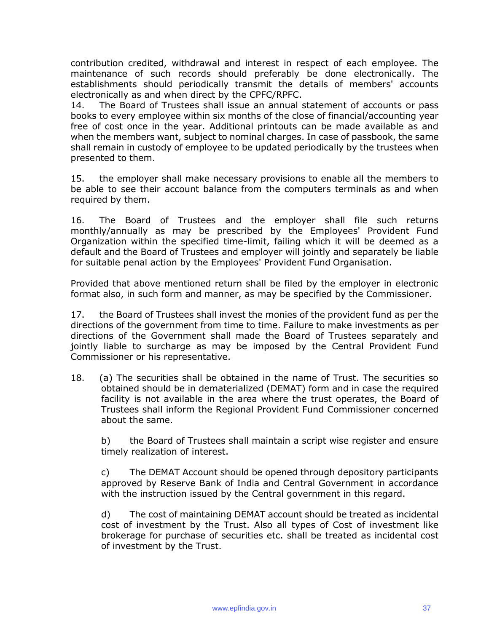contribution credited, withdrawal and interest in respect of each employee. The maintenance of such records should preferably be done electronically. The establishments should periodically transmit the details of members' accounts electronically as and when direct by the CPFC/RPFC.

14. The Board of Trustees shall issue an annual statement of accounts or pass books to every employee within six months of the close of financial/accounting year free of cost once in the year. Additional printouts can be made available as and when the members want, subject to nominal charges. In case of passbook, the same shall remain in custody of employee to be updated periodically by the trustees when presented to them.

15. the employer shall make necessary provisions to enable all the members to be able to see their account balance from the computers terminals as and when required by them.

16. The Board of Trustees and the employer shall file such returns monthly/annually as may be prescribed by the Employees' Provident Fund Organization within the specified time-limit, failing which it will be deemed as a default and the Board of Trustees and employer will jointly and separately be liable for suitable penal action by the Employees' Provident Fund Organisation.

Provided that above mentioned return shall be filed by the employer in electronic format also, in such form and manner, as may be specified by the Commissioner.

17. the Board of Trustees shall invest the monies of the provident fund as per the directions of the government from time to time. Failure to make investments as per directions of the Government shall made the Board of Trustees separately and jointly liable to surcharge as may be imposed by the Central Provident Fund Commissioner or his representative.

18. (a) The securities shall be obtained in the name of Trust. The securities so obtained should be in dematerialized (DEMAT) form and in case the required facility is not available in the area where the trust operates, the Board of Trustees shall inform the Regional Provident Fund Commissioner concerned about the same.

b) the Board of Trustees shall maintain a script wise register and ensure timely realization of interest.

c) The DEMAT Account should be opened through depository participants approved by Reserve Bank of India and Central Government in accordance with the instruction issued by the Central government in this regard.

d) The cost of maintaining DEMAT account should be treated as incidental cost of investment by the Trust. Also all types of Cost of investment like brokerage for purchase of securities etc. shall be treated as incidental cost of investment by the Trust.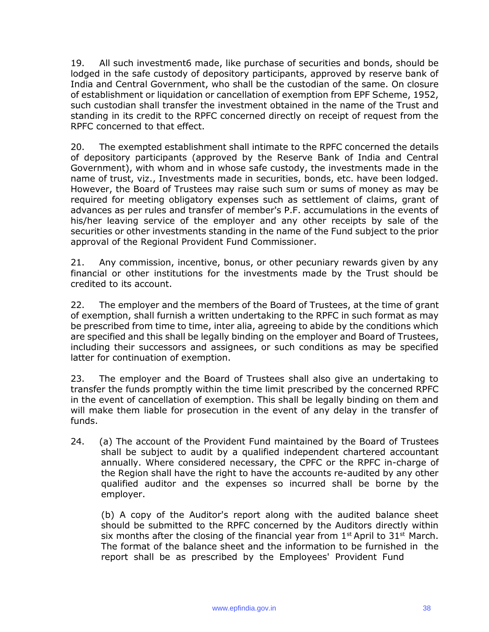19. All such investment6 made, like purchase of securities and bonds, should be lodged in the safe custody of depository participants, approved by reserve bank of India and Central Government, who shall be the custodian of the same. On closure of establishment or liquidation or cancellation of exemption from EPF Scheme, 1952, such custodian shall transfer the investment obtained in the name of the Trust and standing in its credit to the RPFC concerned directly on receipt of request from the RPFC concerned to that effect.

20. The exempted establishment shall intimate to the RPFC concerned the details of depository participants (approved by the Reserve Bank of India and Central Government), with whom and in whose safe custody, the investments made in the name of trust, viz., Investments made in securities, bonds, etc. have been lodged. However, the Board of Trustees may raise such sum or sums of money as may be required for meeting obligatory expenses such as settlement of claims, grant of advances as per rules and transfer of member's P.F. accumulations in the events of his/her leaving service of the employer and any other receipts by sale of the securities or other investments standing in the name of the Fund subject to the prior approval of the Regional Provident Fund Commissioner.

21. Any commission, incentive, bonus, or other pecuniary rewards given by any financial or other institutions for the investments made by the Trust should be credited to its account.

22. The employer and the members of the Board of Trustees, at the time of grant of exemption, shall furnish a written undertaking to the RPFC in such format as may be prescribed from time to time, inter alia, agreeing to abide by the conditions which are specified and this shall be legally binding on the employer and Board of Trustees, including their successors and assignees, or such conditions as may be specified latter for continuation of exemption.

23. The employer and the Board of Trustees shall also give an undertaking to transfer the funds promptly within the time limit prescribed by the concerned RPFC in the event of cancellation of exemption. This shall be legally binding on them and will make them liable for prosecution in the event of any delay in the transfer of funds.

24. (a) The account of the Provident Fund maintained by the Board of Trustees shall be subject to audit by a qualified independent chartered accountant annually. Where considered necessary, the CPFC or the RPFC in-charge of the Region shall have the right to have the accounts re-audited by any other qualified auditor and the expenses so incurred shall be borne by the employer.

(b) A copy of the Auditor's report along with the audited balance sheet should be submitted to the RPFC concerned by the Auditors directly within six months after the closing of the financial year from  $1<sup>st</sup>$  April to  $31<sup>st</sup>$  March. The format of the balance sheet and the information to be furnished in the report shall be as prescribed by the Employees' Provident Fund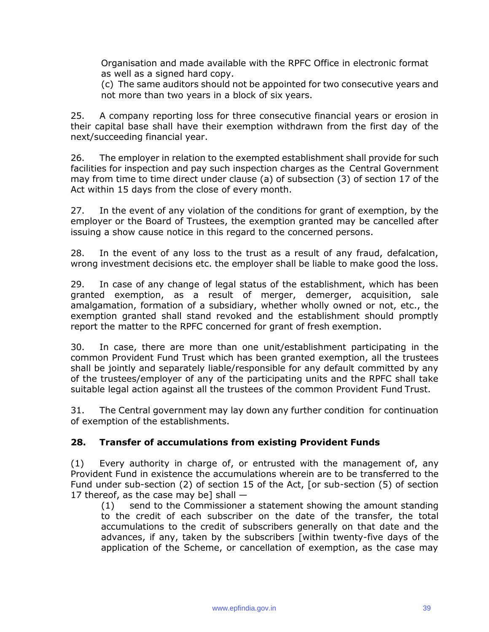Organisation and made available with the RPFC Office in electronic format as well as a signed hard copy.

(c) The same auditors should not be appointed for two consecutive years and not more than two years in a block of six years.

25. A company reporting loss for three consecutive financial years or erosion in their capital base shall have their exemption withdrawn from the first day of the next/succeeding financial year.

26. The employer in relation to the exempted establishment shall provide for such facilities for inspection and pay such inspection charges as the Central Government may from time to time direct under clause (a) of subsection (3) of section 17 of the Act within 15 days from the close of every month.

27. In the event of any violation of the conditions for grant of exemption, by the employer or the Board of Trustees, the exemption granted may be cancelled after issuing a show cause notice in this regard to the concerned persons.

28. In the event of any loss to the trust as a result of any fraud, defalcation, wrong investment decisions etc. the employer shall be liable to make good the loss.

29. In case of any change of legal status of the establishment, which has been granted exemption, as a result of merger, demerger, acquisition, sale amalgamation, formation of a subsidiary, whether wholly owned or not, etc., the exemption granted shall stand revoked and the establishment should promptly report the matter to the RPFC concerned for grant of fresh exemption.

30. In case, there are more than one unit/establishment participating in the common Provident Fund Trust which has been granted exemption, all the trustees shall be jointly and separately liable/responsible for any default committed by any of the trustees/employer of any of the participating units and the RPFC shall take suitable legal action against all the trustees of the common Provident Fund Trust.

31. The Central government may lay down any further condition for continuation of exemption of the establishments.

## **28. Transfer of accumulations from existing Provident Funds**

(1) Every authority in charge of, or entrusted with the management of, any Provident Fund in existence the accumulations wherein are to be transferred to the Fund under sub-section (2) of section 15 of the Act, [or sub-section (5) of section 17 thereof, as the case may be] shall  $-$ 

(1) send to the Commissioner a statement showing the amount standing to the credit of each subscriber on the date of the transfer, the total accumulations to the credit of subscribers generally on that date and the advances, if any, taken by the subscribers [within twenty-five days of the application of the Scheme, or cancellation of exemption, as the case may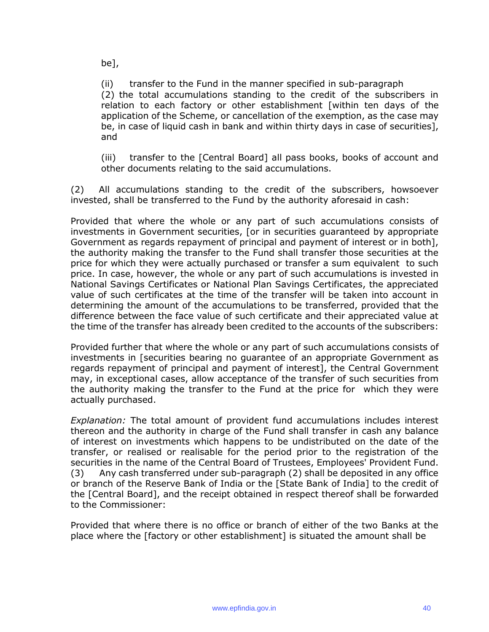be],

(ii) transfer to the Fund in the manner specified in sub-paragraph (2) the total accumulations standing to the credit of the subscribers in relation to each factory or other establishment [within ten days of the application of the Scheme, or cancellation of the exemption, as the case may be, in case of liquid cash in bank and within thirty days in case of securities], and

(iii) transfer to the [Central Board] all pass books, books of account and other documents relating to the said accumulations.

(2) All accumulations standing to the credit of the subscribers, howsoever invested, shall be transferred to the Fund by the authority aforesaid in cash:

Provided that where the whole or any part of such accumulations consists of investments in Government securities, [or in securities guaranteed by appropriate Government as regards repayment of principal and payment of interest or in both], the authority making the transfer to the Fund shall transfer those securities at the price for which they were actually purchased or transfer a sum equivalent to such price. In case, however, the whole or any part of such accumulations is invested in National Savings Certificates or National Plan Savings Certificates, the appreciated value of such certificates at the time of the transfer will be taken into account in determining the amount of the accumulations to be transferred, provided that the difference between the face value of such certificate and their appreciated value at the time of the transfer has already been credited to the accounts of the subscribers:

Provided further that where the whole or any part of such accumulations consists of investments in [securities bearing no guarantee of an appropriate Government as regards repayment of principal and payment of interest], the Central Government may, in exceptional cases, allow acceptance of the transfer of such securities from the authority making the transfer to the Fund at the price for which they were actually purchased.

*Explanation:* The total amount of provident fund accumulations includes interest thereon and the authority in charge of the Fund shall transfer in cash any balance of interest on investments which happens to be undistributed on the date of the transfer, or realised or realisable for the period prior to the registration of the securities in the name of the Central Board of Trustees, Employees' Provident Fund. (3) Any cash transferred under sub-paragraph (2) shall be deposited in any office or branch of the Reserve Bank of India or the [State Bank of India] to the credit of the [Central Board], and the receipt obtained in respect thereof shall be forwarded to the Commissioner:

Provided that where there is no office or branch of either of the two Banks at the place where the [factory or other establishment] is situated the amount shall be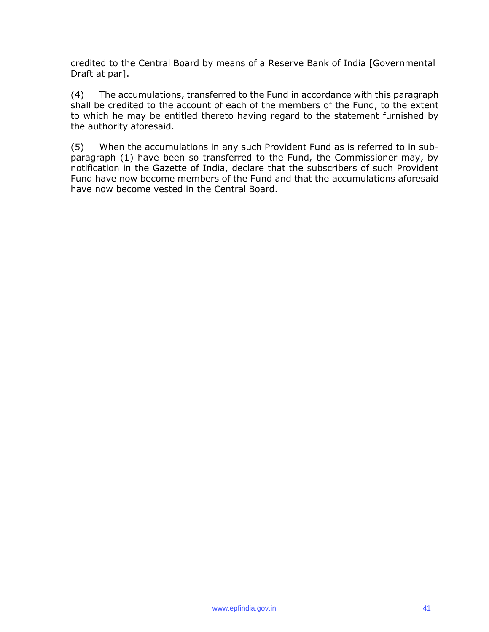credited to the Central Board by means of a Reserve Bank of India [Governmental Draft at par].

(4) The accumulations, transferred to the Fund in accordance with this paragraph shall be credited to the account of each of the members of the Fund, to the extent to which he may be entitled thereto having regard to the statement furnished by the authority aforesaid.

(5) When the accumulations in any such Provident Fund as is referred to in subparagraph (1) have been so transferred to the Fund, the Commissioner may, by notification in the Gazette of India, declare that the subscribers of such Provident Fund have now become members of the Fund and that the accumulations aforesaid have now become vested in the Central Board.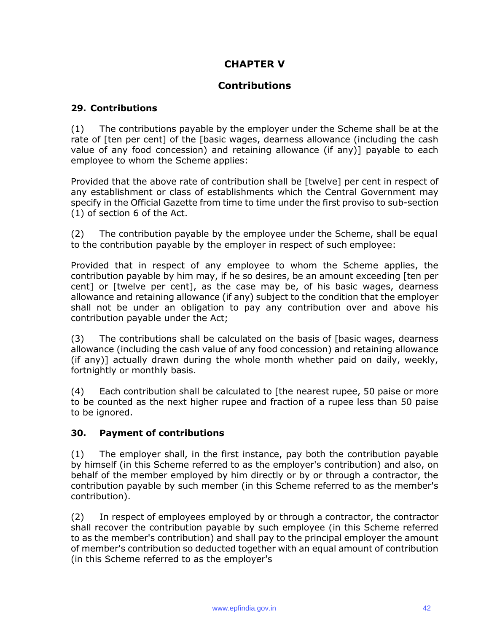# **CHAPTER V**

## **Contributions**

### **29. Contributions**

(1) The contributions payable by the employer under the Scheme shall be at the rate of [ten per cent] of the [basic wages, dearness allowance (including the cash value of any food concession) and retaining allowance (if any)] payable to each employee to whom the Scheme applies:

Provided that the above rate of contribution shall be [twelve] per cent in respect of any establishment or class of establishments which the Central Government may specify in the Official Gazette from time to time under the first proviso to sub-section (1) of section 6 of the Act.

(2) The contribution payable by the employee under the Scheme, shall be equal to the contribution payable by the employer in respect of such employee:

Provided that in respect of any employee to whom the Scheme applies, the contribution payable by him may, if he so desires, be an amount exceeding [ten per cent] or [twelve per cent], as the case may be, of his basic wages, dearness allowance and retaining allowance (if any) subject to the condition that the employer shall not be under an obligation to pay any contribution over and above his contribution payable under the Act;

(3) The contributions shall be calculated on the basis of [basic wages, dearness allowance (including the cash value of any food concession) and retaining allowance (if any)] actually drawn during the whole month whether paid on daily, weekly, fortnightly or monthly basis.

(4) Each contribution shall be calculated to [the nearest rupee, 50 paise or more to be counted as the next higher rupee and fraction of a rupee less than 50 paise to be ignored.

#### **30. Payment of contributions**

(1) The employer shall, in the first instance, pay both the contribution payable by himself (in this Scheme referred to as the employer's contribution) and also, on behalf of the member employed by him directly or by or through a contractor, the contribution payable by such member (in this Scheme referred to as the member's contribution).

(2) In respect of employees employed by or through a contractor, the contractor shall recover the contribution payable by such employee (in this Scheme referred to as the member's contribution) and shall pay to the principal employer the amount of member's contribution so deducted together with an equal amount of contribution (in this Scheme referred to as the employer's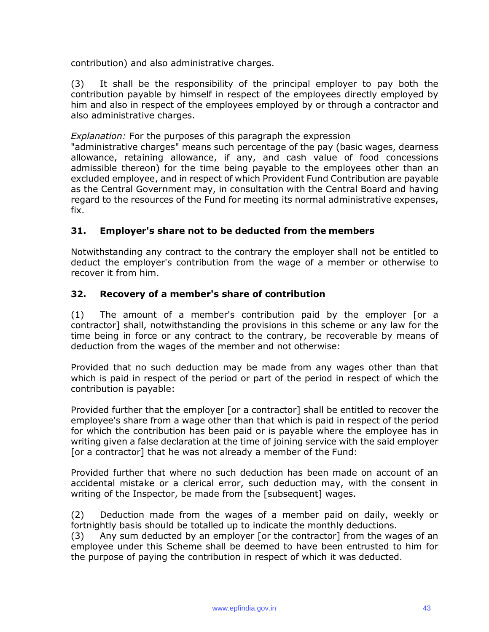contribution) and also administrative charges.

(3) It shall be the responsibility of the principal employer to pay both the contribution payable by himself in respect of the employees directly employed by him and also in respect of the employees employed by or through a contractor and also administrative charges.

#### *Explanation:* For the purposes of this paragraph the expression

"administrative charges" means such percentage of the pay (basic wages, dearness allowance, retaining allowance, if any, and cash value of food concessions admissible thereon) for the time being payable to the employees other than an excluded employee, and in respect of which Provident Fund Contribution are payable as the Central Government may, in consultation with the Central Board and having regard to the resources of the Fund for meeting its normal administrative expenses, fix.

## **31. Employer's share not to be deducted from the members**

Notwithstanding any contract to the contrary the employer shall not be entitled to deduct the employer's contribution from the wage of a member or otherwise to recover it from him.

#### **32. Recovery of a member's share of contribution**

(1) The amount of a member's contribution paid by the employer [or a contractor] shall, notwithstanding the provisions in this scheme or any law for the time being in force or any contract to the contrary, be recoverable by means of deduction from the wages of the member and not otherwise:

Provided that no such deduction may be made from any wages other than that which is paid in respect of the period or part of the period in respect of which the contribution is payable:

Provided further that the employer [or a contractor] shall be entitled to recover the employee's share from a wage other than that which is paid in respect of the period for which the contribution has been paid or is payable where the employee has in writing given a false declaration at the time of joining service with the said employer [or a contractor] that he was not already a member of the Fund:

Provided further that where no such deduction has been made on account of an accidental mistake or a clerical error, such deduction may, with the consent in writing of the Inspector, be made from the [subsequent] wages.

(2) Deduction made from the wages of a member paid on daily, weekly or fortnightly basis should be totalled up to indicate the monthly deductions.

(3) Any sum deducted by an employer [or the contractor] from the wages of an employee under this Scheme shall be deemed to have been entrusted to him for the purpose of paying the contribution in respect of which it was deducted.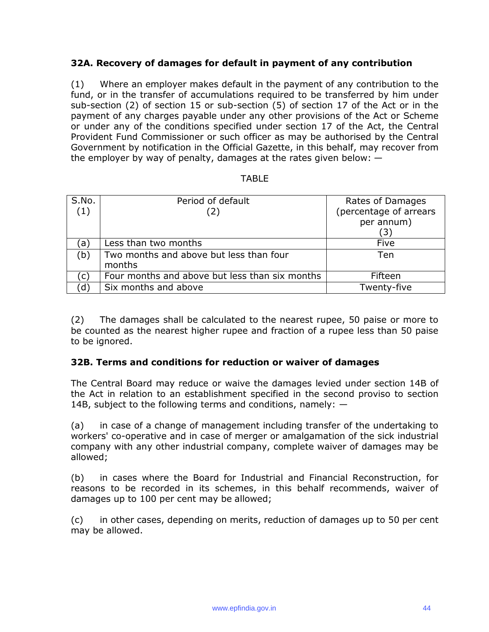## **32A. Recovery of damages for default in payment of any contribution**

(1) Where an employer makes default in the payment of any contribution to the fund, or in the transfer of accumulations required to be transferred by him under sub-section (2) of section 15 or sub-section (5) of section 17 of the Act or in the payment of any charges payable under any other provisions of the Act or Scheme or under any of the conditions specified under section 17 of the Act, the Central Provident Fund Commissioner or such officer as may be authorised by the Central Government by notification in the Official Gazette, in this behalf, may recover from the employer by way of penalty, damages at the rates given below:  $-$ 

| S.No. | Period of default                              | Rates of Damages       |
|-------|------------------------------------------------|------------------------|
| (1)   | (2)                                            | (percentage of arrears |
|       |                                                | per annum)             |
|       |                                                | (3)                    |
| ´a)   | Less than two months                           | Five                   |
| (b)   | Two months and above but less than four        | <b>Ten</b>             |
|       | months                                         |                        |
| C.    | Four months and above but less than six months | Fifteen                |
| d.    | Six months and above                           | Twenty-five            |

(2) The damages shall be calculated to the nearest rupee, 50 paise or more to be counted as the nearest higher rupee and fraction of a rupee less than 50 paise to be ignored.

#### **32B. Terms and conditions for reduction or waiver of damages**

The Central Board may reduce or waive the damages levied under section 14B of the Act in relation to an establishment specified in the second proviso to section 14B, subject to the following terms and conditions, namely:  $-$ 

(a) in case of a change of management including transfer of the undertaking to workers' co-operative and in case of merger or amalgamation of the sick industrial company with any other industrial company, complete waiver of damages may be allowed;

(b) in cases where the Board for Industrial and Financial Reconstruction, for reasons to be recorded in its schemes, in this behalf recommends, waiver of damages up to 100 per cent may be allowed;

(c) in other cases, depending on merits, reduction of damages up to 50 per cent may be allowed.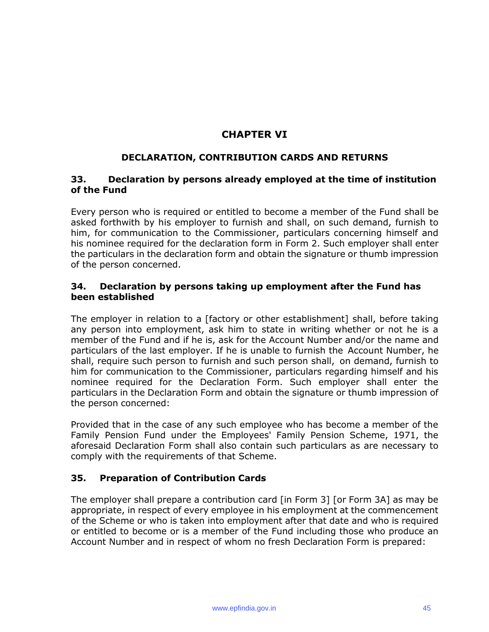# **CHAPTER VI**

## **DECLARATION, CONTRIBUTION CARDS AND RETURNS**

### **33. Declaration by persons already employed at the time of institution of the Fund**

Every person who is required or entitled to become a member of the Fund shall be asked forthwith by his employer to furnish and shall, on such demand, furnish to him, for communication to the Commissioner, particulars concerning himself and his nominee required for the declaration form in Form 2. Such employer shall enter the particulars in the declaration form and obtain the signature or thumb impression of the person concerned.

### **34. Declaration by persons taking up employment after the Fund has been established**

The employer in relation to a [factory or other establishment] shall, before taking any person into employment, ask him to state in writing whether or not he is a member of the Fund and if he is, ask for the Account Number and/or the name and particulars of the last employer. If he is unable to furnish the Account Number, he shall, require such person to furnish and such person shall, on demand, furnish to him for communication to the Commissioner, particulars regarding himself and his nominee required for the Declaration Form. Such employer shall enter the particulars in the Declaration Form and obtain the signature or thumb impression of the person concerned:

Provided that in the case of any such employee who has become a member of the Family Pension Fund under the Employees' Family Pension Scheme, 1971, the aforesaid Declaration Form shall also contain such particulars as are necessary to comply with the requirements of that Scheme.

## **35. Preparation of Contribution Cards**

The employer shall prepare a contribution card [in Form 3] [or Form 3A] as may be appropriate, in respect of every employee in his employment at the commencement of the Scheme or who is taken into employment after that date and who is required or entitled to become or is a member of the Fund including those who produce an Account Number and in respect of whom no fresh Declaration Form is prepared: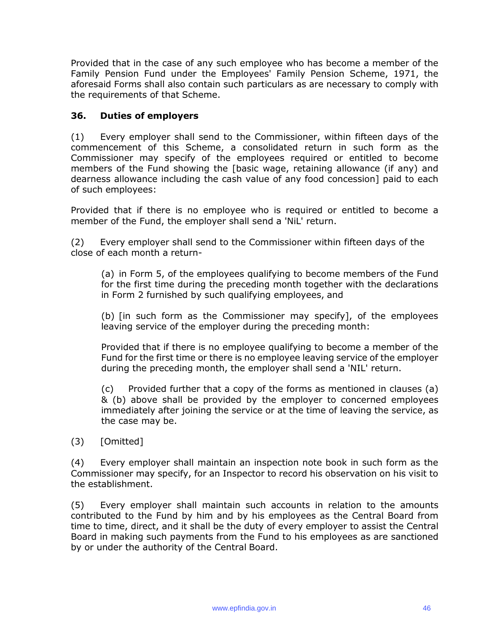Provided that in the case of any such employee who has become a member of the Family Pension Fund under the Employees' Family Pension Scheme, 1971, the aforesaid Forms shall also contain such particulars as are necessary to comply with the requirements of that Scheme.

## **36. Duties of employers**

(1) Every employer shall send to the Commissioner, within fifteen days of the commencement of this Scheme, a consolidated return in such form as the Commissioner may specify of the employees required or entitled to become members of the Fund showing the [basic wage, retaining allowance (if any) and dearness allowance including the cash value of any food concession] paid to each of such employees:

Provided that if there is no employee who is required or entitled to become a member of the Fund, the employer shall send a 'NiL' return.

(2) Every employer shall send to the Commissioner within fifteen days of the close of each month a return-

(a) in Form 5, of the employees qualifying to become members of the Fund for the first time during the preceding month together with the declarations in Form 2 furnished by such qualifying employees, and

(b) [in such form as the Commissioner may specify], of the employees leaving service of the employer during the preceding month:

Provided that if there is no employee qualifying to become a member of the Fund for the first time or there is no employee leaving service of the employer during the preceding month, the employer shall send a 'NIL' return.

(c) Provided further that a copy of the forms as mentioned in clauses (a) & (b) above shall be provided by the employer to concerned employees immediately after joining the service or at the time of leaving the service, as the case may be.

(3) [Omitted]

(4) Every employer shall maintain an inspection note book in such form as the Commissioner may specify, for an Inspector to record his observation on his visit to the establishment.

(5) Every employer shall maintain such accounts in relation to the amounts contributed to the Fund by him and by his employees as the Central Board from time to time, direct, and it shall be the duty of every employer to assist the Central Board in making such payments from the Fund to his employees as are sanctioned by or under the authority of the Central Board.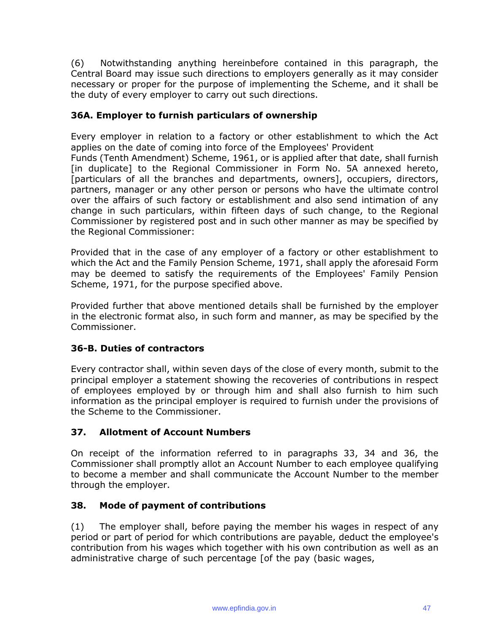(6) Notwithstanding anything hereinbefore contained in this paragraph, the Central Board may issue such directions to employers generally as it may consider necessary or proper for the purpose of implementing the Scheme, and it shall be the duty of every employer to carry out such directions.

## **36A. Employer to furnish particulars of ownership**

Every employer in relation to a factory or other establishment to which the Act applies on the date of coming into force of the Employees' Provident

Funds (Tenth Amendment) Scheme, 1961, or is applied after that date, shall furnish [in duplicate] to the Regional Commissioner in Form No. 5A annexed hereto, [particulars of all the branches and departments, owners], occupiers, directors, partners, manager or any other person or persons who have the ultimate control over the affairs of such factory or establishment and also send intimation of any change in such particulars, within fifteen days of such change, to the Regional Commissioner by registered post and in such other manner as may be specified by the Regional Commissioner:

Provided that in the case of any employer of a factory or other establishment to which the Act and the Family Pension Scheme, 1971, shall apply the aforesaid Form may be deemed to satisfy the requirements of the Employees' Family Pension Scheme, 1971, for the purpose specified above.

Provided further that above mentioned details shall be furnished by the employer in the electronic format also, in such form and manner, as may be specified by the Commissioner.

## **36-B. Duties of contractors**

Every contractor shall, within seven days of the close of every month, submit to the principal employer a statement showing the recoveries of contributions in respect of employees employed by or through him and shall also furnish to him such information as the principal employer is required to furnish under the provisions of the Scheme to the Commissioner.

## **37. Allotment of Account Numbers**

On receipt of the information referred to in paragraphs 33, 34 and 36, the Commissioner shall promptly allot an Account Number to each employee qualifying to become a member and shall communicate the Account Number to the member through the employer.

## **38. Mode of payment of contributions**

(1) The employer shall, before paying the member his wages in respect of any period or part of period for which contributions are payable, deduct the employee's contribution from his wages which together with his own contribution as well as an administrative charge of such percentage [of the pay (basic wages,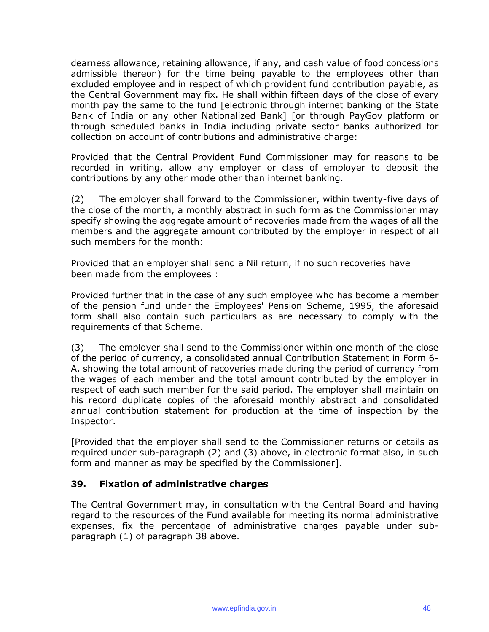dearness allowance, retaining allowance, if any, and cash value of food concessions admissible thereon) for the time being payable to the employees other than excluded employee and in respect of which provident fund contribution payable, as the Central Government may fix. He shall within fifteen days of the close of every month pay the same to the fund [electronic through internet banking of the State Bank of India or any other Nationalized Bank] [or through PayGov platform or through scheduled banks in India including private sector banks authorized for collection on account of contributions and administrative charge:

Provided that the Central Provident Fund Commissioner may for reasons to be recorded in writing, allow any employer or class of employer to deposit the contributions by any other mode other than internet banking.

(2) The employer shall forward to the Commissioner, within twenty-five days of the close of the month, a monthly abstract in such form as the Commissioner may specify showing the aggregate amount of recoveries made from the wages of all the members and the aggregate amount contributed by the employer in respect of all such members for the month:

Provided that an employer shall send a Nil return, if no such recoveries have been made from the employees :

Provided further that in the case of any such employee who has become a member of the pension fund under the Employees' Pension Scheme, 1995, the aforesaid form shall also contain such particulars as are necessary to comply with the requirements of that Scheme.

(3) The employer shall send to the Commissioner within one month of the close of the period of currency, a consolidated annual Contribution Statement in Form 6- A, showing the total amount of recoveries made during the period of currency from the wages of each member and the total amount contributed by the employer in respect of each such member for the said period. The employer shall maintain on his record duplicate copies of the aforesaid monthly abstract and consolidated annual contribution statement for production at the time of inspection by the Inspector.

[Provided that the employer shall send to the Commissioner returns or details as required under sub-paragraph (2) and (3) above, in electronic format also, in such form and manner as may be specified by the Commissioner].

#### **39. Fixation of administrative charges**

The Central Government may, in consultation with the Central Board and having regard to the resources of the Fund available for meeting its normal administrative expenses, fix the percentage of administrative charges payable under subparagraph (1) of paragraph 38 above.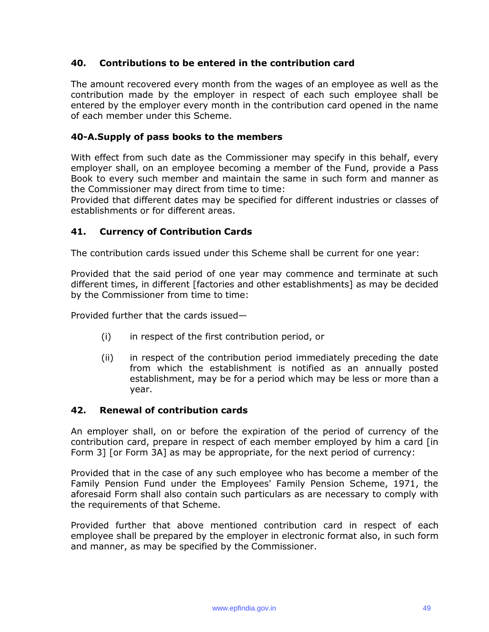## **40. Contributions to be entered in the contribution card**

The amount recovered every month from the wages of an employee as well as the contribution made by the employer in respect of each such employee shall be entered by the employer every month in the contribution card opened in the name of each member under this Scheme.

## **40-A.Supply of pass books to the members**

With effect from such date as the Commissioner may specify in this behalf, every employer shall, on an employee becoming a member of the Fund, provide a Pass Book to every such member and maintain the same in such form and manner as the Commissioner may direct from time to time:

Provided that different dates may be specified for different industries or classes of establishments or for different areas.

## **41. Currency of Contribution Cards**

The contribution cards issued under this Scheme shall be current for one year:

Provided that the said period of one year may commence and terminate at such different times, in different [factories and other establishments] as may be decided by the Commissioner from time to time:

Provided further that the cards issued—

- (i) in respect of the first contribution period, or
- (ii) in respect of the contribution period immediately preceding the date from which the establishment is notified as an annually posted establishment, may be for a period which may be less or more than a year.

#### **42. Renewal of contribution cards**

An employer shall, on or before the expiration of the period of currency of the contribution card, prepare in respect of each member employed by him a card [in Form 3] [or Form 3A] as may be appropriate, for the next period of currency:

Provided that in the case of any such employee who has become a member of the Family Pension Fund under the Employees' Family Pension Scheme, 1971, the aforesaid Form shall also contain such particulars as are necessary to comply with the requirements of that Scheme.

Provided further that above mentioned contribution card in respect of each employee shall be prepared by the employer in electronic format also, in such form and manner, as may be specified by the Commissioner.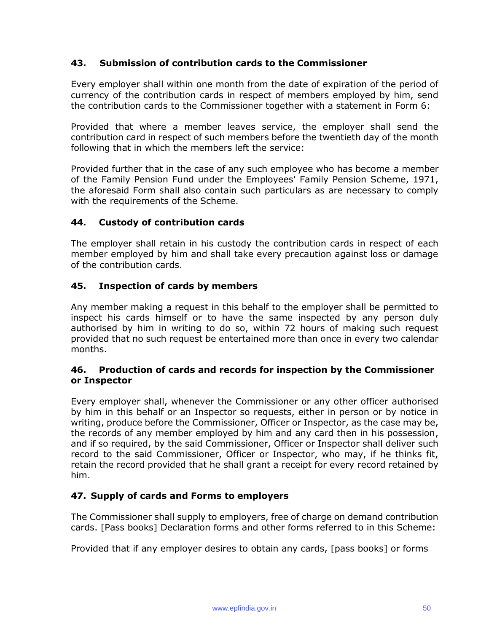## **43. Submission of contribution cards to the Commissioner**

Every employer shall within one month from the date of expiration of the period of currency of the contribution cards in respect of members employed by him, send the contribution cards to the Commissioner together with a statement in Form 6:

Provided that where a member leaves service, the employer shall send the contribution card in respect of such members before the twentieth day of the month following that in which the members left the service:

Provided further that in the case of any such employee who has become a member of the Family Pension Fund under the Employees' Family Pension Scheme, 1971, the aforesaid Form shall also contain such particulars as are necessary to comply with the requirements of the Scheme.

## **44. Custody of contribution cards**

The employer shall retain in his custody the contribution cards in respect of each member employed by him and shall take every precaution against loss or damage of the contribution cards.

## **45. Inspection of cards by members**

Any member making a request in this behalf to the employer shall be permitted to inspect his cards himself or to have the same inspected by any person duly authorised by him in writing to do so, within 72 hours of making such request provided that no such request be entertained more than once in every two calendar months.

#### **46. Production of cards and records for inspection by the Commissioner or Inspector**

Every employer shall, whenever the Commissioner or any other officer authorised by him in this behalf or an Inspector so requests, either in person or by notice in writing, produce before the Commissioner, Officer or Inspector, as the case may be, the records of any member employed by him and any card then in his possession, and if so required, by the said Commissioner, Officer or Inspector shall deliver such record to the said Commissioner, Officer or Inspector, who may, if he thinks fit, retain the record provided that he shall grant a receipt for every record retained by him.

## **47. Supply of cards and Forms to employers**

The Commissioner shall supply to employers, free of charge on demand contribution cards. [Pass books] Declaration forms and other forms referred to in this Scheme:

Provided that if any employer desires to obtain any cards, [pass books] or forms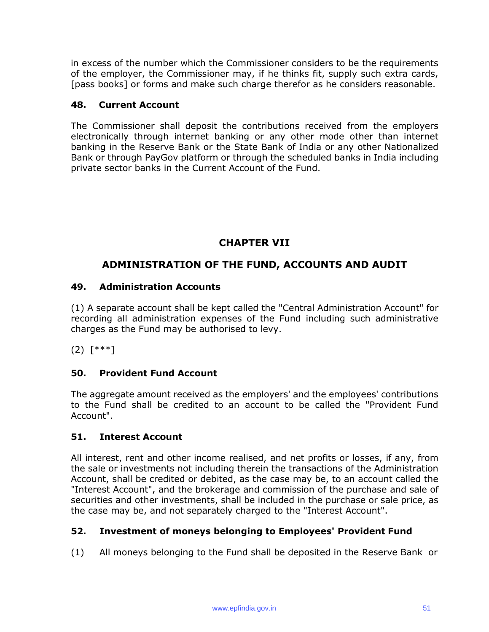in excess of the number which the Commissioner considers to be the requirements of the employer, the Commissioner may, if he thinks fit, supply such extra cards, [pass books] or forms and make such charge therefor as he considers reasonable.

### **48. Current Account**

The Commissioner shall deposit the contributions received from the employers electronically through internet banking or any other mode other than internet banking in the Reserve Bank or the State Bank of India or any other Nationalized Bank or through PayGov platform or through the scheduled banks in India including private sector banks in the Current Account of the Fund.

## **CHAPTER VII**

## **ADMINISTRATION OF THE FUND, ACCOUNTS AND AUDIT**

#### **49. Administration Accounts**

(1) A separate account shall be kept called the "Central Administration Account" for recording all administration expenses of the Fund including such administrative charges as the Fund may be authorised to levy.

(2) [\*\*\*]

## **50. Provident Fund Account**

The aggregate amount received as the employers' and the employees' contributions to the Fund shall be credited to an account to be called the "Provident Fund Account".

#### **51. Interest Account**

All interest, rent and other income realised, and net profits or losses, if any, from the sale or investments not including therein the transactions of the Administration Account, shall be credited or debited, as the case may be, to an account called the "Interest Account", and the brokerage and commission of the purchase and sale of securities and other investments, shall be included in the purchase or sale price, as the case may be, and not separately charged to the "Interest Account".

## **52. Investment of moneys belonging to Employees' Provident Fund**

(1) All moneys belonging to the Fund shall be deposited in the Reserve Bank or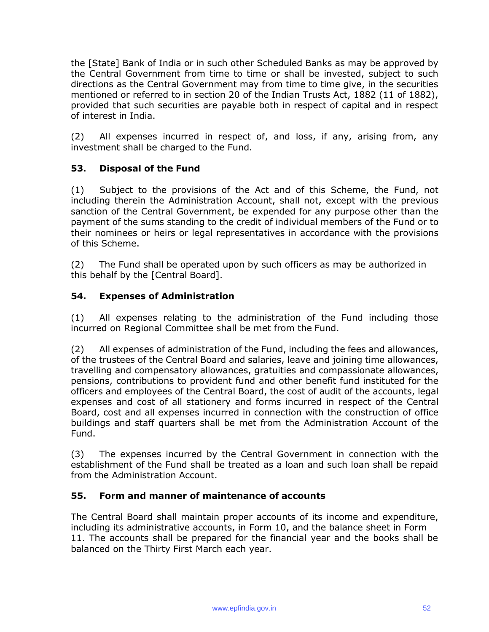the [State] Bank of India or in such other Scheduled Banks as may be approved by the Central Government from time to time or shall be invested, subject to such directions as the Central Government may from time to time give, in the securities mentioned or referred to in section 20 of the Indian Trusts Act, 1882 (11 of 1882), provided that such securities are payable both in respect of capital and in respect of interest in India.

(2) All expenses incurred in respect of, and loss, if any, arising from, any investment shall be charged to the Fund.

## **53. Disposal of the Fund**

(1) Subject to the provisions of the Act and of this Scheme, the Fund, not including therein the Administration Account, shall not, except with the previous sanction of the Central Government, be expended for any purpose other than the payment of the sums standing to the credit of individual members of the Fund or to their nominees or heirs or legal representatives in accordance with the provisions of this Scheme.

(2) The Fund shall be operated upon by such officers as may be authorized in this behalf by the [Central Board].

## **54. Expenses of Administration**

(1) All expenses relating to the administration of the Fund including those incurred on Regional Committee shall be met from the Fund.

(2) All expenses of administration of the Fund, including the fees and allowances, of the trustees of the Central Board and salaries, leave and joining time allowances, travelling and compensatory allowances, gratuities and compassionate allowances, pensions, contributions to provident fund and other benefit fund instituted for the officers and employees of the Central Board, the cost of audit of the accounts, legal expenses and cost of all stationery and forms incurred in respect of the Central Board, cost and all expenses incurred in connection with the construction of office buildings and staff quarters shall be met from the Administration Account of the Fund.

(3) The expenses incurred by the Central Government in connection with the establishment of the Fund shall be treated as a loan and such loan shall be repaid from the Administration Account.

## **55. Form and manner of maintenance of accounts**

The Central Board shall maintain proper accounts of its income and expenditure, including its administrative accounts, in Form 10, and the balance sheet in Form 11. The accounts shall be prepared for the financial year and the books shall be balanced on the Thirty First March each year.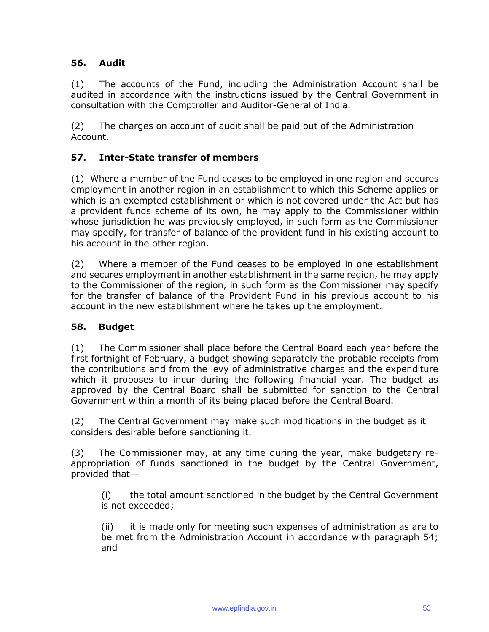## **56. Audit**

(1) The accounts of the Fund, including the Administration Account shall be audited in accordance with the instructions issued by the Central Government in consultation with the Comptroller and Auditor-General of India.

(2) The charges on account of audit shall be paid out of the Administration Account.

## **57. Inter-State transfer of members**

(1) Where a member of the Fund ceases to be employed in one region and secures employment in another region in an establishment to which this Scheme applies or which is an exempted establishment or which is not covered under the Act but has a provident funds scheme of its own, he may apply to the Commissioner within whose jurisdiction he was previously employed, in such form as the Commissioner may specify, for transfer of balance of the provident fund in his existing account to his account in the other region.

(2) Where a member of the Fund ceases to be employed in one establishment and secures employment in another establishment in the same region, he may apply to the Commissioner of the region, in such form as the Commissioner may specify for the transfer of balance of the Provident Fund in his previous account to his account in the new establishment where he takes up the employment.

## **58. Budget**

(1) The Commissioner shall place before the Central Board each year before the first fortnight of February, a budget showing separately the probable receipts from the contributions and from the levy of administrative charges and the expenditure which it proposes to incur during the following financial year. The budget as approved by the Central Board shall be submitted for sanction to the Central Government within a month of its being placed before the Central Board.

(2) The Central Government may make such modifications in the budget as it considers desirable before sanctioning it.

(3) The Commissioner may, at any time during the year, make budgetary reappropriation of funds sanctioned in the budget by the Central Government, provided that—

(i) the total amount sanctioned in the budget by the Central Government is not exceeded;

(ii) it is made only for meeting such expenses of administration as are to be met from the Administration Account in accordance with paragraph 54; and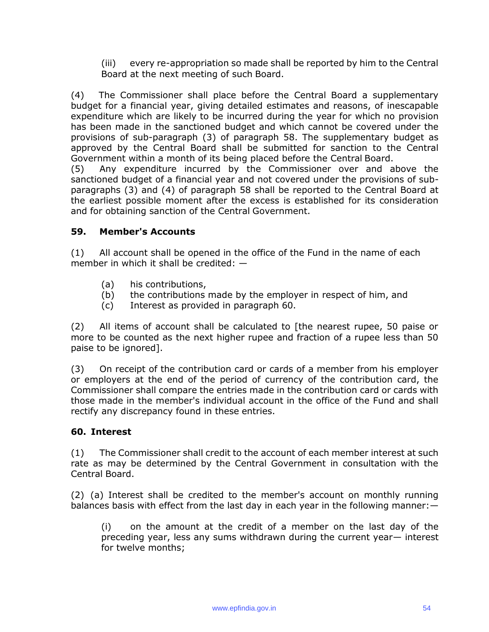(iii) every re-appropriation so made shall be reported by him to the Central Board at the next meeting of such Board.

(4) The Commissioner shall place before the Central Board a supplementary budget for a financial year, giving detailed estimates and reasons, of inescapable expenditure which are likely to be incurred during the year for which no provision has been made in the sanctioned budget and which cannot be covered under the provisions of sub-paragraph (3) of paragraph 58. The supplementary budget as approved by the Central Board shall be submitted for sanction to the Central Government within a month of its being placed before the Central Board.

(5) Any expenditure incurred by the Commissioner over and above the sanctioned budget of a financial year and not covered under the provisions of subparagraphs (3) and (4) of paragraph 58 shall be reported to the Central Board at the earliest possible moment after the excess is established for its consideration and for obtaining sanction of the Central Government.

## **59. Member's Accounts**

(1) All account shall be opened in the office of the Fund in the name of each member in which it shall be credited: —

- (a) his contributions,
- (b) the contributions made by the employer in respect of him, and
- (c) Interest as provided in paragraph 60.

(2) All items of account shall be calculated to [the nearest rupee, 50 paise or more to be counted as the next higher rupee and fraction of a rupee less than 50 paise to be ignored].

(3) On receipt of the contribution card or cards of a member from his employer or employers at the end of the period of currency of the contribution card, the Commissioner shall compare the entries made in the contribution card or cards with those made in the member's individual account in the office of the Fund and shall rectify any discrepancy found in these entries.

## **60. Interest**

(1) The Commissioner shall credit to the account of each member interest at such rate as may be determined by the Central Government in consultation with the Central Board.

(2) (a) Interest shall be credited to the member's account on monthly running balances basis with effect from the last day in each year in the following manner:—

(i) on the amount at the credit of a member on the last day of the preceding year, less any sums withdrawn during the current year— interest for twelve months;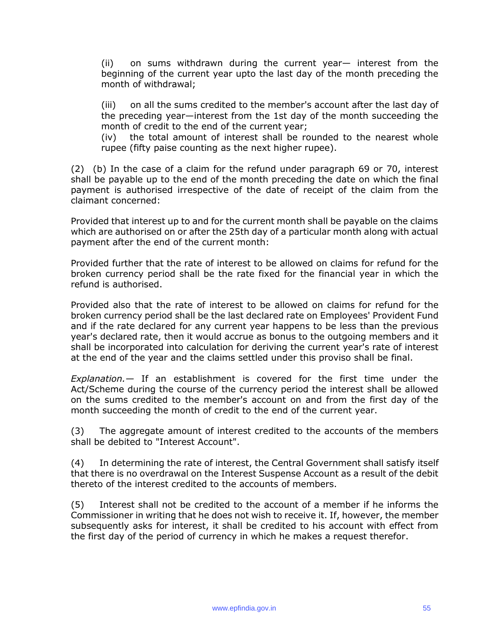(ii) on sums withdrawn during the current year— interest from the beginning of the current year upto the last day of the month preceding the month of withdrawal;

(iii) on all the sums credited to the member's account after the last day of the preceding year—interest from the 1st day of the month succeeding the month of credit to the end of the current year;

(iv) the total amount of interest shall be rounded to the nearest whole rupee (fifty paise counting as the next higher rupee).

(2) (b) In the case of a claim for the refund under paragraph 69 or 70, interest shall be payable up to the end of the month preceding the date on which the final payment is authorised irrespective of the date of receipt of the claim from the claimant concerned:

Provided that interest up to and for the current month shall be payable on the claims which are authorised on or after the 25th day of a particular month along with actual payment after the end of the current month:

Provided further that the rate of interest to be allowed on claims for refund for the broken currency period shall be the rate fixed for the financial year in which the refund is authorised.

Provided also that the rate of interest to be allowed on claims for refund for the broken currency period shall be the last declared rate on Employees' Provident Fund and if the rate declared for any current year happens to be less than the previous year's declared rate, then it would accrue as bonus to the outgoing members and it shall be incorporated into calculation for deriving the current year's rate of interest at the end of the year and the claims settled under this proviso shall be final.

*Explanation.—* If an establishment is covered for the first time under the Act/Scheme during the course of the currency period the interest shall be allowed on the sums credited to the member's account on and from the first day of the month succeeding the month of credit to the end of the current year.

(3) The aggregate amount of interest credited to the accounts of the members shall be debited to "Interest Account".

(4) In determining the rate of interest, the Central Government shall satisfy itself that there is no overdrawal on the Interest Suspense Account as a result of the debit thereto of the interest credited to the accounts of members.

(5) Interest shall not be credited to the account of a member if he informs the Commissioner in writing that he does not wish to receive it. If, however, the member subsequently asks for interest, it shall be credited to his account with effect from the first day of the period of currency in which he makes a request therefor.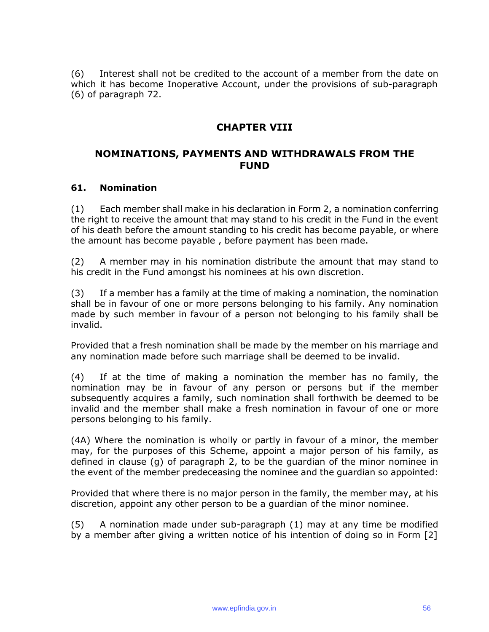(6) Interest shall not be credited to the account of a member from the date on which it has become Inoperative Account, under the provisions of sub-paragraph (6) of paragraph 72.

## **CHAPTER VIII**

## **NOMINATIONS, PAYMENTS AND WITHDRAWALS FROM THE FUND**

#### **61. Nomination**

(1) Each member shall make in his declaration in Form 2, a nomination conferring the right to receive the amount that may stand to his credit in the Fund in the event of his death before the amount standing to his credit has become payable, or where the amount has become payable , before payment has been made.

(2) A member may in his nomination distribute the amount that may stand to his credit in the Fund amongst his nominees at his own discretion.

(3) If a member has a family at the time of making a nomination, the nomination shall be in favour of one or more persons belonging to his family. Any nomination made by such member in favour of a person not belonging to his family shall be invalid.

Provided that a fresh nomination shall be made by the member on his marriage and any nomination made before such marriage shall be deemed to be invalid.

(4) If at the time of making a nomination the member has no family, the nomination may be in favour of any person or persons but if the member subsequently acquires a family, such nomination shall forthwith be deemed to be invalid and the member shall make a fresh nomination in favour of one or more persons belonging to his family.

(4A) Where the nomination is wholly or partly in favour of a minor, the member may, for the purposes of this Scheme, appoint a major person of his family, as defined in clause (g) of paragraph 2, to be the guardian of the minor nominee in the event of the member predeceasing the nominee and the guardian so appointed:

Provided that where there is no major person in the family, the member may, at his discretion, appoint any other person to be a guardian of the minor nominee.

(5) A nomination made under sub-paragraph (1) may at any time be modified by a member after giving a written notice of his intention of doing so in Form [2]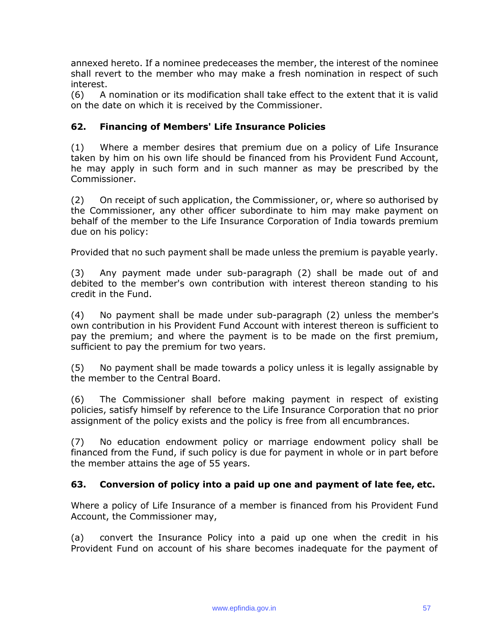annexed hereto. If a nominee predeceases the member, the interest of the nominee shall revert to the member who may make a fresh nomination in respect of such interest.

(6) A nomination or its modification shall take effect to the extent that it is valid on the date on which it is received by the Commissioner.

## **62. Financing of Members' Life Insurance Policies**

(1) Where a member desires that premium due on a policy of Life Insurance taken by him on his own life should be financed from his Provident Fund Account, he may apply in such form and in such manner as may be prescribed by the Commissioner.

(2) On receipt of such application, the Commissioner, or, where so authorised by the Commissioner, any other officer subordinate to him may make payment on behalf of the member to the Life Insurance Corporation of India towards premium due on his policy:

Provided that no such payment shall be made unless the premium is payable yearly.

(3) Any payment made under sub-paragraph (2) shall be made out of and debited to the member's own contribution with interest thereon standing to his credit in the Fund.

(4) No payment shall be made under sub-paragraph (2) unless the member's own contribution in his Provident Fund Account with interest thereon is sufficient to pay the premium; and where the payment is to be made on the first premium, sufficient to pay the premium for two years.

(5) No payment shall be made towards a policy unless it is legally assignable by the member to the Central Board.

(6) The Commissioner shall before making payment in respect of existing policies, satisfy himself by reference to the Life Insurance Corporation that no prior assignment of the policy exists and the policy is free from all encumbrances.

(7) No education endowment policy or marriage endowment policy shall be financed from the Fund, if such policy is due for payment in whole or in part before the member attains the age of 55 years.

## **63. Conversion of policy into a paid up one and payment of late fee, etc.**

Where a policy of Life Insurance of a member is financed from his Provident Fund Account, the Commissioner may,

(a) convert the Insurance Policy into a paid up one when the credit in his Provident Fund on account of his share becomes inadequate for the payment of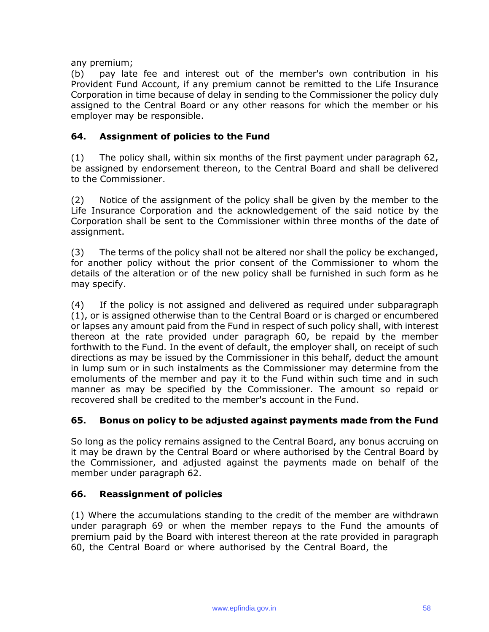any premium;

(b) pay late fee and interest out of the member's own contribution in his Provident Fund Account, if any premium cannot be remitted to the Life Insurance Corporation in time because of delay in sending to the Commissioner the policy duly assigned to the Central Board or any other reasons for which the member or his employer may be responsible.

## **64. Assignment of policies to the Fund**

(1) The policy shall, within six months of the first payment under paragraph 62, be assigned by endorsement thereon, to the Central Board and shall be delivered to the Commissioner.

(2) Notice of the assignment of the policy shall be given by the member to the Life Insurance Corporation and the acknowledgement of the said notice by the Corporation shall be sent to the Commissioner within three months of the date of assignment.

(3) The terms of the policy shall not be altered nor shall the policy be exchanged, for another policy without the prior consent of the Commissioner to whom the details of the alteration or of the new policy shall be furnished in such form as he may specify.

(4) If the policy is not assigned and delivered as required under subparagraph (1), or is assigned otherwise than to the Central Board or is charged or encumbered or lapses any amount paid from the Fund in respect of such policy shall, with interest thereon at the rate provided under paragraph 60, be repaid by the member forthwith to the Fund. In the event of default, the employer shall, on receipt of such directions as may be issued by the Commissioner in this behalf, deduct the amount in lump sum or in such instalments as the Commissioner may determine from the emoluments of the member and pay it to the Fund within such time and in such manner as may be specified by the Commissioner. The amount so repaid or recovered shall be credited to the member's account in the Fund.

## **65. Bonus on policy to be adjusted against payments made from the Fund**

So long as the policy remains assigned to the Central Board, any bonus accruing on it may be drawn by the Central Board or where authorised by the Central Board by the Commissioner, and adjusted against the payments made on behalf of the member under paragraph 62.

## **66. Reassignment of policies**

(1) Where the accumulations standing to the credit of the member are withdrawn under paragraph 69 or when the member repays to the Fund the amounts of premium paid by the Board with interest thereon at the rate provided in paragraph 60, the Central Board or where authorised by the Central Board, the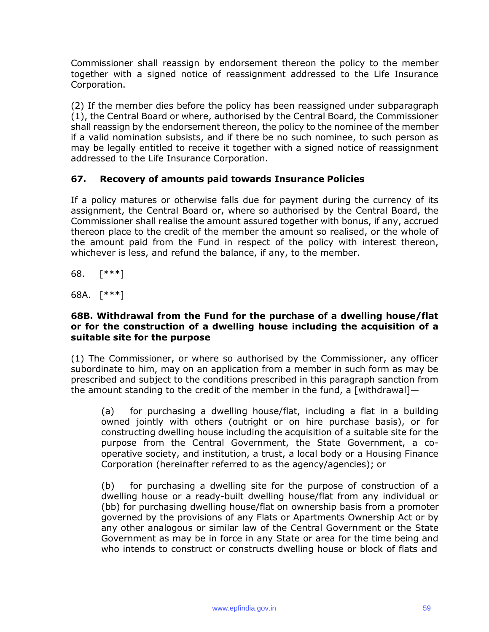Commissioner shall reassign by endorsement thereon the policy to the member together with a signed notice of reassignment addressed to the Life Insurance Corporation.

(2) If the member dies before the policy has been reassigned under subparagraph (1), the Central Board or where, authorised by the Central Board, the Commissioner shall reassign by the endorsement thereon, the policy to the nominee of the member if a valid nomination subsists, and if there be no such nominee, to such person as may be legally entitled to receive it together with a signed notice of reassignment addressed to the Life Insurance Corporation.

## **67. Recovery of amounts paid towards Insurance Policies**

If a policy matures or otherwise falls due for payment during the currency of its assignment, the Central Board or, where so authorised by the Central Board, the Commissioner shall realise the amount assured together with bonus, if any, accrued thereon place to the credit of the member the amount so realised, or the whole of the amount paid from the Fund in respect of the policy with interest thereon, whichever is less, and refund the balance, if any, to the member.

68. [\*\*\*]

68A. [\*\*\*]

#### **68B. Withdrawal from the Fund for the purchase of a dwelling house/flat or for the construction of a dwelling house including the acquisition of a suitable site for the purpose**

(1) The Commissioner, or where so authorised by the Commissioner, any officer subordinate to him, may on an application from a member in such form as may be prescribed and subject to the conditions prescribed in this paragraph sanction from the amount standing to the credit of the member in the fund, a [withdrawal]—

(a) for purchasing a dwelling house/flat, including a flat in a building owned jointly with others (outright or on hire purchase basis), or for constructing dwelling house including the acquisition of a suitable site for the purpose from the Central Government, the State Government, a cooperative society, and institution, a trust, a local body or a Housing Finance Corporation (hereinafter referred to as the agency/agencies); or

(b) for purchasing a dwelling site for the purpose of construction of a dwelling house or a ready-built dwelling house/flat from any individual or (bb) for purchasing dwelling house/flat on ownership basis from a promoter governed by the provisions of any Flats or Apartments Ownership Act or by any other analogous or similar law of the Central Government or the State Government as may be in force in any State or area for the time being and who intends to construct or constructs dwelling house or block of flats and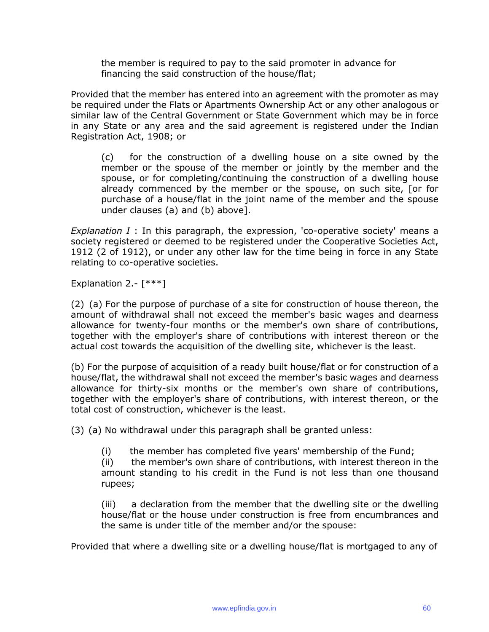the member is required to pay to the said promoter in advance for financing the said construction of the house/flat;

Provided that the member has entered into an agreement with the promoter as may be required under the Flats or Apartments Ownership Act or any other analogous or similar law of the Central Government or State Government which may be in force in any State or any area and the said agreement is registered under the Indian Registration Act, 1908; or

(c) for the construction of a dwelling house on a site owned by the member or the spouse of the member or jointly by the member and the spouse, or for completing/continuing the construction of a dwelling house already commenced by the member or the spouse, on such site, [or for purchase of a house/flat in the joint name of the member and the spouse under clauses (a) and (b) above].

*Explanation I* : In this paragraph, the expression, 'co-operative society' means a society registered or deemed to be registered under the Cooperative Societies Act, 1912 (2 of 1912), or under any other law for the time being in force in any State relating to co-operative societies.

Explanation 2.- $[***]$ 

(2) (a) For the purpose of purchase of a site for construction of house thereon, the amount of withdrawal shall not exceed the member's basic wages and dearness allowance for twenty-four months or the member's own share of contributions, together with the employer's share of contributions with interest thereon or the actual cost towards the acquisition of the dwelling site, whichever is the least.

(b) For the purpose of acquisition of a ready built house/flat or for construction of a house/flat, the withdrawal shall not exceed the member's basic wages and dearness allowance for thirty-six months or the member's own share of contributions, together with the employer's share of contributions, with interest thereon, or the total cost of construction, whichever is the least.

(3) (a) No withdrawal under this paragraph shall be granted unless:

(i) the member has completed five years' membership of the Fund;

(ii) the member's own share of contributions, with interest thereon in the amount standing to his credit in the Fund is not less than one thousand rupees;

(iii) a declaration from the member that the dwelling site or the dwelling house/flat or the house under construction is free from encumbrances and the same is under title of the member and/or the spouse:

Provided that where a dwelling site or a dwelling house/flat is mortgaged to any of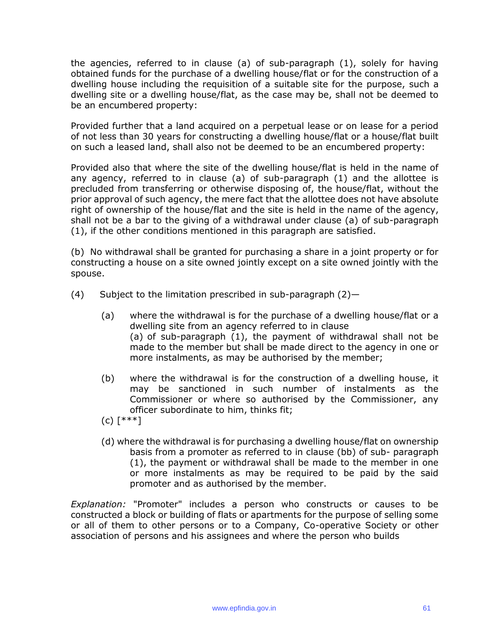the agencies, referred to in clause (a) of sub-paragraph (1), solely for having obtained funds for the purchase of a dwelling house/flat or for the construction of a dwelling house including the requisition of a suitable site for the purpose, such a dwelling site or a dwelling house/flat, as the case may be, shall not be deemed to be an encumbered property:

Provided further that a land acquired on a perpetual lease or on lease for a period of not less than 30 years for constructing a dwelling house/flat or a house/flat built on such a leased land, shall also not be deemed to be an encumbered property:

Provided also that where the site of the dwelling house/flat is held in the name of any agency, referred to in clause (a) of sub-paragraph (1) and the allottee is precluded from transferring or otherwise disposing of, the house/flat, without the prior approval of such agency, the mere fact that the allottee does not have absolute right of ownership of the house/flat and the site is held in the name of the agency, shall not be a bar to the giving of a withdrawal under clause (a) of sub-paragraph (1), if the other conditions mentioned in this paragraph are satisfied.

(b) No withdrawal shall be granted for purchasing a share in a joint property or for constructing a house on a site owned jointly except on a site owned jointly with the spouse.

- (4) Subject to the limitation prescribed in sub-paragraph  $(2)$ -
	- (a) where the withdrawal is for the purchase of a dwelling house/flat or a dwelling site from an agency referred to in clause (a) of sub-paragraph (1), the payment of withdrawal shall not be made to the member but shall be made direct to the agency in one or more instalments, as may be authorised by the member;
	- (b) where the withdrawal is for the construction of a dwelling house, it may be sanctioned in such number of instalments as the Commissioner or where so authorised by the Commissioner, any officer subordinate to him, thinks fit;
	- (c) [\*\*\*]
	- (d) where the withdrawal is for purchasing a dwelling house/flat on ownership basis from a promoter as referred to in clause (bb) of sub- paragraph (1), the payment or withdrawal shall be made to the member in one or more instalments as may be required to be paid by the said promoter and as authorised by the member.

*Explanation:* "Promoter" includes a person who constructs or causes to be constructed a block or building of flats or apartments for the purpose of selling some or all of them to other persons or to a Company, Co-operative Society or other association of persons and his assignees and where the person who builds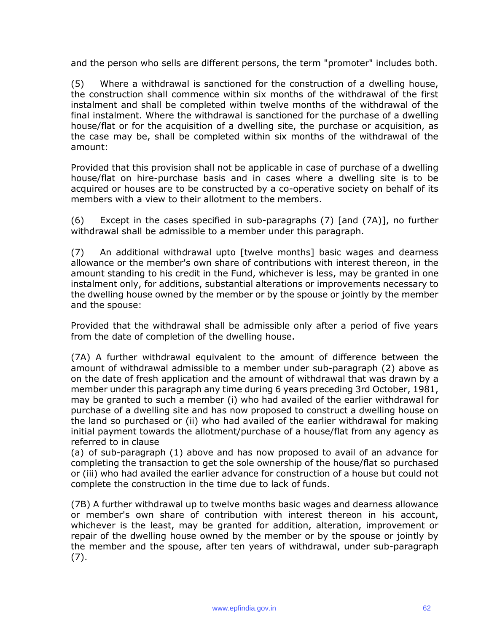and the person who sells are different persons, the term "promoter" includes both.

(5) Where a withdrawal is sanctioned for the construction of a dwelling house, the construction shall commence within six months of the withdrawal of the first instalment and shall be completed within twelve months of the withdrawal of the final instalment. Where the withdrawal is sanctioned for the purchase of a dwelling house/flat or for the acquisition of a dwelling site, the purchase or acquisition, as the case may be, shall be completed within six months of the withdrawal of the amount:

Provided that this provision shall not be applicable in case of purchase of a dwelling house/flat on hire-purchase basis and in cases where a dwelling site is to be acquired or houses are to be constructed by a co-operative society on behalf of its members with a view to their allotment to the members.

(6) Except in the cases specified in sub-paragraphs (7) [and (7A)], no further withdrawal shall be admissible to a member under this paragraph.

(7) An additional withdrawal upto [twelve months] basic wages and dearness allowance or the member's own share of contributions with interest thereon, in the amount standing to his credit in the Fund, whichever is less, may be granted in one instalment only, for additions, substantial alterations or improvements necessary to the dwelling house owned by the member or by the spouse or jointly by the member and the spouse:

Provided that the withdrawal shall be admissible only after a period of five years from the date of completion of the dwelling house.

(7A) A further withdrawal equivalent to the amount of difference between the amount of withdrawal admissible to a member under sub-paragraph (2) above as on the date of fresh application and the amount of withdrawal that was drawn by a member under this paragraph any time during 6 years preceding 3rd October, 1981, may be granted to such a member (i) who had availed of the earlier withdrawal for purchase of a dwelling site and has now proposed to construct a dwelling house on the land so purchased or (ii) who had availed of the earlier withdrawal for making initial payment towards the allotment/purchase of a house/flat from any agency as referred to in clause

(a) of sub-paragraph (1) above and has now proposed to avail of an advance for completing the transaction to get the sole ownership of the house/flat so purchased or (iii) who had availed the earlier advance for construction of a house but could not complete the construction in the time due to lack of funds.

(7B) A further withdrawal up to twelve months basic wages and dearness allowance or member's own share of contribution with interest thereon in his account, whichever is the least, may be granted for addition, alteration, improvement or repair of the dwelling house owned by the member or by the spouse or jointly by the member and the spouse, after ten years of withdrawal, under sub-paragraph (7).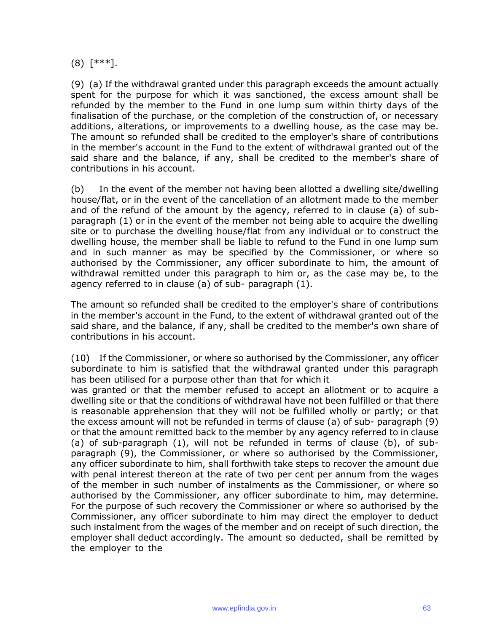(8) [\*\*\*].

(9) (a) If the withdrawal granted under this paragraph exceeds the amount actually spent for the purpose for which it was sanctioned, the excess amount shall be refunded by the member to the Fund in one lump sum within thirty days of the finalisation of the purchase, or the completion of the construction of, or necessary additions, alterations, or improvements to a dwelling house, as the case may be. The amount so refunded shall be credited to the employer's share of contributions in the member's account in the Fund to the extent of withdrawal granted out of the said share and the balance, if any, shall be credited to the member's share of contributions in his account.

(b) In the event of the member not having been allotted a dwelling site/dwelling house/flat, or in the event of the cancellation of an allotment made to the member and of the refund of the amount by the agency, referred to in clause (a) of subparagraph (1) or in the event of the member not being able to acquire the dwelling site or to purchase the dwelling house/flat from any individual or to construct the dwelling house, the member shall be liable to refund to the Fund in one lump sum and in such manner as may be specified by the Commissioner, or where so authorised by the Commissioner, any officer subordinate to him, the amount of withdrawal remitted under this paragraph to him or, as the case may be, to the agency referred to in clause (a) of sub- paragraph (1).

The amount so refunded shall be credited to the employer's share of contributions in the member's account in the Fund, to the extent of withdrawal granted out of the said share, and the balance, if any, shall be credited to the member's own share of contributions in his account.

(10) If the Commissioner, or where so authorised by the Commissioner, any officer subordinate to him is satisfied that the withdrawal granted under this paragraph has been utilised for a purpose other than that for which it

was granted or that the member refused to accept an allotment or to acquire a dwelling site or that the conditions of withdrawal have not been fulfilled or that there is reasonable apprehension that they will not be fulfilled wholly or partly; or that the excess amount will not be refunded in terms of clause (a) of sub- paragraph (9) or that the amount remitted back to the member by any agency referred to in clause (a) of sub-paragraph (1), will not be refunded in terms of clause (b), of subparagraph (9), the Commissioner, or where so authorised by the Commissioner, any officer subordinate to him, shall forthwith take steps to recover the amount due with penal interest thereon at the rate of two per cent per annum from the wages of the member in such number of instalments as the Commissioner, or where so authorised by the Commissioner, any officer subordinate to him, may determine. For the purpose of such recovery the Commissioner or where so authorised by the Commissioner, any officer subordinate to him may direct the employer to deduct such instalment from the wages of the member and on receipt of such direction, the employer shall deduct accordingly. The amount so deducted, shall be remitted by the employer to the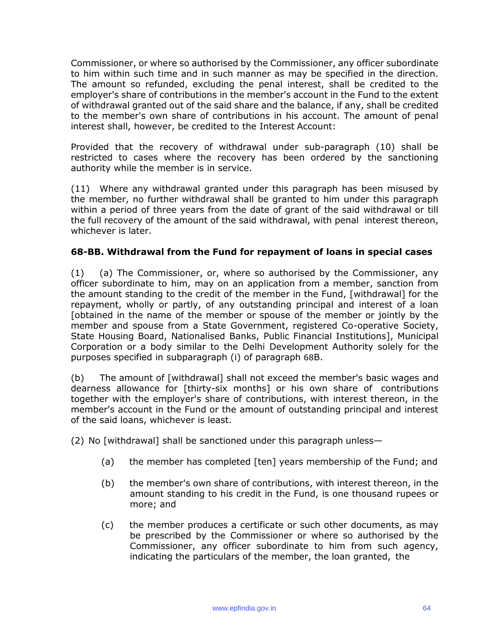Commissioner, or where so authorised by the Commissioner, any officer subordinate to him within such time and in such manner as may be specified in the direction. The amount so refunded, excluding the penal interest, shall be credited to the employer's share of contributions in the member's account in the Fund to the extent of withdrawal granted out of the said share and the balance, if any, shall be credited to the member's own share of contributions in his account. The amount of penal interest shall, however, be credited to the Interest Account:

Provided that the recovery of withdrawal under sub-paragraph (10) shall be restricted to cases where the recovery has been ordered by the sanctioning authority while the member is in service.

(11) Where any withdrawal granted under this paragraph has been misused by the member, no further withdrawal shall be granted to him under this paragraph within a period of three years from the date of grant of the said withdrawal or till the full recovery of the amount of the said withdrawal, with penal interest thereon, whichever is later.

## **68-BB. Withdrawal from the Fund for repayment of loans in special cases**

(1) (a) The Commissioner, or, where so authorised by the Commissioner, any officer subordinate to him, may on an application from a member, sanction from the amount standing to the credit of the member in the Fund, [withdrawal] for the repayment, wholly or partly, of any outstanding principal and interest of a loan [obtained in the name of the member or spouse of the member or jointly by the member and spouse from a State Government, registered Co-operative Society, State Housing Board, Nationalised Banks, Public Financial Institutions], Municipal Corporation or a body similar to the Delhi Development Authority solely for the purposes specified in subparagraph (i) of paragraph 68B.

(b) The amount of [withdrawal] shall not exceed the member's basic wages and dearness allowance for [thirty-six months] or his own share of contributions together with the employer's share of contributions, with interest thereon, in the member's account in the Fund or the amount of outstanding principal and interest of the said loans, whichever is least.

(2) No [withdrawal] shall be sanctioned under this paragraph unless—

- (a) the member has completed [ten] years membership of the Fund; and
- (b) the member's own share of contributions, with interest thereon, in the amount standing to his credit in the Fund, is one thousand rupees or more; and
- (c) the member produces a certificate or such other documents, as may be prescribed by the Commissioner or where so authorised by the Commissioner, any officer subordinate to him from such agency, indicating the particulars of the member, the loan granted, the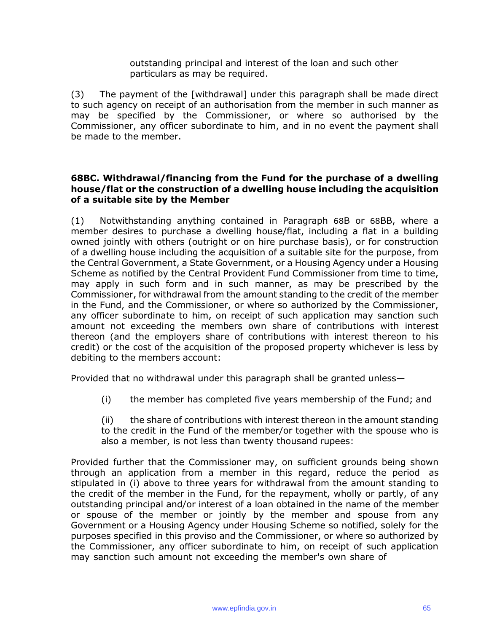outstanding principal and interest of the loan and such other particulars as may be required.

(3) The payment of the [withdrawal] under this paragraph shall be made direct to such agency on receipt of an authorisation from the member in such manner as may be specified by the Commissioner, or where so authorised by the Commissioner, any officer subordinate to him, and in no event the payment shall be made to the member.

#### **68BC. Withdrawal/financing from the Fund for the purchase of a dwelling house/flat or the construction of a dwelling house including the acquisition of a suitable site by the Member**

(1) Notwithstanding anything contained in Paragraph 68B or 68BB, where a member desires to purchase a dwelling house/flat, including a flat in a building owned jointly with others (outright or on hire purchase basis), or for construction of a dwelling house including the acquisition of a suitable site for the purpose, from the Central Government, a State Government, or a Housing Agency under a Housing Scheme as notified by the Central Provident Fund Commissioner from time to time, may apply in such form and in such manner, as may be prescribed by the Commissioner, for withdrawal from the amount standing to the credit of the member in the Fund, and the Commissioner, or where so authorized by the Commissioner, any officer subordinate to him, on receipt of such application may sanction such amount not exceeding the members own share of contributions with interest thereon (and the employers share of contributions with interest thereon to his credit) or the cost of the acquisition of the proposed property whichever is less by debiting to the members account:

Provided that no withdrawal under this paragraph shall be granted unless—

(i) the member has completed five years membership of the Fund; and

(ii) the share of contributions with interest thereon in the amount standing to the credit in the Fund of the member/or together with the spouse who is also a member, is not less than twenty thousand rupees:

Provided further that the Commissioner may, on sufficient grounds being shown through an application from a member in this regard, reduce the period as stipulated in (i) above to three years for withdrawal from the amount standing to the credit of the member in the Fund, for the repayment, wholly or partly, of any outstanding principal and/or interest of a loan obtained in the name of the member or spouse of the member or jointly by the member and spouse from any Government or a Housing Agency under Housing Scheme so notified, solely for the purposes specified in this proviso and the Commissioner, or where so authorized by the Commissioner, any officer subordinate to him, on receipt of such application may sanction such amount not exceeding the member's own share of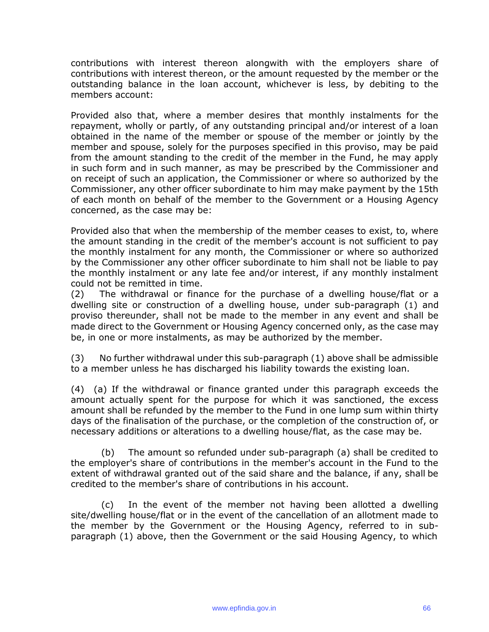contributions with interest thereon alongwith with the employers share of contributions with interest thereon, or the amount requested by the member or the outstanding balance in the loan account, whichever is less, by debiting to the members account:

Provided also that, where a member desires that monthly instalments for the repayment, wholly or partly, of any outstanding principal and/or interest of a loan obtained in the name of the member or spouse of the member or jointly by the member and spouse, solely for the purposes specified in this proviso, may be paid from the amount standing to the credit of the member in the Fund, he may apply in such form and in such manner, as may be prescribed by the Commissioner and on receipt of such an application, the Commissioner or where so authorized by the Commissioner, any other officer subordinate to him may make payment by the 15th of each month on behalf of the member to the Government or a Housing Agency concerned, as the case may be:

Provided also that when the membership of the member ceases to exist, to, where the amount standing in the credit of the member's account is not sufficient to pay the monthly instalment for any month, the Commissioner or where so authorized by the Commissioner any other officer subordinate to him shall not be liable to pay the monthly instalment or any late fee and/or interest, if any monthly instalment could not be remitted in time.

(2) The withdrawal or finance for the purchase of a dwelling house/flat or a dwelling site or construction of a dwelling house, under sub-paragraph (1) and proviso thereunder, shall not be made to the member in any event and shall be made direct to the Government or Housing Agency concerned only, as the case may be, in one or more instalments, as may be authorized by the member.

(3) No further withdrawal under this sub-paragraph (1) above shall be admissible to a member unless he has discharged his liability towards the existing loan.

(4) (a) If the withdrawal or finance granted under this paragraph exceeds the amount actually spent for the purpose for which it was sanctioned, the excess amount shall be refunded by the member to the Fund in one lump sum within thirty days of the finalisation of the purchase, or the completion of the construction of, or necessary additions or alterations to a dwelling house/flat, as the case may be.

The amount so refunded under sub-paragraph (a) shall be credited to the employer's share of contributions in the member's account in the Fund to the extent of withdrawal granted out of the said share and the balance, if any, shall be credited to the member's share of contributions in his account.

(c) In the event of the member not having been allotted a dwelling site/dwelling house/flat or in the event of the cancellation of an allotment made to the member by the Government or the Housing Agency, referred to in subparagraph (1) above, then the Government or the said Housing Agency, to which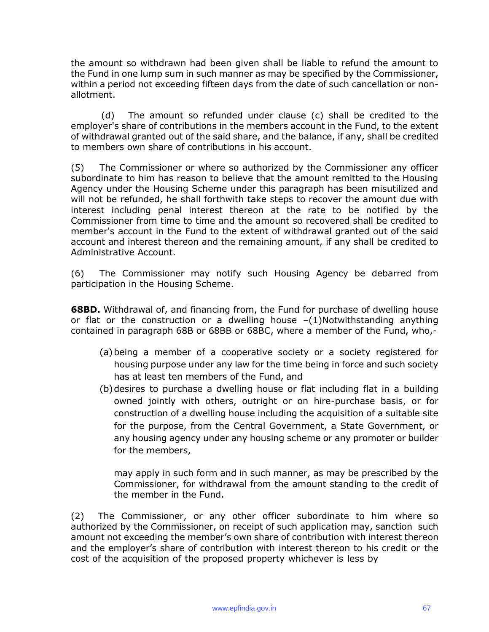the amount so withdrawn had been given shall be liable to refund the amount to the Fund in one lump sum in such manner as may be specified by the Commissioner, within a period not exceeding fifteen days from the date of such cancellation or nonallotment.

(d) The amount so refunded under clause (c) shall be credited to the employer's share of contributions in the members account in the Fund, to the extent of withdrawal granted out of the said share, and the balance, if any, shall be credited to members own share of contributions in his account.

(5) The Commissioner or where so authorized by the Commissioner any officer subordinate to him has reason to believe that the amount remitted to the Housing Agency under the Housing Scheme under this paragraph has been misutilized and will not be refunded, he shall forthwith take steps to recover the amount due with interest including penal interest thereon at the rate to be notified by the Commissioner from time to time and the amount so recovered shall be credited to member's account in the Fund to the extent of withdrawal granted out of the said account and interest thereon and the remaining amount, if any shall be credited to Administrative Account.

(6) The Commissioner may notify such Housing Agency be debarred from participation in the Housing Scheme.

**68BD.** Withdrawal of, and financing from, the Fund for purchase of dwelling house or flat or the construction or a dwelling house  $-(1)$ Notwithstanding anything contained in paragraph 68B or 68BB or 68BC, where a member of the Fund, who,-

- (a)being a member of a cooperative society or a society registered for housing purpose under any law for the time being in force and such society has at least ten members of the Fund, and
- (b)desires to purchase a dwelling house or flat including flat in a building owned jointly with others, outright or on hire-purchase basis, or for construction of a dwelling house including the acquisition of a suitable site for the purpose, from the Central Government, a State Government, or any housing agency under any housing scheme or any promoter or builder for the members,

may apply in such form and in such manner, as may be prescribed by the Commissioner, for withdrawal from the amount standing to the credit of the member in the Fund.

(2) The Commissioner, or any other officer subordinate to him where so authorized by the Commissioner, on receipt of such application may, sanction such amount not exceeding the member's own share of contribution with interest thereon and the employer's share of contribution with interest thereon to his credit or the cost of the acquisition of the proposed property whichever is less by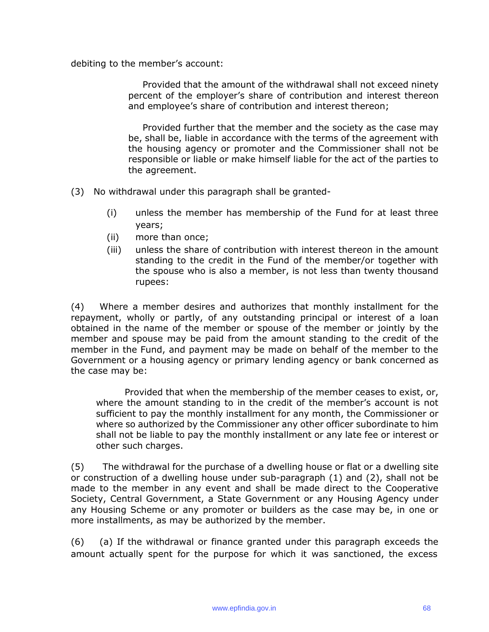debiting to the member's account:

Provided that the amount of the withdrawal shall not exceed ninety percent of the employer's share of contribution and interest thereon and employee's share of contribution and interest thereon;

Provided further that the member and the society as the case may be, shall be, liable in accordance with the terms of the agreement with the housing agency or promoter and the Commissioner shall not be responsible or liable or make himself liable for the act of the parties to the agreement.

- (3) No withdrawal under this paragraph shall be granted-
	- (i) unless the member has membership of the Fund for at least three years;
	- (ii) more than once;
	- (iii) unless the share of contribution with interest thereon in the amount standing to the credit in the Fund of the member/or together with the spouse who is also a member, is not less than twenty thousand rupees:

(4) Where a member desires and authorizes that monthly installment for the repayment, wholly or partly, of any outstanding principal or interest of a loan obtained in the name of the member or spouse of the member or jointly by the member and spouse may be paid from the amount standing to the credit of the member in the Fund, and payment may be made on behalf of the member to the Government or a housing agency or primary lending agency or bank concerned as the case may be:

Provided that when the membership of the member ceases to exist, or, where the amount standing to in the credit of the member's account is not sufficient to pay the monthly installment for any month, the Commissioner or where so authorized by the Commissioner any other officer subordinate to him shall not be liable to pay the monthly installment or any late fee or interest or other such charges.

(5) The withdrawal for the purchase of a dwelling house or flat or a dwelling site or construction of a dwelling house under sub-paragraph (1) and (2), shall not be made to the member in any event and shall be made direct to the Cooperative Society, Central Government, a State Government or any Housing Agency under any Housing Scheme or any promoter or builders as the case may be, in one or more installments, as may be authorized by the member.

(6) (a) If the withdrawal or finance granted under this paragraph exceeds the amount actually spent for the purpose for which it was sanctioned, the excess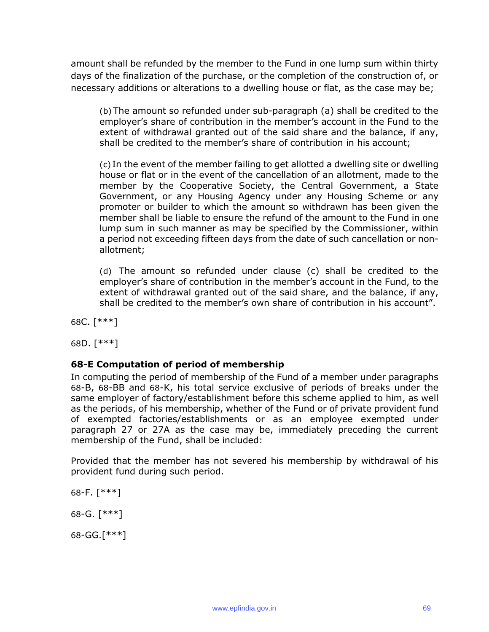amount shall be refunded by the member to the Fund in one lump sum within thirty days of the finalization of the purchase, or the completion of the construction of, or necessary additions or alterations to a dwelling house or flat, as the case may be;

(b) The amount so refunded under sub-paragraph (a) shall be credited to the employer's share of contribution in the member's account in the Fund to the extent of withdrawal granted out of the said share and the balance, if any, shall be credited to the member's share of contribution in his account;

(c) In the event of the member failing to get allotted a dwelling site or dwelling house or flat or in the event of the cancellation of an allotment, made to the member by the Cooperative Society, the Central Government, a State Government, or any Housing Agency under any Housing Scheme or any promoter or builder to which the amount so withdrawn has been given the member shall be liable to ensure the refund of the amount to the Fund in one lump sum in such manner as may be specified by the Commissioner, within a period not exceeding fifteen days from the date of such cancellation or nonallotment;

(d) The amount so refunded under clause (c) shall be credited to the employer's share of contribution in the member's account in the Fund, to the extent of withdrawal granted out of the said share, and the balance, if any, shall be credited to the member's own share of contribution in his account".

68C. [\*\*\*]

68D. [\*\*\*]

## **68-E Computation of period of membership**

In computing the period of membership of the Fund of a member under paragraphs 68-B, 68-BB and 68-K, his total service exclusive of periods of breaks under the same employer of factory/establishment before this scheme applied to him, as well as the periods, of his membership, whether of the Fund or of private provident fund of exempted factories/establishments or as an employee exempted under paragraph 27 or 27A as the case may be, immediately preceding the current membership of the Fund, shall be included:

Provided that the member has not severed his membership by withdrawal of his provident fund during such period.

68-F. [\*\*\*] 68-G. [\*\*\*]

68-GG.[\*\*\*]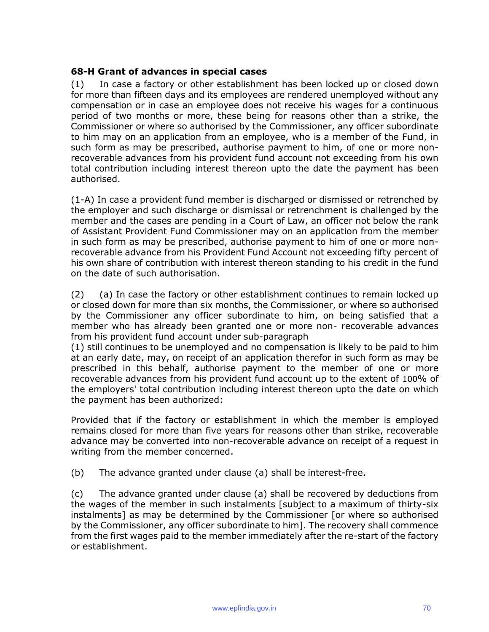#### **68-H Grant of advances in special cases**

(1) In case a factory or other establishment has been locked up or closed down for more than fifteen days and its employees are rendered unemployed without any compensation or in case an employee does not receive his wages for a continuous period of two months or more, these being for reasons other than a strike, the Commissioner or where so authorised by the Commissioner, any officer subordinate to him may on an application from an employee, who is a member of the Fund, in such form as may be prescribed, authorise payment to him, of one or more nonrecoverable advances from his provident fund account not exceeding from his own total contribution including interest thereon upto the date the payment has been authorised.

(1-A) In case a provident fund member is discharged or dismissed or retrenched by the employer and such discharge or dismissal or retrenchment is challenged by the member and the cases are pending in a Court of Law, an officer not below the rank of Assistant Provident Fund Commissioner may on an application from the member in such form as may be prescribed, authorise payment to him of one or more nonrecoverable advance from his Provident Fund Account not exceeding fifty percent of his own share of contribution with interest thereon standing to his credit in the fund on the date of such authorisation.

(2) (a) In case the factory or other establishment continues to remain locked up or closed down for more than six months, the Commissioner, or where so authorised by the Commissioner any officer subordinate to him, on being satisfied that a member who has already been granted one or more non- recoverable advances from his provident fund account under sub-paragraph

(1) still continues to be unemployed and no compensation is likely to be paid to him at an early date, may, on receipt of an application therefor in such form as may be prescribed in this behalf, authorise payment to the member of one or more recoverable advances from his provident fund account up to the extent of 100% of the employers' total contribution including interest thereon upto the date on which the payment has been authorized:

Provided that if the factory or establishment in which the member is employed remains closed for more than five years for reasons other than strike, recoverable advance may be converted into non-recoverable advance on receipt of a request in writing from the member concerned.

(b) The advance granted under clause (a) shall be interest-free.

(c) The advance granted under clause (a) shall be recovered by deductions from the wages of the member in such instalments [subject to a maximum of thirty-six instalments] as may be determined by the Commissioner [or where so authorised by the Commissioner, any officer subordinate to him]. The recovery shall commence from the first wages paid to the member immediately after the re-start of the factory or establishment.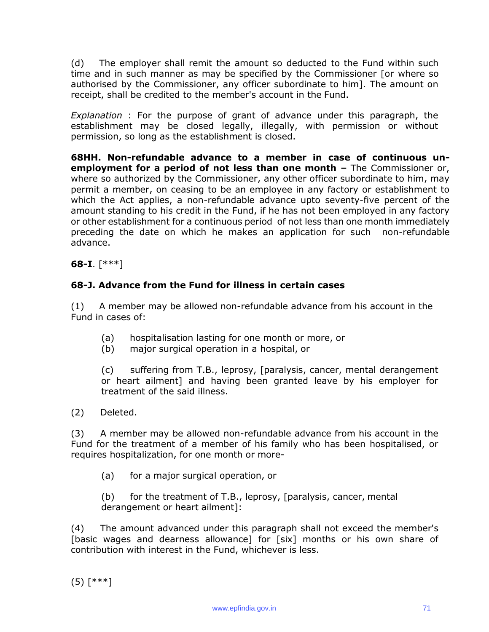(d) The employer shall remit the amount so deducted to the Fund within such time and in such manner as may be specified by the Commissioner [or where so authorised by the Commissioner, any officer subordinate to him]. The amount on receipt, shall be credited to the member's account in the Fund.

*Explanation* : For the purpose of grant of advance under this paragraph, the establishment may be closed legally, illegally, with permission or without permission, so long as the establishment is closed.

**68HH. Non-refundable advance to a member in case of continuous unemployment for a period of not less than one month -** The Commissioner or, where so authorized by the Commissioner, any other officer subordinate to him, may permit a member, on ceasing to be an employee in any factory or establishment to which the Act applies, a non-refundable advance upto seventy-five percent of the amount standing to his credit in the Fund, if he has not been employed in any factory or other establishment for a continuous period of not less than one month immediately preceding the date on which he makes an application for such non-refundable advance.

**68-I**. [\*\*\*]

## **68-J. Advance from the Fund for illness in certain cases**

(1) A member may be allowed non-refundable advance from his account in the Fund in cases of:

- (a) hospitalisation lasting for one month or more, or
- (b) major surgical operation in a hospital, or

(c) suffering from T.B., leprosy, [paralysis, cancer, mental derangement or heart ailment] and having been granted leave by his employer for treatment of the said illness.

(2) Deleted.

(3) A member may be allowed non-refundable advance from his account in the Fund for the treatment of a member of his family who has been hospitalised, or requires hospitalization, for one month or more-

(a) for a major surgical operation, or

(b) for the treatment of T.B., leprosy, [paralysis, cancer, mental derangement or heart ailment]:

(4) The amount advanced under this paragraph shall not exceed the member's [basic wages and dearness allowance] for [six] months or his own share of contribution with interest in the Fund, whichever is less.

 $(5)$  [\*\*\*]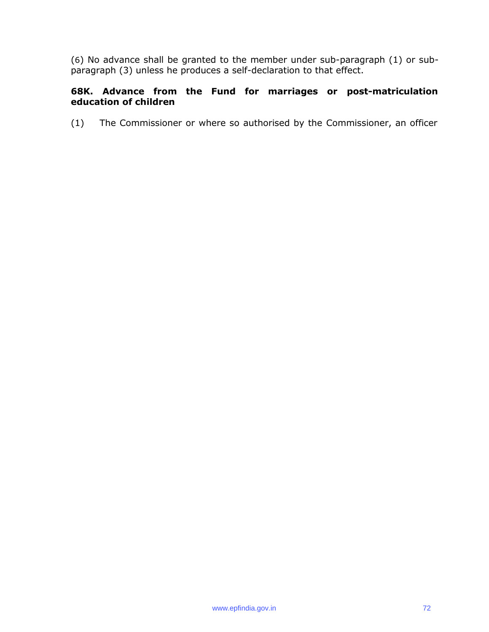(6) No advance shall be granted to the member under sub-paragraph (1) or subparagraph (3) unless he produces a self-declaration to that effect.

## **68K. Advance from the Fund for marriages or post-matriculation education of children**

(1) The Commissioner or where so authorised by the Commissioner, an officer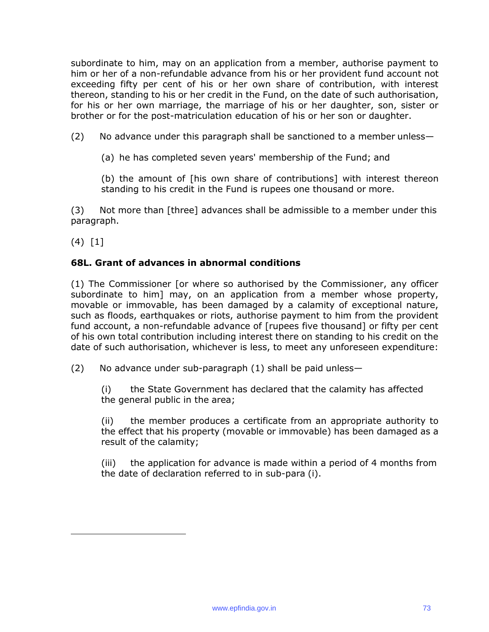subordinate to him, may on an application from a member, authorise payment to him or her of a non-refundable advance from his or her provident fund account not exceeding fifty per cent of his or her own share of contribution, with interest thereon, standing to his or her credit in the Fund, on the date of such authorisation, for his or her own marriage, the marriage of his or her daughter, son, sister or brother or for the post-matriculation education of his or her son or daughter.

(2) No advance under this paragraph shall be sanctioned to a member unless—

(a) he has completed seven years' membership of the Fund; and

(b) the amount of [his own share of contributions] with interest thereon standing to his credit in the Fund is rupees one thousand or more.

(3) Not more than [three] advances shall be admissible to a member under this paragraph.

(4) [1]

# **68L. Grant of advances in abnormal conditions**

(1) The Commissioner [or where so authorised by the Commissioner, any officer subordinate to him] may, on an application from a member whose property, movable or immovable, has been damaged by a calamity of exceptional nature, such as floods, earthquakes or riots, authorise payment to him from the provident fund account, a non-refundable advance of [rupees five thousand] or fifty per cent of his own total contribution including interest there on standing to his credit on the date of such authorisation, whichever is less, to meet any unforeseen expenditure:

(2) No advance under sub-paragraph (1) shall be paid unless—

(i) the State Government has declared that the calamity has affected the general public in the area;

(ii) the member produces a certificate from an appropriate authority to the effect that his property (movable or immovable) has been damaged as a result of the calamity;

(iii) the application for advance is made within a period of 4 months from the date of declaration referred to in sub-para (i).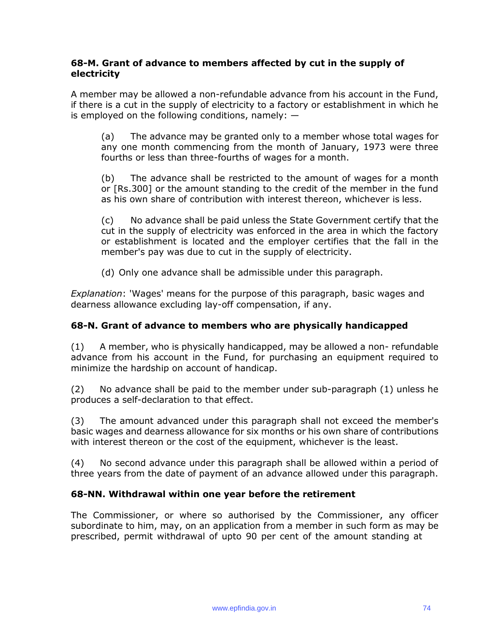### **68-M. Grant of advance to members affected by cut in the supply of electricity**

A member may be allowed a non-refundable advance from his account in the Fund, if there is a cut in the supply of electricity to a factory or establishment in which he is employed on the following conditions, namely:  $-$ 

(a) The advance may be granted only to a member whose total wages for any one month commencing from the month of January, 1973 were three fourths or less than three-fourths of wages for a month.

(b) The advance shall be restricted to the amount of wages for a month or [Rs.300] or the amount standing to the credit of the member in the fund as his own share of contribution with interest thereon, whichever is less.

(c) No advance shall be paid unless the State Government certify that the cut in the supply of electricity was enforced in the area in which the factory or establishment is located and the employer certifies that the fall in the member's pay was due to cut in the supply of electricity.

(d) Only one advance shall be admissible under this paragraph.

*Explanation*: 'Wages' means for the purpose of this paragraph, basic wages and dearness allowance excluding lay-off compensation, if any.

# **68-N. Grant of advance to members who are physically handicapped**

(1) A member, who is physically handicapped, may be allowed a non- refundable advance from his account in the Fund, for purchasing an equipment required to minimize the hardship on account of handicap.

(2) No advance shall be paid to the member under sub-paragraph (1) unless he produces a self-declaration to that effect.

(3) The amount advanced under this paragraph shall not exceed the member's basic wages and dearness allowance for six months or his own share of contributions with interest thereon or the cost of the equipment, whichever is the least.

(4) No second advance under this paragraph shall be allowed within a period of three years from the date of payment of an advance allowed under this paragraph.

#### **68-NN. Withdrawal within one year before the retirement**

The Commissioner, or where so authorised by the Commissioner, any officer subordinate to him, may, on an application from a member in such form as may be prescribed, permit withdrawal of upto 90 per cent of the amount standing at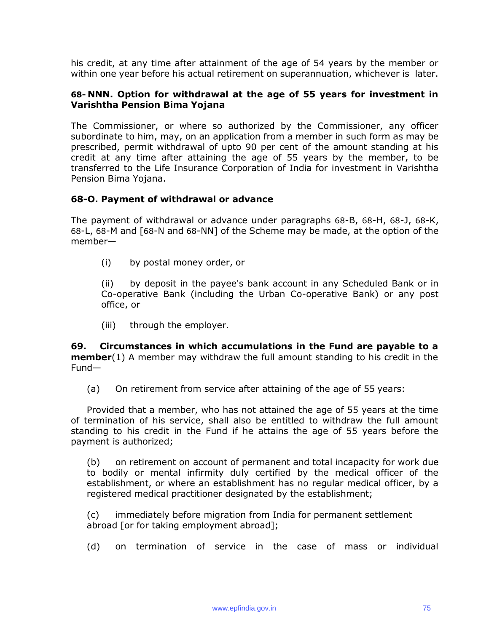his credit, at any time after attainment of the age of 54 years by the member or within one year before his actual retirement on superannuation, whichever is later.

#### **68- NNN. Option for withdrawal at the age of 55 years for investment in Varishtha Pension Bima Yojana**

The Commissioner, or where so authorized by the Commissioner, any officer subordinate to him, may, on an application from a member in such form as may be prescribed, permit withdrawal of upto 90 per cent of the amount standing at his credit at any time after attaining the age of 55 years by the member, to be transferred to the Life Insurance Corporation of India for investment in Varishtha Pension Bima Yojana.

#### **68-O. Payment of withdrawal or advance**

The payment of withdrawal or advance under paragraphs 68-B, 68-H, 68-J, 68-K, 68-L, 68-M and [68-N and 68-NN] of the Scheme may be made, at the option of the member—

(i) by postal money order, or

(ii) by deposit in the payee's bank account in any Scheduled Bank or in Co-operative Bank (including the Urban Co-operative Bank) or any post office, or

(iii) through the employer.

**69. Circumstances in which accumulations in the Fund are payable to a member**(1) A member may withdraw the full amount standing to his credit in the Fund—

(a) On retirement from service after attaining of the age of 55 years:

Provided that a member, who has not attained the age of 55 years at the time of termination of his service, shall also be entitled to withdraw the full amount standing to his credit in the Fund if he attains the age of 55 years before the payment is authorized;

(b) on retirement on account of permanent and total incapacity for work due to bodily or mental infirmity duly certified by the medical officer of the establishment, or where an establishment has no regular medical officer, by a registered medical practitioner designated by the establishment;

(c) immediately before migration from India for permanent settlement abroad [or for taking employment abroad];

(d) on termination of service in the case of mass or individual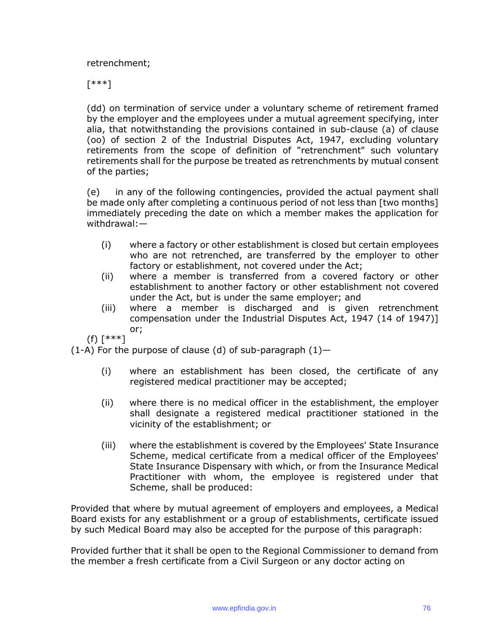retrenchment;

[\*\*\*]

(dd) on termination of service under a voluntary scheme of retirement framed by the employer and the employees under a mutual agreement specifying, inter alia, that notwithstanding the provisions contained in sub-clause (a) of clause (oo) of section 2 of the Industrial Disputes Act, 1947, excluding voluntary retirements from the scope of definition of "retrenchment" such voluntary retirements shall for the purpose be treated as retrenchments by mutual consent of the parties;

(e) in any of the following contingencies, provided the actual payment shall be made only after completing a continuous period of not less than [two months] immediately preceding the date on which a member makes the application for withdrawal:—

- (i) where a factory or other establishment is closed but certain employees who are not retrenched, are transferred by the employer to other factory or establishment, not covered under the Act;
- (ii) where a member is transferred from a covered factory or other establishment to another factory or other establishment not covered under the Act, but is under the same employer; and
- (iii) where a member is discharged and is given retrenchment compensation under the Industrial Disputes Act, 1947 (14 of 1947)] or;

(f) [\*\*\*]

(1-A) For the purpose of clause (d) of sub-paragraph  $(1)$  -

- (i) where an establishment has been closed, the certificate of any registered medical practitioner may be accepted;
- (ii) where there is no medical officer in the establishment, the employer shall designate a registered medical practitioner stationed in the vicinity of the establishment; or
- (iii) where the establishment is covered by the Employees' State Insurance Scheme, medical certificate from a medical officer of the Employees' State Insurance Dispensary with which, or from the Insurance Medical Practitioner with whom, the employee is registered under that Scheme, shall be produced:

Provided that where by mutual agreement of employers and employees, a Medical Board exists for any establishment or a group of establishments, certificate issued by such Medical Board may also be accepted for the purpose of this paragraph:

Provided further that it shall be open to the Regional Commissioner to demand from the member a fresh certificate from a Civil Surgeon or any doctor acting on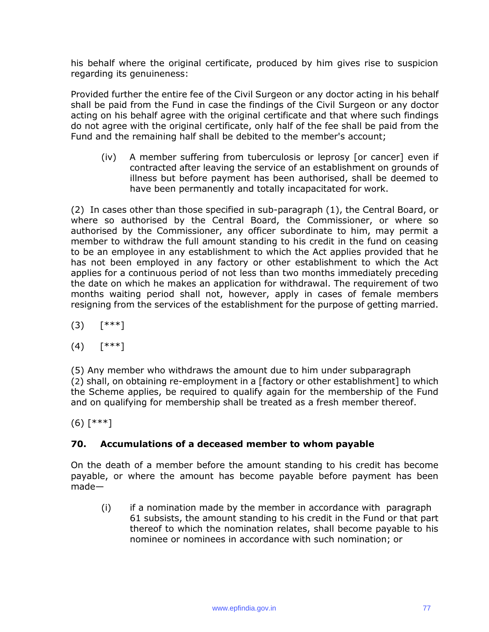his behalf where the original certificate, produced by him gives rise to suspicion regarding its genuineness:

Provided further the entire fee of the Civil Surgeon or any doctor acting in his behalf shall be paid from the Fund in case the findings of the Civil Surgeon or any doctor acting on his behalf agree with the original certificate and that where such findings do not agree with the original certificate, only half of the fee shall be paid from the Fund and the remaining half shall be debited to the member's account;

(iv) A member suffering from tuberculosis or leprosy [or cancer] even if contracted after leaving the service of an establishment on grounds of illness but before payment has been authorised, shall be deemed to have been permanently and totally incapacitated for work.

(2) In cases other than those specified in sub-paragraph (1), the Central Board, or where so authorised by the Central Board, the Commissioner, or where so authorised by the Commissioner, any officer subordinate to him, may permit a member to withdraw the full amount standing to his credit in the fund on ceasing to be an employee in any establishment to which the Act applies provided that he has not been employed in any factory or other establishment to which the Act applies for a continuous period of not less than two months immediately preceding the date on which he makes an application for withdrawal. The requirement of two months waiting period shall not, however, apply in cases of female members resigning from the services of the establishment for the purpose of getting married.

- (3) [\*\*\*]
- (4) [\*\*\*]

(5) Any member who withdraws the amount due to him under subparagraph (2) shall, on obtaining re-employment in a [factory or other establishment] to which the Scheme applies, be required to qualify again for the membership of the Fund and on qualifying for membership shall be treated as a fresh member thereof.

(6) [\*\*\*]

# **70. Accumulations of a deceased member to whom payable**

On the death of a member before the amount standing to his credit has become payable, or where the amount has become payable before payment has been made—

(i) if a nomination made by the member in accordance with paragraph 61 subsists, the amount standing to his credit in the Fund or that part thereof to which the nomination relates, shall become payable to his nominee or nominees in accordance with such nomination; or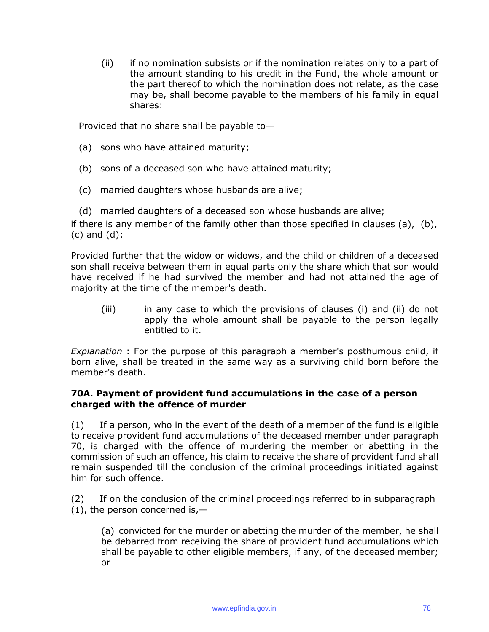(ii) if no nomination subsists or if the nomination relates only to a part of the amount standing to his credit in the Fund, the whole amount or the part thereof to which the nomination does not relate, as the case may be, shall become payable to the members of his family in equal shares:

Provided that no share shall be payable to—

- (a) sons who have attained maturity;
- (b) sons of a deceased son who have attained maturity;
- (c) married daughters whose husbands are alive;

(d) married daughters of a deceased son whose husbands are alive; if there is any member of the family other than those specified in clauses (a), (b), (c) and (d):

Provided further that the widow or widows, and the child or children of a deceased son shall receive between them in equal parts only the share which that son would have received if he had survived the member and had not attained the age of majority at the time of the member's death.

(iii) in any case to which the provisions of clauses (i) and (ii) do not apply the whole amount shall be payable to the person legally entitled to it.

*Explanation* : For the purpose of this paragraph a member's posthumous child, if born alive, shall be treated in the same way as a surviving child born before the member's death.

#### **70A. Payment of provident fund accumulations in the case of a person charged with the offence of murder**

(1) If a person, who in the event of the death of a member of the fund is eligible to receive provident fund accumulations of the deceased member under paragraph 70, is charged with the offence of murdering the member or abetting in the commission of such an offence, his claim to receive the share of provident fund shall remain suspended till the conclusion of the criminal proceedings initiated against him for such offence.

(2) If on the conclusion of the criminal proceedings referred to in subparagraph  $(1)$ , the person concerned is, -

(a) convicted for the murder or abetting the murder of the member, he shall be debarred from receiving the share of provident fund accumulations which shall be payable to other eligible members, if any, of the deceased member; or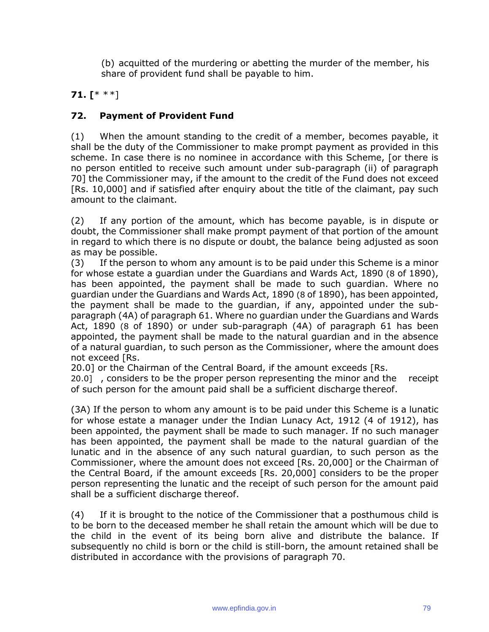(b) acquitted of the murdering or abetting the murder of the member, his share of provident fund shall be payable to him.

# **71. [**\* \*\*]

# **72. Payment of Provident Fund**

(1) When the amount standing to the credit of a member, becomes payable, it shall be the duty of the Commissioner to make prompt payment as provided in this scheme. In case there is no nominee in accordance with this Scheme, [or there is no person entitled to receive such amount under sub-paragraph (ii) of paragraph 70] the Commissioner may, if the amount to the credit of the Fund does not exceed [Rs. 10,000] and if satisfied after enquiry about the title of the claimant, pay such amount to the claimant.

(2) If any portion of the amount, which has become payable, is in dispute or doubt, the Commissioner shall make prompt payment of that portion of the amount in regard to which there is no dispute or doubt, the balance being adjusted as soon as may be possible.

(3) If the person to whom any amount is to be paid under this Scheme is a minor for whose estate a guardian under the Guardians and Wards Act, 1890 (8 of 1890), has been appointed, the payment shall be made to such guardian. Where no guardian under the Guardians and Wards Act, 1890 (8 of 1890), has been appointed, the payment shall be made to the guardian, if any, appointed under the subparagraph (4A) of paragraph 61. Where no guardian under the Guardians and Wards Act, 1890 (8 of 1890) or under sub-paragraph (4A) of paragraph 61 has been appointed, the payment shall be made to the natural guardian and in the absence of a natural guardian, to such person as the Commissioner, where the amount does not exceed [Rs.

20.0] or the Chairman of the Central Board, if the amount exceeds [Rs.

20.0] , considers to be the proper person representing the minor and the receipt of such person for the amount paid shall be a sufficient discharge thereof.

(3A) If the person to whom any amount is to be paid under this Scheme is a lunatic for whose estate a manager under the Indian Lunacy Act, 1912 (4 of 1912), has been appointed, the payment shall be made to such manager. If no such manager has been appointed, the payment shall be made to the natural guardian of the lunatic and in the absence of any such natural guardian, to such person as the Commissioner, where the amount does not exceed [Rs. 20,000] or the Chairman of the Central Board, if the amount exceeds [Rs. 20,000] considers to be the proper person representing the lunatic and the receipt of such person for the amount paid shall be a sufficient discharge thereof.

(4) If it is brought to the notice of the Commissioner that a posthumous child is to be born to the deceased member he shall retain the amount which will be due to the child in the event of its being born alive and distribute the balance. If subsequently no child is born or the child is still-born, the amount retained shall be distributed in accordance with the provisions of paragraph 70.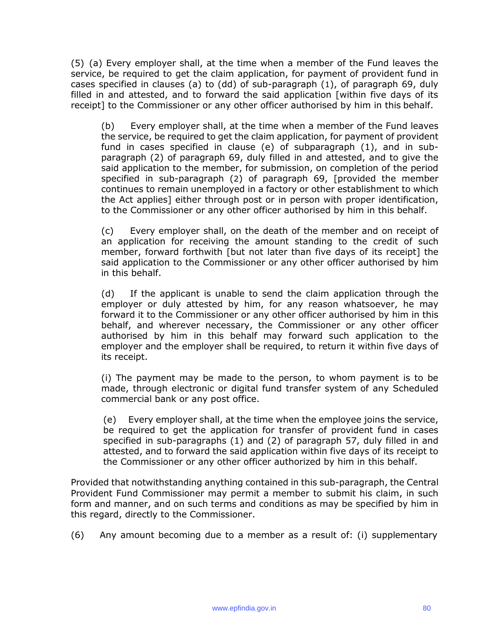(5) (a) Every employer shall, at the time when a member of the Fund leaves the service, be required to get the claim application, for payment of provident fund in cases specified in clauses (a) to (dd) of sub-paragraph (1), of paragraph 69, duly filled in and attested, and to forward the said application [within five days of its receipt] to the Commissioner or any other officer authorised by him in this behalf.

(b) Every employer shall, at the time when a member of the Fund leaves the service, be required to get the claim application, for payment of provident fund in cases specified in clause (e) of subparagraph (1), and in subparagraph (2) of paragraph 69, duly filled in and attested, and to give the said application to the member, for submission, on completion of the period specified in sub-paragraph (2) of paragraph 69, [provided the member continues to remain unemployed in a factory or other establishment to which the Act applies] either through post or in person with proper identification, to the Commissioner or any other officer authorised by him in this behalf.

(c) Every employer shall, on the death of the member and on receipt of an application for receiving the amount standing to the credit of such member, forward forthwith [but not later than five days of its receipt] the said application to the Commissioner or any other officer authorised by him in this behalf.

(d) If the applicant is unable to send the claim application through the employer or duly attested by him, for any reason whatsoever, he may forward it to the Commissioner or any other officer authorised by him in this behalf, and wherever necessary, the Commissioner or any other officer authorised by him in this behalf may forward such application to the employer and the employer shall be required, to return it within five days of its receipt.

(i) The payment may be made to the person, to whom payment is to be made, through electronic or digital fund transfer system of any Scheduled commercial bank or any post office.

(e) Every employer shall, at the time when the employee joins the service, be required to get the application for transfer of provident fund in cases specified in sub-paragraphs (1) and (2) of paragraph 57, duly filled in and attested, and to forward the said application within five days of its receipt to the Commissioner or any other officer authorized by him in this behalf.

Provided that notwithstanding anything contained in this sub-paragraph, the Central Provident Fund Commissioner may permit a member to submit his claim, in such form and manner, and on such terms and conditions as may be specified by him in this regard, directly to the Commissioner.

(6) Any amount becoming due to a member as a result of: (i) supplementary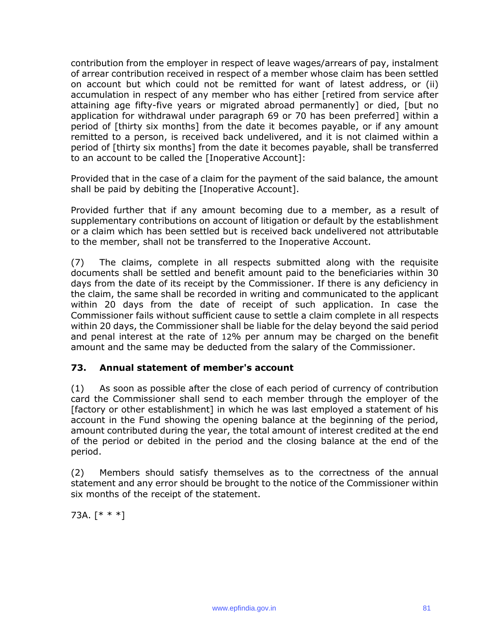contribution from the employer in respect of leave wages/arrears of pay, instalment of arrear contribution received in respect of a member whose claim has been settled on account but which could not be remitted for want of latest address, or (ii) accumulation in respect of any member who has either [retired from service after attaining age fifty-five years or migrated abroad permanently] or died, [but no application for withdrawal under paragraph 69 or 70 has been preferred] within a period of [thirty six months] from the date it becomes payable, or if any amount remitted to a person, is received back undelivered, and it is not claimed within a period of [thirty six months] from the date it becomes payable, shall be transferred to an account to be called the [Inoperative Account]:

Provided that in the case of a claim for the payment of the said balance, the amount shall be paid by debiting the [Inoperative Account].

Provided further that if any amount becoming due to a member, as a result of supplementary contributions on account of litigation or default by the establishment or a claim which has been settled but is received back undelivered not attributable to the member, shall not be transferred to the Inoperative Account.

(7) The claims, complete in all respects submitted along with the requisite documents shall be settled and benefit amount paid to the beneficiaries within 30 days from the date of its receipt by the Commissioner. If there is any deficiency in the claim, the same shall be recorded in writing and communicated to the applicant within 20 days from the date of receipt of such application. In case the Commissioner fails without sufficient cause to settle a claim complete in all respects within 20 days, the Commissioner shall be liable for the delay beyond the said period and penal interest at the rate of 12% per annum may be charged on the benefit amount and the same may be deducted from the salary of the Commissioner.

# **73. Annual statement of member's account**

(1) As soon as possible after the close of each period of currency of contribution card the Commissioner shall send to each member through the employer of the [factory or other establishment] in which he was last employed a statement of his account in the Fund showing the opening balance at the beginning of the period, amount contributed during the year, the total amount of interest credited at the end of the period or debited in the period and the closing balance at the end of the period.

(2) Members should satisfy themselves as to the correctness of the annual statement and any error should be brought to the notice of the Commissioner within six months of the receipt of the statement.

73A. [\* \* \*]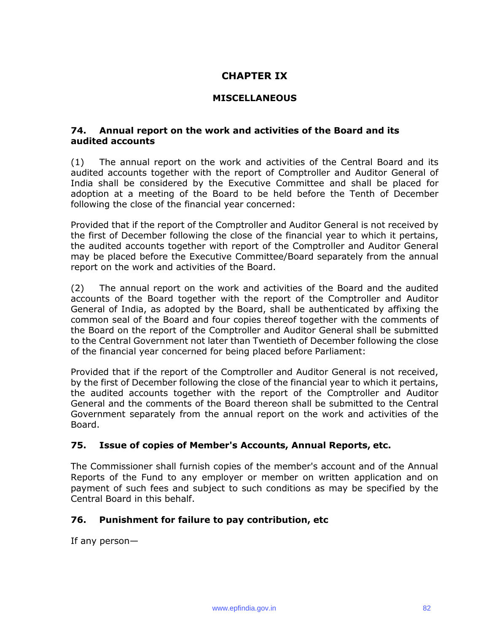# **CHAPTER IX**

### **MISCELLANEOUS**

#### **74. Annual report on the work and activities of the Board and its audited accounts**

(1) The annual report on the work and activities of the Central Board and its audited accounts together with the report of Comptroller and Auditor General of India shall be considered by the Executive Committee and shall be placed for adoption at a meeting of the Board to be held before the Tenth of December following the close of the financial year concerned:

Provided that if the report of the Comptroller and Auditor General is not received by the first of December following the close of the financial year to which it pertains, the audited accounts together with report of the Comptroller and Auditor General may be placed before the Executive Committee/Board separately from the annual report on the work and activities of the Board.

(2) The annual report on the work and activities of the Board and the audited accounts of the Board together with the report of the Comptroller and Auditor General of India, as adopted by the Board, shall be authenticated by affixing the common seal of the Board and four copies thereof together with the comments of the Board on the report of the Comptroller and Auditor General shall be submitted to the Central Government not later than Twentieth of December following the close of the financial year concerned for being placed before Parliament:

Provided that if the report of the Comptroller and Auditor General is not received, by the first of December following the close of the financial year to which it pertains, the audited accounts together with the report of the Comptroller and Auditor General and the comments of the Board thereon shall be submitted to the Central Government separately from the annual report on the work and activities of the Board.

# **75. Issue of copies of Member's Accounts, Annual Reports, etc.**

The Commissioner shall furnish copies of the member's account and of the Annual Reports of the Fund to any employer or member on written application and on payment of such fees and subject to such conditions as may be specified by the Central Board in this behalf.

# **76. Punishment for failure to pay contribution, etc**

If any person—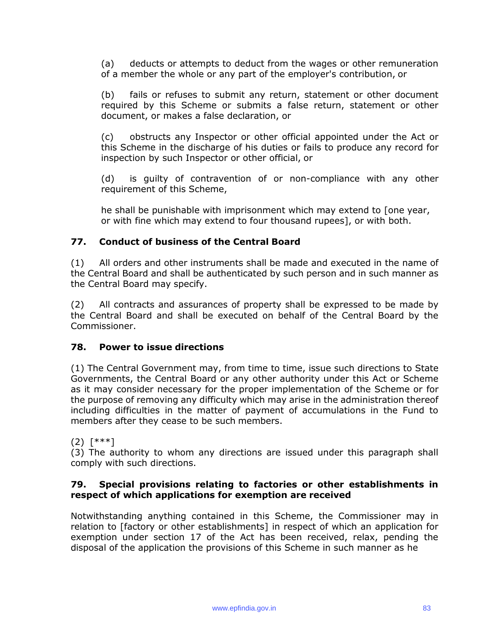(a) deducts or attempts to deduct from the wages or other remuneration of a member the whole or any part of the employer's contribution, or

(b) fails or refuses to submit any return, statement or other document required by this Scheme or submits a false return, statement or other document, or makes a false declaration, or

(c) obstructs any Inspector or other official appointed under the Act or this Scheme in the discharge of his duties or fails to produce any record for inspection by such Inspector or other official, or

(d) is guilty of contravention of or non-compliance with any other requirement of this Scheme,

he shall be punishable with imprisonment which may extend to [one year, or with fine which may extend to four thousand rupees], or with both.

# **77. Conduct of business of the Central Board**

(1) All orders and other instruments shall be made and executed in the name of the Central Board and shall be authenticated by such person and in such manner as the Central Board may specify.

(2) All contracts and assurances of property shall be expressed to be made by the Central Board and shall be executed on behalf of the Central Board by the Commissioner.

# **78. Power to issue directions**

(1) The Central Government may, from time to time, issue such directions to State Governments, the Central Board or any other authority under this Act or Scheme as it may consider necessary for the proper implementation of the Scheme or for the purpose of removing any difficulty which may arise in the administration thereof including difficulties in the matter of payment of accumulations in the Fund to members after they cease to be such members.

(2) [\*\*\*]

(3) The authority to whom any directions are issued under this paragraph shall comply with such directions.

#### **79. Special provisions relating to factories or other establishments in respect of which applications for exemption are received**

Notwithstanding anything contained in this Scheme, the Commissioner may in relation to [factory or other establishments] in respect of which an application for exemption under section 17 of the Act has been received, relax, pending the disposal of the application the provisions of this Scheme in such manner as he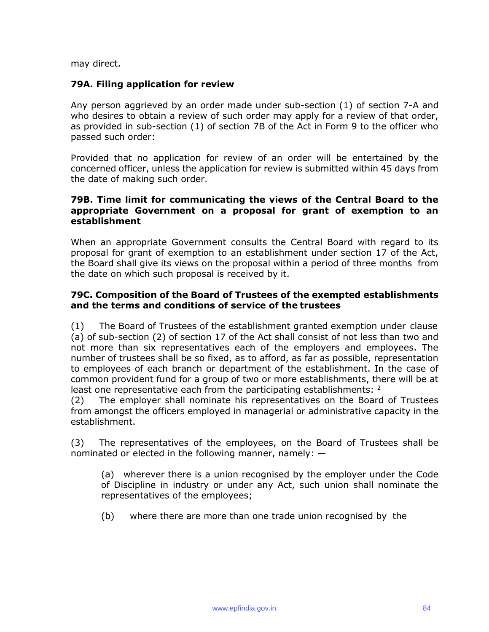may direct.

#### **79A. Filing application for review**

Any person aggrieved by an order made under sub-section (1) of section 7-A and who desires to obtain a review of such order may apply for a review of that order, as provided in sub-section (1) of section 7B of the Act in Form 9 to the officer who passed such order:

Provided that no application for review of an order will be entertained by the concerned officer, unless the application for review is submitted within 45 days from the date of making such order.

#### **79B. Time limit for communicating the views of the Central Board to the appropriate Government on a proposal for grant of exemption to an establishment**

When an appropriate Government consults the Central Board with regard to its proposal for grant of exemption to an establishment under section 17 of the Act, the Board shall give its views on the proposal within a period of three months from the date on which such proposal is received by it.

### **79C. Composition of the Board of Trustees of the exempted establishments and the terms and conditions of service of the trustees**

(1) The Board of Trustees of the establishment granted exemption under clause (a) of sub-section (2) of section 17 of the Act shall consist of not less than two and not more than six representatives each of the employers and employees. The number of trustees shall be so fixed, as to afford, as far as possible, representation to employees of each branch or department of the establishment. In the case of common provident fund for a group of two or more establishments, there will be at least one representative each from the participating establishments:  $2^2$ 

(2) The employer shall nominate his representatives on the Board of Trustees from amongst the officers employed in managerial or administrative capacity in the establishment.

(3) The representatives of the employees, on the Board of Trustees shall be nominated or elected in the following manner, namely: —

(a) wherever there is a union recognised by the employer under the Code of Discipline in industry or under any Act, such union shall nominate the representatives of the employees;

(b) where there are more than one trade union recognised by the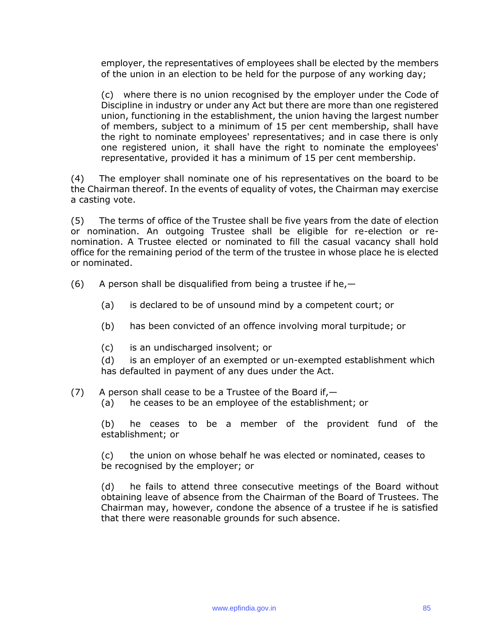employer, the representatives of employees shall be elected by the members of the union in an election to be held for the purpose of any working day;

(c) where there is no union recognised by the employer under the Code of Discipline in industry or under any Act but there are more than one registered union, functioning in the establishment, the union having the largest number of members, subject to a minimum of 15 per cent membership, shall have the right to nominate employees' representatives; and in case there is only one registered union, it shall have the right to nominate the employees' representative, provided it has a minimum of 15 per cent membership.

(4) The employer shall nominate one of his representatives on the board to be the Chairman thereof. In the events of equality of votes, the Chairman may exercise a casting vote.

(5) The terms of office of the Trustee shall be five years from the date of election or nomination. An outgoing Trustee shall be eligible for re-election or renomination. A Trustee elected or nominated to fill the casual vacancy shall hold office for the remaining period of the term of the trustee in whose place he is elected or nominated.

- (6) A person shall be disqualified from being a trustee if he,  $-$ 
	- (a) is declared to be of unsound mind by a competent court; or
	- (b) has been convicted of an offence involving moral turpitude; or
	- (c) is an undischarged insolvent; or

(d) is an employer of an exempted or un-exempted establishment which has defaulted in payment of any dues under the Act.

 $(7)$  A person shall cease to be a Trustee of the Board if,  $-$ 

(a) he ceases to be an employee of the establishment; or

(b) he ceases to be a member of the provident fund of the establishment; or

(c) the union on whose behalf he was elected or nominated, ceases to be recognised by the employer; or

(d) he fails to attend three consecutive meetings of the Board without obtaining leave of absence from the Chairman of the Board of Trustees. The Chairman may, however, condone the absence of a trustee if he is satisfied that there were reasonable grounds for such absence.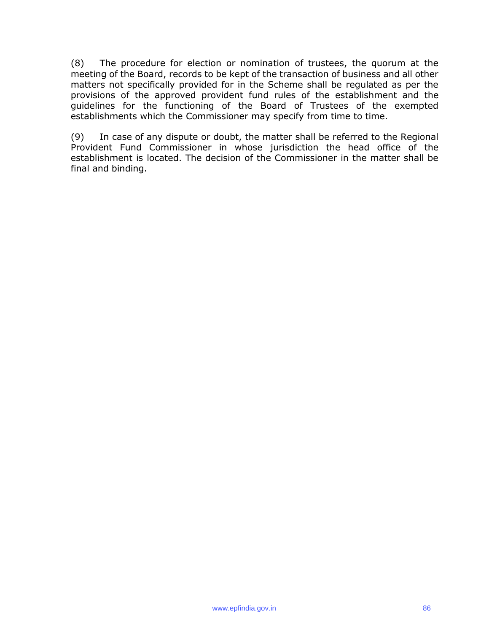(8) The procedure for election or nomination of trustees, the quorum at the meeting of the Board, records to be kept of the transaction of business and all other matters not specifically provided for in the Scheme shall be regulated as per the provisions of the approved provident fund rules of the establishment and the guidelines for the functioning of the Board of Trustees of the exempted establishments which the Commissioner may specify from time to time.

(9) In case of any dispute or doubt, the matter shall be referred to the Regional Provident Fund Commissioner in whose jurisdiction the head office of the establishment is located. The decision of the Commissioner in the matter shall be final and binding.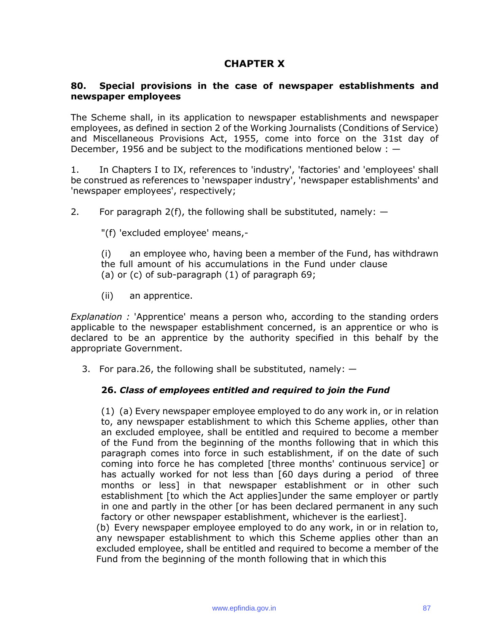# **CHAPTER X**

### **80. Special provisions in the case of newspaper establishments and newspaper employees**

The Scheme shall, in its application to newspaper establishments and newspaper employees, as defined in section 2 of the Working Journalists (Conditions of Service) and Miscellaneous Provisions Act, 1955, come into force on the 31st day of December, 1956 and be subject to the modifications mentioned below : —

1. In Chapters I to IX, references to 'industry', 'factories' and 'employees' shall be construed as references to 'newspaper industry', 'newspaper establishments' and 'newspaper employees', respectively;

2. For paragraph  $2(f)$ , the following shall be substituted, namely:  $-$ 

"(f) 'excluded employee' means,-

(i) an employee who, having been a member of the Fund, has withdrawn the full amount of his accumulations in the Fund under clause (a) or (c) of sub-paragraph (1) of paragraph 69;

(ii) an apprentice.

*Explanation :* 'Apprentice' means a person who, according to the standing orders applicable to the newspaper establishment concerned, is an apprentice or who is declared to be an apprentice by the authority specified in this behalf by the appropriate Government.

3. For para.26, the following shall be substituted, namely:  $-$ 

# **26.** *Class of employees entitled and required to join the Fund*

(1) (a) Every newspaper employee employed to do any work in, or in relation to, any newspaper establishment to which this Scheme applies, other than an excluded employee, shall be entitled and required to become a member of the Fund from the beginning of the months following that in which this paragraph comes into force in such establishment, if on the date of such coming into force he has completed [three months' continuous service] or has actually worked for not less than [60 days during a period of three months or less] in that newspaper establishment or in other such establishment [to which the Act applies]under the same employer or partly in one and partly in the other [or has been declared permanent in any such factory or other newspaper establishment, whichever is the earliest].

(b) Every newspaper employee employed to do any work, in or in relation to, any newspaper establishment to which this Scheme applies other than an excluded employee, shall be entitled and required to become a member of the Fund from the beginning of the month following that in which this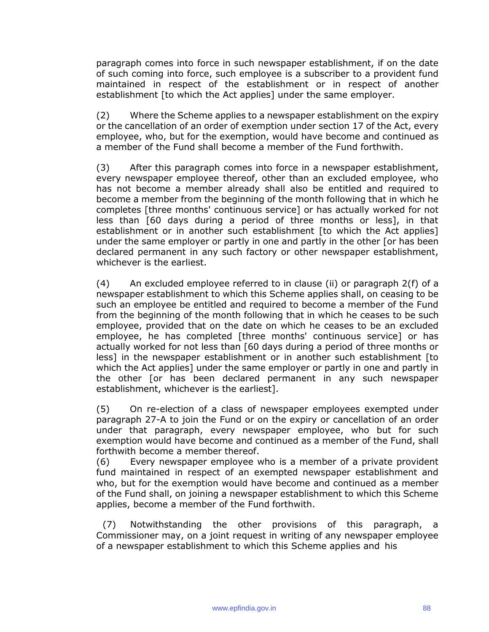paragraph comes into force in such newspaper establishment, if on the date of such coming into force, such employee is a subscriber to a provident fund maintained in respect of the establishment or in respect of another establishment [to which the Act applies] under the same employer.

(2) Where the Scheme applies to a newspaper establishment on the expiry or the cancellation of an order of exemption under section 17 of the Act, every employee, who, but for the exemption, would have become and continued as a member of the Fund shall become a member of the Fund forthwith.

(3) After this paragraph comes into force in a newspaper establishment, every newspaper employee thereof, other than an excluded employee, who has not become a member already shall also be entitled and required to become a member from the beginning of the month following that in which he completes [three months' continuous service] or has actually worked for not less than [60 days during a period of three months or less], in that establishment or in another such establishment [to which the Act applies] under the same employer or partly in one and partly in the other [or has been declared permanent in any such factory or other newspaper establishment, whichever is the earliest.

(4) An excluded employee referred to in clause (ii) or paragraph 2(f) of a newspaper establishment to which this Scheme applies shall, on ceasing to be such an employee be entitled and required to become a member of the Fund from the beginning of the month following that in which he ceases to be such employee, provided that on the date on which he ceases to be an excluded employee, he has completed [three months' continuous service] or has actually worked for not less than [60 days during a period of three months or less] in the newspaper establishment or in another such establishment [to which the Act applies] under the same employer or partly in one and partly in the other [or has been declared permanent in any such newspaper establishment, whichever is the earliest].

(5) On re-election of a class of newspaper employees exempted under paragraph 27-A to join the Fund or on the expiry or cancellation of an order under that paragraph, every newspaper employee, who but for such exemption would have become and continued as a member of the Fund, shall forthwith become a member thereof.

(6) Every newspaper employee who is a member of a private provident fund maintained in respect of an exempted newspaper establishment and who, but for the exemption would have become and continued as a member of the Fund shall, on joining a newspaper establishment to which this Scheme applies, become a member of the Fund forthwith.

(7) Notwithstanding the other provisions of this paragraph, a Commissioner may, on a joint request in writing of any newspaper employee of a newspaper establishment to which this Scheme applies and his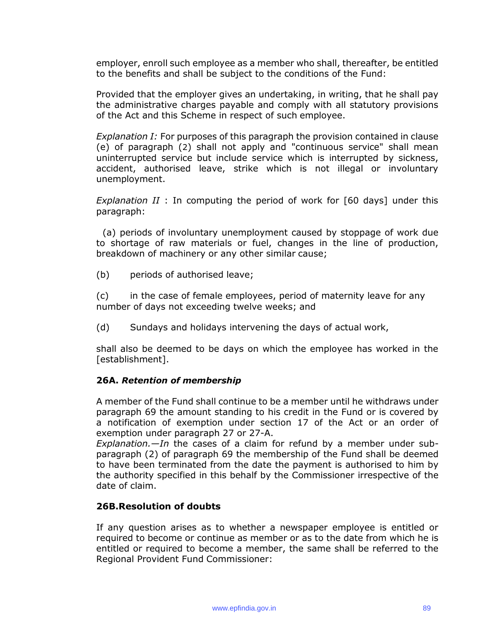employer, enroll such employee as a member who shall, thereafter, be entitled to the benefits and shall be subject to the conditions of the Fund:

Provided that the employer gives an undertaking, in writing, that he shall pay the administrative charges payable and comply with all statutory provisions of the Act and this Scheme in respect of such employee.

*Explanation I:* For purposes of this paragraph the provision contained in clause (e) of paragraph (2) shall not apply and "continuous service" shall mean uninterrupted service but include service which is interrupted by sickness, accident, authorised leave, strike which is not illegal or involuntary unemployment.

*Explanation II* : In computing the period of work for [60 days] under this paragraph:

(a) periods of involuntary unemployment caused by stoppage of work due to shortage of raw materials or fuel, changes in the line of production, breakdown of machinery or any other similar cause;

(b) periods of authorised leave;

(c) in the case of female employees, period of maternity leave for any number of days not exceeding twelve weeks; and

(d) Sundays and holidays intervening the days of actual work,

shall also be deemed to be days on which the employee has worked in the [establishment].

#### **26A.** *Retention of membership*

A member of the Fund shall continue to be a member until he withdraws under paragraph 69 the amount standing to his credit in the Fund or is covered by a notification of exemption under section 17 of the Act or an order of exemption under paragraph 27 or 27-A.

*Explanation.—In* the cases of a claim for refund by a member under subparagraph (2) of paragraph 69 the membership of the Fund shall be deemed to have been terminated from the date the payment is authorised to him by the authority specified in this behalf by the Commissioner irrespective of the date of claim.

#### **26B.Resolution of doubts**

If any question arises as to whether a newspaper employee is entitled or required to become or continue as member or as to the date from which he is entitled or required to become a member, the same shall be referred to the Regional Provident Fund Commissioner: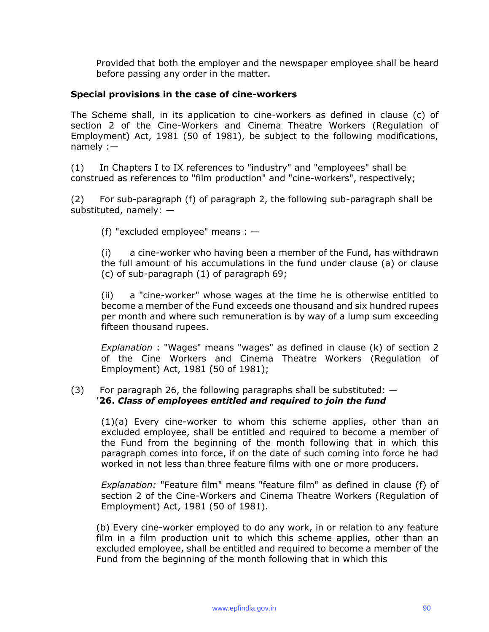Provided that both the employer and the newspaper employee shall be heard before passing any order in the matter.

#### **Special provisions in the case of cine-workers**

The Scheme shall, in its application to cine-workers as defined in clause (c) of section 2 of the Cine-Workers and Cinema Theatre Workers (Regulation of Employment) Act, 1981 (50 of 1981), be subject to the following modifications, namely :—

(1) In Chapters I to IX references to "industry" and "employees" shall be construed as references to "film production" and "cine-workers", respectively;

(2) For sub-paragraph (f) of paragraph 2, the following sub-paragraph shall be substituted, namely: —

(f) "excluded employee" means : —

(i) a cine-worker who having been a member of the Fund, has withdrawn the full amount of his accumulations in the fund under clause (a) or clause (c) of sub-paragraph (1) of paragraph 69;

(ii) a "cine-worker" whose wages at the time he is otherwise entitled to become a member of the Fund exceeds one thousand and six hundred rupees per month and where such remuneration is by way of a lump sum exceeding fifteen thousand rupees.

*Explanation* : "Wages" means "wages" as defined in clause (k) of section 2 of the Cine Workers and Cinema Theatre Workers (Regulation of Employment) Act, 1981 (50 of 1981);

#### (3) For paragraph 26, the following paragraphs shall be substituted:  $-$ **'26.** *Class of employees entitled and required to join the fund*

(1)(a) Every cine-worker to whom this scheme applies, other than an excluded employee, shall be entitled and required to become a member of the Fund from the beginning of the month following that in which this paragraph comes into force, if on the date of such coming into force he had worked in not less than three feature films with one or more producers.

*Explanation:* "Feature film" means "feature film" as defined in clause (f) of section 2 of the Cine-Workers and Cinema Theatre Workers (Regulation of Employment) Act, 1981 (50 of 1981).

(b) Every cine-worker employed to do any work, in or relation to any feature film in a film production unit to which this scheme applies, other than an excluded employee, shall be entitled and required to become a member of the Fund from the beginning of the month following that in which this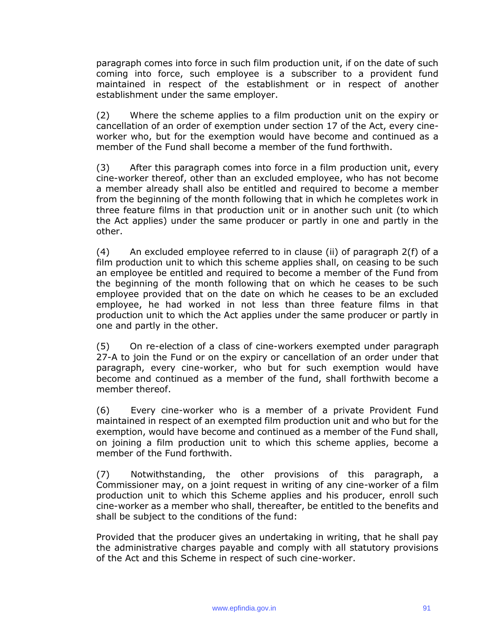paragraph comes into force in such film production unit, if on the date of such coming into force, such employee is a subscriber to a provident fund maintained in respect of the establishment or in respect of another establishment under the same employer.

(2) Where the scheme applies to a film production unit on the expiry or cancellation of an order of exemption under section 17 of the Act, every cineworker who, but for the exemption would have become and continued as a member of the Fund shall become a member of the fund forthwith.

(3) After this paragraph comes into force in a film production unit, every cine-worker thereof, other than an excluded employee, who has not become a member already shall also be entitled and required to become a member from the beginning of the month following that in which he completes work in three feature films in that production unit or in another such unit (to which the Act applies) under the same producer or partly in one and partly in the other.

(4) An excluded employee referred to in clause (ii) of paragraph 2(f) of a film production unit to which this scheme applies shall, on ceasing to be such an employee be entitled and required to become a member of the Fund from the beginning of the month following that on which he ceases to be such employee provided that on the date on which he ceases to be an excluded employee, he had worked in not less than three feature films in that production unit to which the Act applies under the same producer or partly in one and partly in the other.

(5) On re-election of a class of cine-workers exempted under paragraph 27-A to join the Fund or on the expiry or cancellation of an order under that paragraph, every cine-worker, who but for such exemption would have become and continued as a member of the fund, shall forthwith become a member thereof.

(6) Every cine-worker who is a member of a private Provident Fund maintained in respect of an exempted film production unit and who but for the exemption, would have become and continued as a member of the Fund shall, on joining a film production unit to which this scheme applies, become a member of the Fund forthwith.

(7) Notwithstanding, the other provisions of this paragraph, a Commissioner may, on a joint request in writing of any cine-worker of a film production unit to which this Scheme applies and his producer, enroll such cine-worker as a member who shall, thereafter, be entitled to the benefits and shall be subject to the conditions of the fund:

Provided that the producer gives an undertaking in writing, that he shall pay the administrative charges payable and comply with all statutory provisions of the Act and this Scheme in respect of such cine-worker.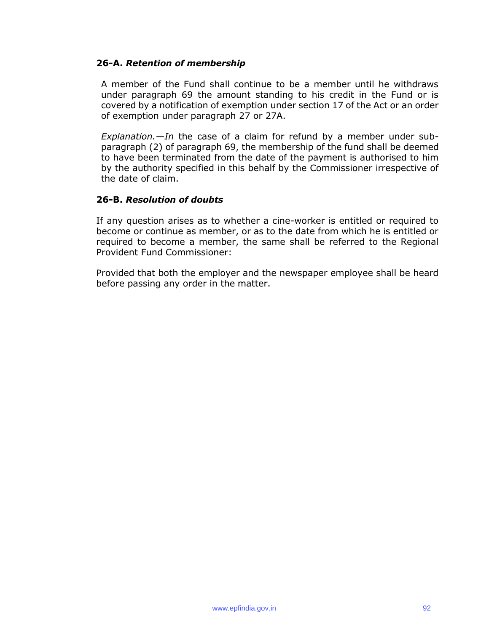#### **26-A.** *Retention of membership*

A member of the Fund shall continue to be a member until he withdraws under paragraph 69 the amount standing to his credit in the Fund or is covered by a notification of exemption under section 17 of the Act or an order of exemption under paragraph 27 or 27A.

*Explanation.—In* the case of a claim for refund by a member under subparagraph (2) of paragraph 69, the membership of the fund shall be deemed to have been terminated from the date of the payment is authorised to him by the authority specified in this behalf by the Commissioner irrespective of the date of claim.

#### **26-B.** *Resolution of doubts*

If any question arises as to whether a cine-worker is entitled or required to become or continue as member, or as to the date from which he is entitled or required to become a member, the same shall be referred to the Regional Provident Fund Commissioner:

Provided that both the employer and the newspaper employee shall be heard before passing any order in the matter.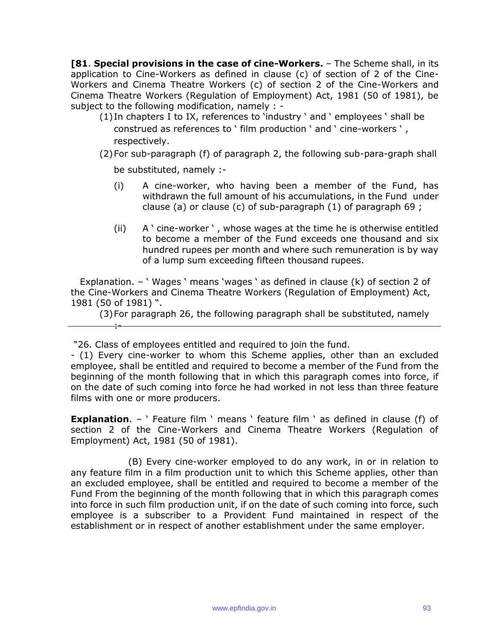**[81**. **Special provisions in the case of cine-Workers.** – The Scheme shall, in its application to Cine-Workers as defined in clause (c) of section of 2 of the Cine-Workers and Cinema Theatre Workers (c) of section 2 of the Cine-Workers and Cinema Theatre Workers (Regulation of Employment) Act, 1981 (50 of 1981), be subject to the following modification, namely : -

- (1)In chapters I to IX, references to 'industry ' and ' employees ' shall be construed as references to ' film production ' and ' cine-workers ' , respectively.
- (2)For sub-paragraph (f) of paragraph 2, the following sub-para-graph shall

be substituted, namely :-

:-

- (i) A cine-worker, who having been a member of the Fund, has withdrawn the full amount of his accumulations, in the Fund under clause (a) or clause (c) of sub-paragraph (1) of paragraph 69 ;
- (ii) A ' cine-worker ' , whose wages at the time he is otherwise entitled to become a member of the Fund exceeds one thousand and six hundred rupees per month and where such remuneration is by way of a lump sum exceeding fifteen thousand rupees.

Explanation. – ' Wages ' means 'wages ' as defined in clause (k) of section 2 of the Cine-Workers and Cinema Theatre Workers (Regulation of Employment) Act, 1981 (50 of 1981) ".

(3)For paragraph 26, the following paragraph shall be substituted, namely

"26. Class of employees entitled and required to join the fund.

- (1) Every cine-worker to whom this Scheme applies, other than an excluded employee, shall be entitled and required to become a member of the Fund from the beginning of the month following that in which this paragraph comes into force, if on the date of such coming into force he had worked in not less than three feature films with one or more producers.

**Explanation.** – ' Feature film ' means ' feature film ' as defined in clause (f) of section 2 of the Cine-Workers and Cinema Theatre Workers (Regulation of Employment) Act, 1981 (50 of 1981).

(B) Every cine-worker employed to do any work, in or in relation to any feature film in a film production unit to which this Scheme applies, other than an excluded employee, shall be entitled and required to become a member of the Fund From the beginning of the month following that in which this paragraph comes into force in such film production unit, if on the date of such coming into force, such employee is a subscriber to a Provident Fund maintained in respect of the establishment or in respect of another establishment under the same employer.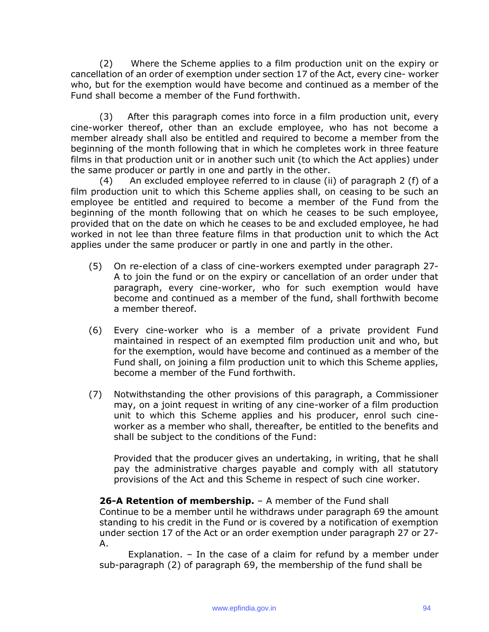(2) Where the Scheme applies to a film production unit on the expiry or cancellation of an order of exemption under section 17 of the Act, every cine- worker who, but for the exemption would have become and continued as a member of the Fund shall become a member of the Fund forthwith.

(3) After this paragraph comes into force in a film production unit, every cine-worker thereof, other than an exclude employee, who has not become a member already shall also be entitled and required to become a member from the beginning of the month following that in which he completes work in three feature films in that production unit or in another such unit (to which the Act applies) under the same producer or partly in one and partly in the other.

(4) An excluded employee referred to in clause (ii) of paragraph 2 (f) of a film production unit to which this Scheme applies shall, on ceasing to be such an employee be entitled and required to become a member of the Fund from the beginning of the month following that on which he ceases to be such employee, provided that on the date on which he ceases to be and excluded employee, he had worked in not lee than three feature films in that production unit to which the Act applies under the same producer or partly in one and partly in the other.

- (5) On re-election of a class of cine-workers exempted under paragraph 27- A to join the fund or on the expiry or cancellation of an order under that paragraph, every cine-worker, who for such exemption would have become and continued as a member of the fund, shall forthwith become a member thereof.
- (6) Every cine-worker who is a member of a private provident Fund maintained in respect of an exempted film production unit and who, but for the exemption, would have become and continued as a member of the Fund shall, on joining a film production unit to which this Scheme applies, become a member of the Fund forthwith.
- (7) Notwithstanding the other provisions of this paragraph, a Commissioner may, on a joint request in writing of any cine-worker of a film production unit to which this Scheme applies and his producer, enrol such cineworker as a member who shall, thereafter, be entitled to the benefits and shall be subject to the conditions of the Fund:

Provided that the producer gives an undertaking, in writing, that he shall pay the administrative charges payable and comply with all statutory provisions of the Act and this Scheme in respect of such cine worker.

**26-A Retention of membership.** – A member of the Fund shall

Continue to be a member until he withdraws under paragraph 69 the amount standing to his credit in the Fund or is covered by a notification of exemption under section 17 of the Act or an order exemption under paragraph 27 or 27- A.

Explanation. – In the case of a claim for refund by a member under sub-paragraph (2) of paragraph 69, the membership of the fund shall be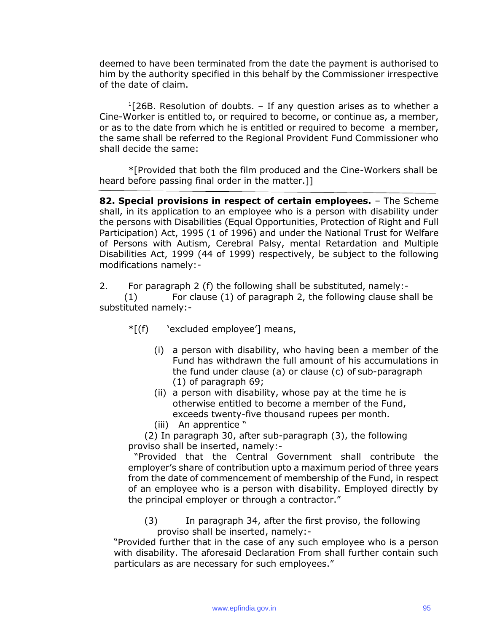deemed to have been terminated from the date the payment is authorised to him by the authority specified in this behalf by the Commissioner irrespective of the date of claim.

 $1$ [26B. Resolution of doubts.  $-$  If any question arises as to whether a Cine-Worker is entitled to, or required to become, or continue as, a member, or as to the date from which he is entitled or required to become a member, the same shall be referred to the Regional Provident Fund Commissioner who shall decide the same:

\*[Provided that both the film produced and the Cine-Workers shall be heard before passing final order in the matter.]]

**82. Special provisions in respect of certain employees.** – The Scheme shall, in its application to an employee who is a person with disability under the persons with Disabilities (Equal Opportunities, Protection of Right and Full Participation) Act, 1995 (1 of 1996) and under the National Trust for Welfare of Persons with Autism, Cerebral Palsy, mental Retardation and Multiple Disabilities Act, 1999 (44 of 1999) respectively, be subject to the following modifications namely:-

2. For paragraph 2 (f) the following shall be substituted, namely:-

(1) For clause (1) of paragraph 2, the following clause shall be substituted namely:-

- \*[(f) 'excluded employee'] means,
	- (i) a person with disability, who having been a member of the Fund has withdrawn the full amount of his accumulations in the fund under clause (a) or clause (c) of sub-paragraph (1) of paragraph 69;
	- (ii) a person with disability, whose pay at the time he is otherwise entitled to become a member of the Fund, exceeds twenty-five thousand rupees per month.
	- (iii) An apprentice "

(2) In paragraph 30, after sub-paragraph (3), the following proviso shall be inserted, namely:-

"Provided that the Central Government shall contribute the employer's share of contribution upto a maximum period of three years from the date of commencement of membership of the Fund, in respect of an employee who is a person with disability. Employed directly by the principal employer or through a contractor."

(3) In paragraph 34, after the first proviso, the following proviso shall be inserted, namely:-

"Provided further that in the case of any such employee who is a person with disability. The aforesaid Declaration From shall further contain such particulars as are necessary for such employees."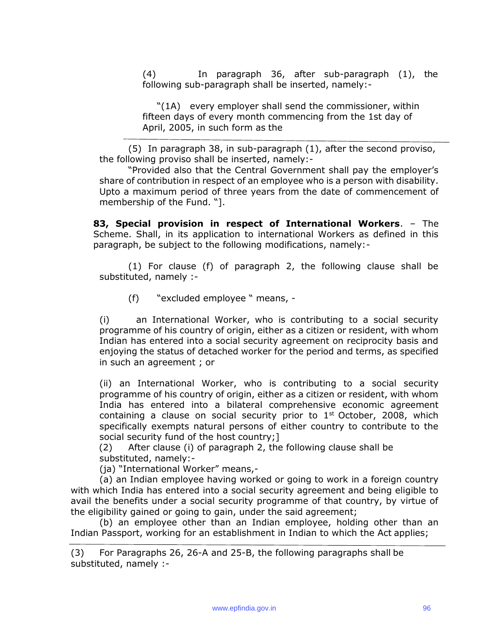(4) In paragraph 36, after sub-paragraph (1), the following sub-paragraph shall be inserted, namely:-

"(1A) every employer shall send the commissioner, within fifteen days of every month commencing from the 1st day of April, 2005, in such form as the

(5) In paragraph 38, in sub-paragraph (1), after the second proviso, the following proviso shall be inserted, namely:-

"Provided also that the Central Government shall pay the employer's share of contribution in respect of an employee who is a person with disability. Upto a maximum period of three years from the date of commencement of membership of the Fund. "].

**83, Special provision in respect of International Workers**. – The Scheme. Shall, in its application to international Workers as defined in this paragraph, be subject to the following modifications, namely:-

(1) For clause (f) of paragraph 2, the following clause shall be substituted, namely :-

(f) "excluded employee " means, -

(i) an International Worker, who is contributing to a social security programme of his country of origin, either as a citizen or resident, with whom Indian has entered into a social security agreement on reciprocity basis and enjoying the status of detached worker for the period and terms, as specified in such an agreement ; or

(ii) an International Worker, who is contributing to a social security programme of his country of origin, either as a citizen or resident, with whom India has entered into a bilateral comprehensive economic agreement containing a clause on social security prior to  $1<sup>st</sup>$  October, 2008, which specifically exempts natural persons of either country to contribute to the social security fund of the host country;]

(2) After clause (i) of paragraph 2, the following clause shall be substituted, namely:-

(ja) "International Worker" means,-

(a) an Indian employee having worked or going to work in a foreign country with which India has entered into a social security agreement and being eligible to avail the benefits under a social security programme of that country, by virtue of the eligibility gained or going to gain, under the said agreement;

(b) an employee other than an Indian employee, holding other than an Indian Passport, working for an establishment in Indian to which the Act applies;

<sup>(3)</sup> For Paragraphs 26, 26-A and 25-B, the following paragraphs shall be substituted, namely :-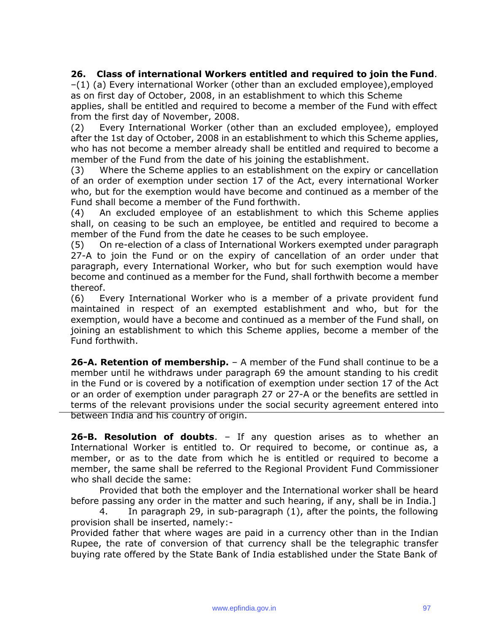# **26. Class of international Workers entitled and required to join the Fund**.

–(1) (a) Every international Worker (other than an excluded employee),employed as on first day of October, 2008, in an establishment to which this Scheme applies, shall be entitled and required to become a member of the Fund with effect from the first day of November, 2008.

(2) Every International Worker (other than an excluded employee), employed after the 1st day of October, 2008 in an establishment to which this Scheme applies, who has not become a member already shall be entitled and required to become a member of the Fund from the date of his joining the establishment.

(3) Where the Scheme applies to an establishment on the expiry or cancellation of an order of exemption under section 17 of the Act, every international Worker who, but for the exemption would have become and continued as a member of the Fund shall become a member of the Fund forthwith.

(4) An excluded employee of an establishment to which this Scheme applies shall, on ceasing to be such an employee, be entitled and required to become a member of the Fund from the date he ceases to be such employee.

(5) On re-election of a class of International Workers exempted under paragraph 27-A to join the Fund or on the expiry of cancellation of an order under that paragraph, every International Worker, who but for such exemption would have become and continued as a member for the Fund, shall forthwith become a member thereof.

(6) Every International Worker who is a member of a private provident fund maintained in respect of an exempted establishment and who, but for the exemption, would have a become and continued as a member of the Fund shall, on joining an establishment to which this Scheme applies, become a member of the Fund forthwith.

**26-A. Retention of membership.** – A member of the Fund shall continue to be a member until he withdraws under paragraph 69 the amount standing to his credit in the Fund or is covered by a notification of exemption under section 17 of the Act or an order of exemption under paragraph 27 or 27-A or the benefits are settled in terms of the relevant provisions under the social security agreement entered into between India and his country of origin.

**26-B. Resolution of doubts**. – If any question arises as to whether an International Worker is entitled to. Or required to become, or continue as, a member, or as to the date from which he is entitled or required to become a member, the same shall be referred to the Regional Provident Fund Commissioner who shall decide the same:

Provided that both the employer and the International worker shall be heard before passing any order in the matter and such hearing, if any, shall be in India.]

4. In paragraph 29, in sub-paragraph (1), after the points, the following provision shall be inserted, namely:-

Provided father that where wages are paid in a currency other than in the Indian Rupee, the rate of conversion of that currency shall be the telegraphic transfer buying rate offered by the State Bank of India established under the State Bank of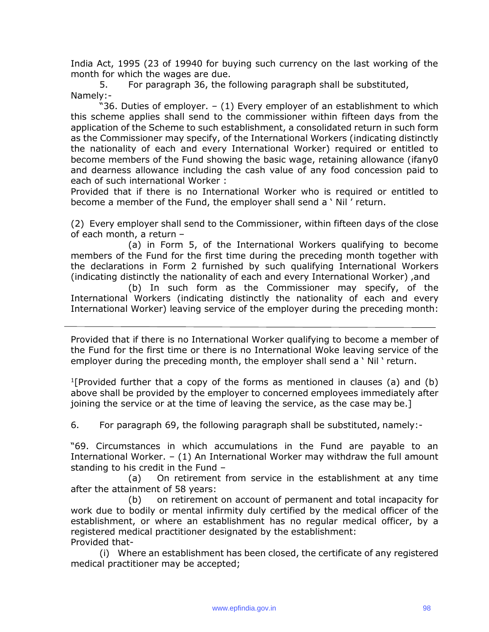India Act, 1995 (23 of 19940 for buying such currency on the last working of the month for which the wages are due.

5. For paragraph 36, the following paragraph shall be substituted, Namely:-

"36. Duties of employer. – (1) Every employer of an establishment to which this scheme applies shall send to the commissioner within fifteen days from the application of the Scheme to such establishment, a consolidated return in such form as the Commissioner may specify, of the International Workers (indicating distinctly the nationality of each and every International Worker) required or entitled to become members of the Fund showing the basic wage, retaining allowance (ifany0 and dearness allowance including the cash value of any food concession paid to each of such international Worker :

Provided that if there is no International Worker who is required or entitled to become a member of the Fund, the employer shall send a ' Nil ' return.

(2) Every employer shall send to the Commissioner, within fifteen days of the close of each month, a return –

(a) in Form 5, of the International Workers qualifying to become members of the Fund for the first time during the preceding month together with the declarations in Form 2 furnished by such qualifying International Workers (indicating distinctly the nationality of each and every International Worker) ,and

(b) In such form as the Commissioner may specify, of the International Workers (indicating distinctly the nationality of each and every International Worker) leaving service of the employer during the preceding month:

Provided that if there is no International Worker qualifying to become a member of the Fund for the first time or there is no International Woke leaving service of the employer during the preceding month, the employer shall send a ' Nil ' return.

<sup>1</sup>[Provided further that a copy of the forms as mentioned in clauses (a) and (b) above shall be provided by the employer to concerned employees immediately after joining the service or at the time of leaving the service, as the case may be.]

6. For paragraph 69, the following paragraph shall be substituted, namely:-

"69. Circumstances in which accumulations in the Fund are payable to an International Worker. – (1) An International Worker may withdraw the full amount standing to his credit in the Fund –

(a) On retirement from service in the establishment at any time after the attainment of 58 years:

(b) on retirement on account of permanent and total incapacity for work due to bodily or mental infirmity duly certified by the medical officer of the establishment, or where an establishment has no regular medical officer, by a registered medical practitioner designated by the establishment: Provided that-

(i) Where an establishment has been closed, the certificate of any registered medical practitioner may be accepted;